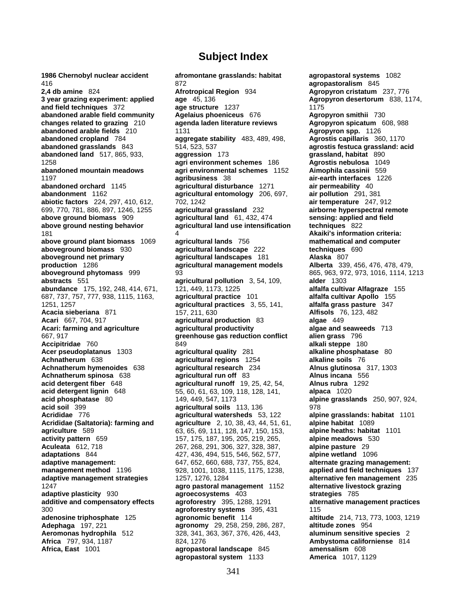416 872 **agropastoralism** 845 **2,4 db amine** 824 **Afrotropical Region** 934 **Agropyron cristatum** 237, 776 **3 year grazing experiment: applied age** 45, 136 **Agropyron desertorum** 838, 1174, and field techniques 372 **age structure** 1237 **Agropyron desertorum** 838, 1174, **and field techniques** 372 **age structure** 1237 1175 **abandoned arable field community Agelaius phoeniceus 676 <b>Agropyron smithii** 730 **changes related to grazing** 210 **agenda laden literature reviews Agropyron spicatum** 608, 988 **abandoned arable fields** 210 1131 **Agropyron spp.** 1126 **abandoned cropland** 784 **aggregate stability** 483, 489, 498, **Agrostis capillaris** 360, 1170 **abandoned grasslands** 843 514, 523, 537 **agrostis festuca grassland: acid agrostis festuca grassland: acid agrostis festuca grassland: acid abandoned land** 517, 865, 933, **aggression** 173 **grassland, habitat** 890 1258 **agri environment schemes** 186 **Agrostis nebulosa** 1049 **abandoned mountain meadows agri environmental schemes** 1152 **Aimophila cassinii** 559 1197 **agribusiness** 38 **air-earth interfaces** 1226 **abandoned orchard** 1145 **agricultural disturbance** 1271 **air permeability** 40 **abandonment** 1162 **agricultural entomology** 206, 697, **air pollution** 291, 381 **abiotic factors** 224, 297, 410, 612, 702, 1242 **air temperature** 247, 912 699, 770, 781, 886, 897, 1246, 1255 **agricultural grassland** 232 **airborne hyperspectral remote above ground biomass** 909 **agricultural land** 61, 432, 474 **sensing: applied above ground nesting behavior <b>agricultural land use intensification techniques** 822 **above ground nesting behavior <b>agricultural land use intensification** 181 4 **Akaiki's information criteria: above ground plant biomass** 1069 **agricultural lands** 756 **mathematical and computer aboveground biomass** 930 **agricultural landscape** 222 **techniques** 690 **aboveground net primary agricultural landscapes** 181 **Alaska** 807 **production** 1286 **agricultural management models Alberta** 339, 456, 476, 478, 479, **aboveground phytomass** 999 93 93 865, 963, 972, 973, 1016, 1114, 1213 **abstracts** 551 **agricultural pollution** 3, 54, 109, **alder** 1303 **abundance** 175, 192, 248, 414, 671, 121, 449, 1173, 1225 **alfalfa cultivar Alfagraze** 155 687, 737, 757, 777, 938, 1115, 1163, **agricultural practice** 101 **alfalfa cultivar Apollo** 155 **1251, 1257 <b>agricultural practices** 3, 55, 141, **Acacia sieberiana** 871 157, 211, 630 **Alfisols** 76, 123, 482 **Acari** 667, 704, 917 **agricultural production** 83 **algae** 449 **Acari: farming and agriculture agricultural productivity algae and seaweeds** 713 667, 917 **greenhouse gas reduction conflict alien grass** 796 **Accipitridae** 760 849 **alkali steppe** 180 **Achnatherum** 638 **agricultural regions** 1254 **alkaline soils** 76 **Achnatherum hymenoides** 638 **agricultural research** 234 **Alnus glutinosa** 317, 1303 **Achnatherum spinosa** 638 **agricultural run off** 83 **Alnus incana** 556 **acid detergent fiber** 648 **agricultural runoff** 19, 25, 42, 54, **Alnus rubra** 1292 **acid detergent lignin** 648 55, 60, 61, 63, 109, 118, 128, 141, **alpaca** 1020 **acid phosphatase** 80 149, 449, 547, 1173 **alpine grasslands** 250, 907, 924, **Acrididae** 776 **agricultural watersheds** 53, 122 **alpine grasslands: habitat** 1101 **agriculture** 589 63, 65, 69, 111, 128, 147, 150, 153, **alpine heaths: habitat** 1101 **activity pattern** 659 157, 175, 187, 195, 205, 219, 265, **alpine meadows** 530 **Aculeata** 612, 718 267, 268, 291, 306, 327, 328, 387, **alpine pasture** 29 **adaptations** 844 427, 436, 494, 515, 546, 562, 577, **alpine wetland** 1096 **adaptive management:** 647, 652, 660, 688, 737, 755, 824, **alternate grazing management: management method** 1196 928, 1001, 1038, 1115, 1175, 1238, **applied and field techniques** 137 **adaptive management strategies** 1257, 1276, 1284 **alternative fen management** 235 **adaptive plasticity** 930 **agroecosystems** 403 **strategies** 785 **additive and compensatory effects agroforestry** 395, 1288, 1291 **alternative management practices** 300 **agroforestry systems** 395, 431 115 **adenosine triphosphate** 125 **agronomic benefit** 114 **altitude** 214, 713, 773, 1003, 1219 **Adephaga** 197, 221 **agronomy** 29, 258, 259, 286, 287, **altitude zones** 954 **Aeromonas hydrophila** 512 328, 341, 363, 367, 376, 426, 443, **aluminum sensitive species** 2 **Africa** 797, 934, 1187 824, 1276 **Ambystoma californiense** 814 **Africa, East** 1001 **agropastoral landscape** 845 **amensalism** 608

**1986 Chernobyl nuclear accident afromontane grasslands: habitat agropastoral systems** 1082 **Academicultural quality 281 <b>alkaline phosphatase** 80 **agricultural soils** 113, 136 978 **Addition 4.5 and agriculture** 2, 10, 38, 43, 44, 51, 61, 1247 **agro pastoral management** 1152 **alternative livestock grazing agropastoral system** 1133 **America** 1017, 1129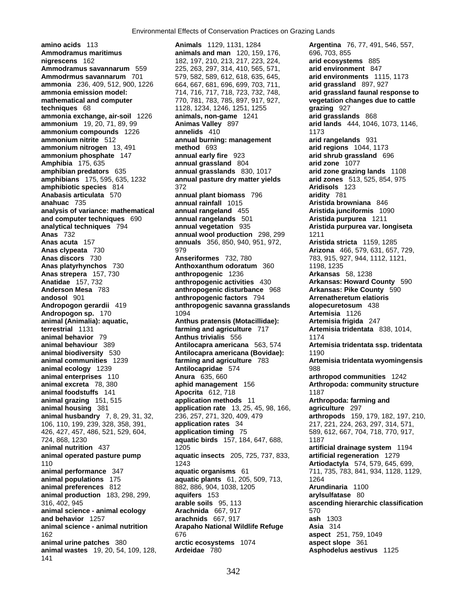**amino acids** 113 **Animals** 1129, 1131, 1284 **Argentina** 76, 77, 491, 546, 557, **Ammodramus maritimus animals and man** 120, 159, 176, 696, 703, 855 **nigrescens** 162 182, 197, 210, 213, 217, 223, 224, **arid ecosystems** 885<br>**Ammodramus savannarum** 559 225, 263, 297, 314, 410, 565, 571, **arid environment** 847 **Ammodrmus savannarum** 701 579, 582, 589, 612, 618, 635, 645, **arid environments** 1115, 1173 **ammonia** 236, 409, 512, 900, 1226 664, 667, 681, 696, 699, 703, 711, **arid grassland** 897, 927 **ammonia emission model:** 714, 716, 717, 718, 723, 732, 748, **arid grassland faunal response to mathematical and computer** 770, 781, 783, 785, 897, 917, 927, **vegetation changes due to cattle techniques** 68 1128, 1234, 1246, 1251, 1255 **grazing** 927 **ammonia exchange, air-soil** 1226 **animals, non-game** 1241 **arid grasslands** 868 **ammonium** 19, 20, 71, 89, 99 **Animas Valley** 897 **arid lands** 444, 1046, 1073, 1146, **ammonium compounds** 1226 **annelids** 410 **1173 ammonium nitrite** 512 **annual burning: management arid rangelands** 931 **ammonium nitrogen** 13, 491 **method** 693 **arid regions** 1044, 1173 **ammonium phosphate** 147 **annual early fire** 923 **arid shrub grassland** 696 **Amphibia** 175, 635 **annual grassland** 804 **arid zone** 1077 **amphibian predators** 635 **annual grasslands** 830, 1017 **arid zone grazing lands** 1108 **amphibiotic species** 814 372 **Aridisols** 123 **Anabasis articulata** 570 **annual plant biomass** 796 **aridity** 781 **anahuac** 735 **annual rainfall** 1015 **Aristida browniana** 846 **analysis of variance: mathematical annual rangeland** 455 **Aristida junciformis** 1090 **and computer techniques** 690 **annual rangelands** 501 **Aristida purpurea** 1211 **analytical techniques** 794 **annual vegetation** 935 **Aristida purpurea var. longiseta Anas** 732 **annual wool production** 298, 299 1211 **Anas acuta** 157 **annuals** 356, 850, 940, 951, 972, **Aristida stricta** 1159, 1285 **Anas clypeata** 730 979 **Arizona** 466, 579, 631, 657, 729, **Anas discors** 730 **Anseriformes** 732, 780 783, 915, 927, 944, 1112, 1121, **Anas platyrhynchos** 730 **Anthoxanthum odoratum** 360 1198, 1235 **Anas strepera** 157, 730 **anthropogenic** 1236 **Arkansas** 58, 1238 **Anatidae** 157, 732 **anthropogenic activities** 430 **Arkansas: Howard County** 590 **Anderson Mesa** 783 **anthropogenic disturbance** 968 **Arkansas: Pike County** 590 **andosol** 901 **anthropogenic factors** 794 **Arrenatheretum elatioris Andropogon sp.** 170 **1094 Artemisia** 1126 **animal (Animalia): aquatic, Anthus pratensis (Motacillidae): Artemisia frigida** 247 **terrestrial** 1131 **farming and agriculture** 717 **Artemisia tridentata** 838, 1014, **animal behavior** 79 **Anthus trivialis** 556 1174 **animal behaviour** 389 **Antilocapra americana** 563, 574 **Artemisia tridentata ssp. tridentata animal biodiversity** 530 **Antilocapra americana (Bovidae):** 1190 **animal communities** 1239 **farming and agriculture** 783 **Artemisia tridentata wyomingensis animal ecology** 1239 **Antilocapridae** 574 988 **animal excreta** 78, 380 **aphid management** 156 **Arthropoda: community structure animal foodstuffs** 141 **Apocrita** 612, 718 1187 **animal grazing** 151, 515 **application methods** 11 **Arthropoda: farming and animal housing** 381 **application rate** 13, 25, 45, 98, 166, **agriculture** 297 **animal husbandry** 7, 8, 29, 31, 32, 236, 257, 271, 320, 409, 479 **arthropods** 159, 179, 182, 197, 210, 106, 110, 199, 239, 328, 358, 391, **application rates** 34 217, 221, 224, 263, 297, 314, 571, 426, 427, 457, 486, 521, 529, 604, **application timing** 75 589, 612, 667, 704, 718, 770, 917, **animal nutrition** 437 1205 **artificial drainage system** 1194 **animal operated pasture pump aquatic insects** 205, 725, 737, 833, **artificial regeneration** 1279 110 1243 **Artiodactyla** 574, 579, 645, 699, **animal performance** 347 **aquatic organisms** 61 711, 735, 783, 841, 934, 1128, 1129, **animal populations** 175 **aquatic plants** 61, 205, 509, 713, 1264 **animal preferences** 812 882, 886, 904, 1038, 1205 **Arundinaria** 1100 **animal production** 183, 298, 299, **aquifers** 153 **arylsulfatase** 80 316, 402, 945 **arable soils** 95, 113 **ascending hierarchic classification animal science - animal ecology Arachnida** 667, 917 570 **and behavior** 1257 **arachnids** 667, 917 **ash** 1303 **animal science - animal nutrition Arapaho National Wildlife Refuge Asia** 314 **animal urine patches** 380 **arctic ecosystems** 1074 **aspect slope** 361 **animal wastes** 19, 20, 54, 109, 128, **Ardeidae** 780 **Asphodelus aestivus** 1125 141

**Ammodramus savannarum** 559 225, 263, 297, 314, 410, 565, 571, **arid environment** 847 annual pasture dry matter yields **Andropogon gerardii** 419 **anthropogenic savanna grasslands alopecuretosum** 438 **and animal enterprises** 1242 **aphid management** 156 **arthropod communities** 1242 **aphid management** 156 aquatic birds 157, 184, 647, 688, 1187 162 676 **aspect** 251, 759, 1049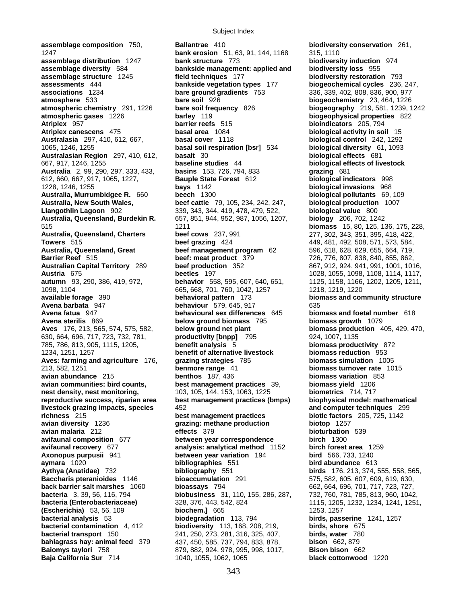**assemblage composition** 750, **Ballantrae** 410 **biodiversity conservation** 261, **bank erosion** 51, 63, 91, 144, 1168 315, 1110<br> **assemblage distribution** 1247 **bank structure** 773 **biodiversi assemblage distribution** 1247 **bank structure** 773 **biodiversity induction** 974 **assemblage structure** 1245 **field techniques** 177 **biodiversity restoration** 793 **assessments** 444 **bankside vegetation types** 177 **biogeochemical cycles** 236, 247, **associations** 1234 **bare ground gradients** 753 336, 339, 402, 808, 836, 900, 977 **atmosphere** 533 **bare soil** 926 **biogeochemistry** 23, 464, 1226 **atmospheric chemistry** 291, 1226 **bare soil frequency** 826 **biogeography** 219, 581, 1239, 1242 **atmospheric gases** 1226 **barley** 119 **biogeophysical properties** 822 **Atriplex** 957 **barrier reefs** 515 **bioindicators** 205, 794 **Atriplex canescens** 475 **basal area** 1084 **biological activity in soil** 15 **Australasia** 297, 410, 612, 667, **basal cover** 1118 **biological control** 242, 1292 1065, 1246, 1255 **basal soil respiration [bsr]** 534 **biological diversity** 61, 1093 **Australasian Region** 297, 410, 612, **basalt** 30 **biological effects** 681 667, 917, 1246, 1255 **baseline studies** 44 **biological effects of livestock Australia** 2, 99, 290, 297, 333, 433, **basins** 153, 726, 794, 833 **grazing** 681 612, 660, 667, 917, 1065, 1227, **Bauple State Forest** 612 **biological indicators** 998 1228, 1246, 1255 **bays** 1142 **biological invasions** 968 **Australia, Murrumbidgee R.** 660 **beech** 1300 **biological pollutants** 69, 109 **Australia, New South Wales, beef cattle** 79, 105, 234, 242, 247, **biological production** 1007 **Llangothlin Lagoon** 902 339, 343, 344, 419, 478, 479, 522, **biological value** 800 **Australia, Queensland, Burdekin R.** 657, 851, 944, 952, 987, 1056, 1207, **biology** 206, 702, 1242 515 1211 **biomass** 15, 80, 125, 136, 175, 228, **Australia, Queensland, Charters beef cows** 237, 991 277, 302, 343, 351, 395, 418, 422, **Towers** 515 **beef grazing** 424 449, 481, 492, 508, 571, 573, 584, 491, 492, 508, 571, 573, 584, 64, 719, **beef management program Barrier Reef** 515 **beef: meat product** 379 726, 776, 807, 838, 840, 855, 862, **Australian Capital Territory** 289 **beef production** 352 867, 912, 924, 941, 991, 1001, 1016, **Austria** 675 **beetles** 197 1028, 1055, 1098, 1108, 1114, 1117, 1098, 1104 665, 668, 701, 760, 1042, 1257 1218, 1219, 1220 **available forage** 390 **behavioral pattern** 173 **biomass and community structure Avena barbata** 947 **behaviour** 579, 645, 917 635 **Avena fatua** 947 **behavioural sex differences** 645 **biomass and foetal number** 618 **Avena sterilis** 869 **below ground biomass** 795 **Aves** 176, 213, 565, 574, 575, 582, **below ground net plant biomass production** 405, 429, 470, 630, 664, 696, 717, 723, 732, 781, 785, 786, 813, 905, 1115, 1205, **benefit analysis** 5 **biomass productivity** 872 1234, 1251, 1257 **benefit of alternative livestock biomass reduction** 953 **Aves: farming and agriculture** 176, 213, 582, 1251 **benmore range** 41 **biomass turnover rate** 1015 **avian abundance** 215 **benthos** 187, 436 **biomass variation** 853 **avian communities: bird counts, best management practices** 39, **biomass yield** 1206 **nest density, nest monitoring,** 103, 105, 144, 153, 1063, 1225 **biometrics** 714, 717 **reproductive success, riparian area best management practices (bmps) biophysical model: mathematical livestock grazing impacts, species** 452 **and computer techniques** 299 **avian diversity** 1236 **grazing: methane production biotop** 1257 **avian malaria** 212 **biotural 5379 avifaunal composition** 677 **between year correspondence birch** 1300 **avifaunal recovery** 677 **analysis: analytical method** 1152 **birch forest area** 1259 **Axonopus purpusii** 941 **between year variation** 194 **bird** 566, 733, 1240 **aymara** 1020 **bibliographies** 551 **bird abundance** 613 **Baccharis pteranioides** 1146 **bioaccumulation** 291 575, 582, 605, 607, 609, 619, 630, **back barrier salt marshes** 1060 **bioassays** 794 662, 664, 696, 701, 717, 723, 727, **bacteria** 3, 39, 56, 116, 794 **biobusiness** 31, 110, 155, 286, 287, 732, 760, 781, 785, 813, 960, 1042, **bacteria (Enterobacteriaceae)** 328, 376, 443, 542, 824 1115, 1205, 1232, 1234, 1241, 1251, **(Escherichia)** 53, 56, 109 **biochem.]** 665 1253, 1257 **bacterial analysis** 53 **biodegradation** 113, 794 **birds, passerine** 1241, 1257 **bacterial contamination** 4, 412 **biodiversity** 113, 168, 208, 219, **birds, shore** 675 **bacterial transport** 150 241, 250, 273, 281, 316, 325, 407, **birds, water** 780 **bahiagrass hay: animal feed** 379 437, 450, 585, 737, 794, 833, 878, **bison** 662, 879

**bankside management: applied and biodiversity loss** 955 **beef management program** 62 596, 618, 628, 629, 655, 664, 719, **behavior** 558, 595, 607, 640, 651, 1125, 1158, 1166, 1202, 1205, 1211, **best management practices biotic factors** 205, 725, 1142 **Aythya (Anatidae)** 732 **bibliography** 551 **birds** 176, 213, 374, 555, 558, 565, **Baiomys taylori** 758 879, 882, 924, 978, 995, 998, 1017, **Bison bison** 662 **Baja California Sur** 714 1040, 1055, 1062, 1065 **black cottonwood** 1220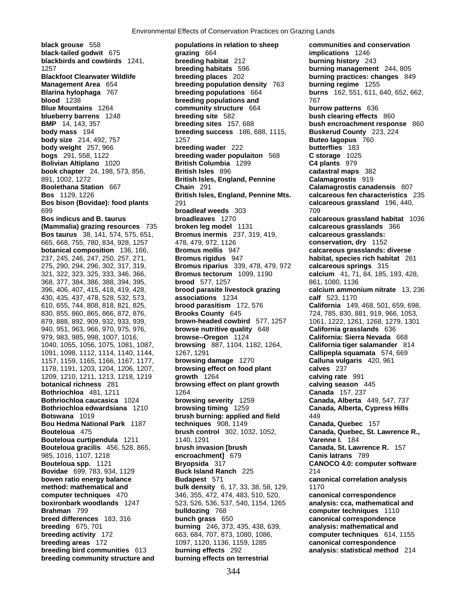**body weight** 257, 966 **breeding wader** 222 **Bolivian Altiplano** 1020 **British Columbia** 1299 985, 1016, 1107, 1218 **encroachment]** 679 **Canis latrans** 789

**black grouse** 558 **populations in relation to sheep communities and conservation black-tailed godwit** 675 **grazing** 664 **implications** 1246 **blackbirds and cowbirds** 1241, **breeding habitat** 212 **burning history** 243 1257 **breeding habitats** 596 **burning management** 244, 805 **Blackfoot Clearwater Wildlife breeding places** 202 **burning practices: changes** 849 **Management Area** 654 **breeding population density** 763 **burning regime** 1255 **Blarina hylophaga** 767 **breeding populations** 664 **burns** 162, 551, 611, 640, 652, 662, **blood** 1238 **breeding populations and** 767 **Blue Mountains** 1264 **community structure** 664 **burrow patterns** 636 **blueberry barrens** 1248 **breeding site** 582 **bush clearing effects** 860 **BMP** 14, 143, 357 **breeding sites** 157, 688 **bush encroachment response** 860 **body mass** 194 **breeding success** 186, 688, 1115, **Buskerud County** 223, 224 **body size** 214, 492, 757 **1257** 1257 **Buteo lagopus** 760<br> **body weight** 257. 966 **breeding wader** 222 **butterflies** 183 **bogs** 291, 558, 1122 **breeding wader populaiton** 568 **C storage** 1025 **book chapter** 24, 198, 573, 856, **British Isles** 896 **cadastral maps** 382 891, 1002, 1272 **British Isles, England, Pennine Calamagrostis** 919 **Boolethana Station** 667 **Chain** 291 **Calamagrostis canadensis** 807 **Bos** 1129, 1226 **British Isles, England, Pennine Mts. calcareous fen characteristics** 235 **Bos bison (Bovidae): food plants** 291 **calcareous grassland** 196, 440, 699 **broadleaf weeds** 303 709 **Bos indicus and B. taurus broadleaves** 1270 **calcareous grassland habitat** 1036 **(Mammalia) grazing resources** 735 **broken leg model** 1131 **calcareous grasslands** 366 **Bos taurus** 38, 141, 574, 575, 651, **Bromus inermis** 237, 319, 419, **calcareous grasslands:**  665, 668, 755, 780, 834, 928, 1257 478, 479, 972, 1126 **conservation, dry** 1152 **botanical composition** 136, 166, **Bromus mollis** 947 **calcareous grasslands: diverse**  237, 245, 246, 247, 250, 257, 271, **Bromus rigidus** 947 **habitat, species rich habitat** 261 275, 290, 294, 296, 302, 317, 319, **Bromus riparius** 339, 478, 479, 972 **calcareous springs** 315 321, 322, 323, 325, 333, 346, 366, **Bromus tectorum** 1099, 1190 **calcium** 41, 71, 84, 185, 193, 428, 368, 377, 384, 386, 388, 394, 395, **brood** 577, 1257 861, 1080, 1136 396, 406, 407, 415, 418, 419, 428, **brood parasite livestock grazing calcium ammonium nitrate** 13, 236 430, 435, 437, 478, 528, 532, 573, **associations** 1234 **calf** 523, 1170 610, 655, 744, 808, 818, 821, 825, **brood parasitism** 172, 576 **California** 149, 468, 501, 659, 698, 830, 855, 860, 865, 866, 872, 876, **Brooks County** 645 724, 785, 830, 881, 919, 966, 1053, 879, 888, 892, 909, 932, 933, 939, **brown-headed cowbird** 577, 1257 1061, 1222, 1261, 1268, 1279, 1301 940, 951, 963, 966, 970, 975, 976, **browse nutritive quality** 648 **California grasslands** 636 979, 983, 985, 998, 1007, 1016, **browse--Oregon** 1124 **California: Sierra Nevada** 668 1040, 1055, 1056, 1075, 1081, 1087, **browsing** 887, 1104, 1182, 1264, **California tiger salamander** 814 1091, 1098, 1112, 1114, 1140, 1144, 1267, 1291 **Callipepla squamata** 574, 669 1157, 1159, 1165, 1166, 1167, 1177, **browsing damage** 1270 **Calluna vulgaris** 420, 961 1178, 1191, 1203, 1204, 1206, 1207, **browsing effect on food plant calves** 237 1209, 1210, 1211, 1213, 1218, 1219 **growth** 1264 **calving rate** 991 **botanical richness** 281 **browsing effect on plant growth calving season** 445 **Bothriochloa** 481, 1211 1264 **Canada** 157, 237 **Bothriochloa caucasica** 1024 **browsing severity** 1259 **Canada, Alberta** 449, 547, 737 **Bothriochloa edwardsiana** 1210 **browsing timing** 1259 **Canada, Alberta, Cypress Hills Botswana** 1019 **brush burning: applied and field** 449 **Bou Hedma National Park** 1187 **techniques** 908, 1149 **Canada, Quebec** 157 **Bouteloua** 475 **brush control** 302, 1032, 1052, **Canada, Quebec, St. Lawrence R., Bouteloua curtipendula** 1211 1140, 1291 **Varenne I.** 184 **Bouteloua gracilis** 456, 528, 865, **brush invasion [brush Canada, St. Lawrer** R. Lawrence R. 1016, 1107, 1218 **Canada, St. Lawrence R. 1579 Bryopsida** 317 **CANOCO 4.0: computer software Bovidae** 699, 783, 934, 1129 **Buck Island Ranch** 225 214 **bowen ratio energy balance budapest** 571 **canonical correlation analysis method: mathematical and hulk density** 6, 17, 33, 38, 58, 129, 1170 **computer techniques** 470 346, 355, 472, 474, 483, 510, 520, **canonical correspondence boxironbark woodlands** 1247 523, 526, 536, 537, 540, 1154, 1265 **analysis: cca, mathematical and Brahman** 799 **bulldozing** 768 **computer techniques** 1110 **breed differences** 183, 316 **bunch grass** 650 **canonical correspondence breeding** 675, 701 **burning** 246, 373, 435, 438, 639, **analysis: mathematical and breeding activity** 172 663, 684, 707, 873, 1080, 1086, **computer techniques** 614, 1155 **breeding areas** 172 1097, 1120, 1136, 1159, 1285 **canonical correspondence breeding bird communities** 613 **burning effects** 292 **analysis: statistical method** 214 **breeding community structure and burning effects on terrestrial**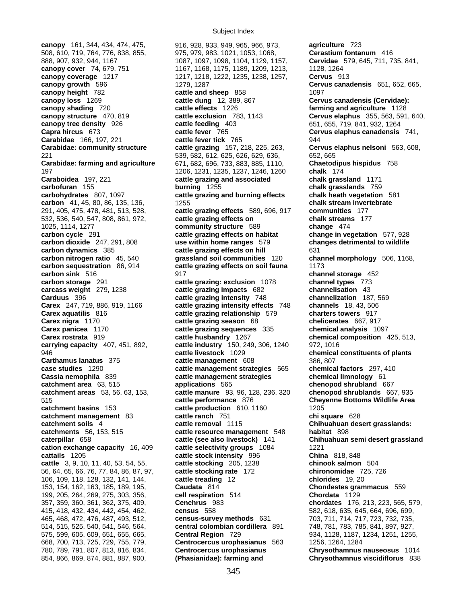508, 610, 719, 764, 776, 838, 855, 975, 979, 983, 1021, 1053, 1068, **Cerastium fontanum** 416 888, 907, 932, 944, 1167 1087, 1097, 1098, 1104, 1129, 1157, **Cervidae** 579, 645, 711, 735, 841, **canopy cover** 74, 679, 751 1167, 1168, 1175, 1189, 1209, 1213, 128, 1264 **canopy coverage** 1217 1217, 1218, 1222, 1235, 1238, 1257, **Cervus** 913 **canopy growth** 596 1279, 1287 1287 **Cervus canadensis** 651, 652, 665, **canopy height** 782 **cattle and sheep** 858 1097 **canopy loss** 1269 **cattle dung** 12, 389, 867 **Cervus canadensis (Cervidae): canopy shading** 720 **cattle effects** 1226 **farming and agriculture** 1128 **canopy structure** 470, 819 **cattle exclusion** 783, 1143 **Cervus elaphus** 355, 563, 591, 640, **canopy tree density** 926 **cattle feeding** 403 651, 655, 719, 841, 932, 1264 **Capra hircus** 673 **cattle fever** 765 **Cervus elaphus canadensis** 741, **Carabidae** 166, 197, 221 **cattle fever tick** 765 944 **Carabidae: community structure cattle grazing** 157, 218, 225, 263, **Cervus elaphus nelsoni** 563, 608, 221 539, 582, 612, 625, 626, 629, 636, 652, 665 **Carabidae: farming and agriculture** 671, 682, 696, 733, 883, 885, 1110, **Chaetodipus hispidus** 758 197 1206, 1231, 1235, 1237, 1246, 1260 **chalk** 174 **carbofuran** 155 **burning** 1255 **chalk grasslands** 759 **carbohydrates** 807, 1097 **cattle grazing and burning effects chalk heath vegetation** 581 **carbon** 41, 45, 80, 86, 135, 136, 1255 **chalk stream invertebrate**  291, 405, 475, 478, 481, 513, 528, **cattle grazing effects** 589, 696, 917 **communities** 177 532, 536, 540, 547, 808, 861, 972, **cattle grazing effects on chalk streams** 177 1025, 1114, 1277 **community structure** 589 **change** 474 **carbon cycle** 291 **cattle grazing effects on habitat** change in vegetation 577, 928<br>**carbon dioxide** 247, 291, 808 **carbon dioxide** use within home ranges 579 changes detrimental to wildlife **carbon dioxide** 247, 291, 808 **use within home ranges** 579 **changes detrimental to wildlife carbon dynamics** 385 **cattle grazing effects on hill** 631 **carbon nitrogen ratio** 45, 540 **grassland soil communities** 120 **channel morphology** 506, 1168, **carbon sequestration** 86, 914 **cattle grazing effects on soil fauna** 1173 **carbon sink** 516 **917** 917 **channel storage** 452 **carbon storage** 291 **cattle grazing: exclusion** 1078 **channel types** 773 **carcass weight** 279, 1238 **cattle grazing impacts** 682 **channelisation** 43 **Carduus** 396 **cattle grazing intensity** 748 **channelization** 187, 569 **Carex** 247, 719, 886, 919, 1166 **cattle grazing intensity effects** 748 **channels** 18, 43, 506 **Carex aquatilis** 816 **cattle grazing relationship** 579 **charters towers** 917 **Carex nigra** 1170 **cattle grazing season** 68 **chelicerates** 667, 917 **Carex panicea** 1170 **cattle grazing sequences** 335 **chemical analysis** 1097 **Carex rostrata** 919 **cattle husbandry** 1267 **chemical composition** 425, 513, 946 **cattle livestock** 1029 **chemical constituents of plants Carthamus lanatus** 375 **cattle management** 608 386, 807 **case studies** 1290 **cattle management strategies** 565 **chemical factors** 297, 410 **Cassia nemophila** 839 **cattle management strategies chemical limnology** 61 **catchment area** 63, 515 **applications** 565 **chenopod shrubland** 667 **catchment areas** 53, 56, 63, 153, **cattle manure** 93, 96, 128, 236, 320 **chenopod shrublands** 667, 935 515 **cattle performance** 876 **Cheyenne Bottoms Wildlife Area catchment basins** 153 **cattle production** 610, 1160 1205 **catchment management** 83 **cattle ranch** 751 **chi square** 628 **catchment soils** 4 **cattle removal** 1115 **Chihuahuan desert grasslands: catchments** 56, 153, 515 **cattle resource management** 548 **habitat** 898 **caterpillar** 658 **cattle (see also livestock)** 141 **Chihuahuan semi desert grassland cation exchange capacity** 16, 409 **cattle selectivity groups** 1084 1221<br>**cattails** 1205 **cattle stock intensity** 996 **China** 818, 848 **cattails** 1205 **cattle stock intensity** 996 **cattle** 3, 9, 10, 11, 40, 53, 54, 55, **cattle stocking** 205, 1238 **chinook salmon** 504 56, 64, 65, 66, 76, 77, 84, 86, 87, 97, **cattle stocking rate** 172 **chironomidae** 725, 726 106, 109, 118, 128, 132, 141, 144, **cattle treading** 12 **chlorides** 19, 20 153, 154, 162, 163, 185, 189, 195, **Caudata** 814 **Chondestes grammacus** 559 199, 205, 264, 269, 275, 303, 356, **cell respiration** 514 **Chordata** 1129 357, 359, 360, 361, 362, 375, 409, **Cenchrus** 983 **chordates** 176, 213, 223, 565, 579, 415, 418, 432, 434, 442, 454, 462, **census** 558 582, 618, 635, 645, 664, 696, 699, 465, 468, 472, 476, 487, 493, 512, **census-survey methods** 631 703, 711, 714, 717, 723, 732, 735, 514, 515, 525, 540, 541, 546, 564, **central colombian cordillera** 891 748, 781, 783, 785, 841, 897, 927, 575, 599, 605, 609, 651, 655, 665, **Central Region** 729 934, 1128, 1187, 1234, 1251, 1255, 668, 700, 713, 725, 729, 755, 779, **Centrocercus urophasianus** 563 1256, 1264, 1284 780, 789, 791, 807, 813, 816, 834, **Centrocercus urophasianus Chrysothamnus nauseosus** 1014 854, 866, 869, 874, 881, 887, 900, **(Phasianidae): farming and Chrysothamnus viscidiflorus** 838

**canopy** 161, 344, 434, 474, 475, 916, 928, 933, 949, 965, 966, 973, **agriculture** 723 **Cattle grazing and associated chalk grassland** 1171 **cattle industry** 150, 249, 306, 1240 972, 1016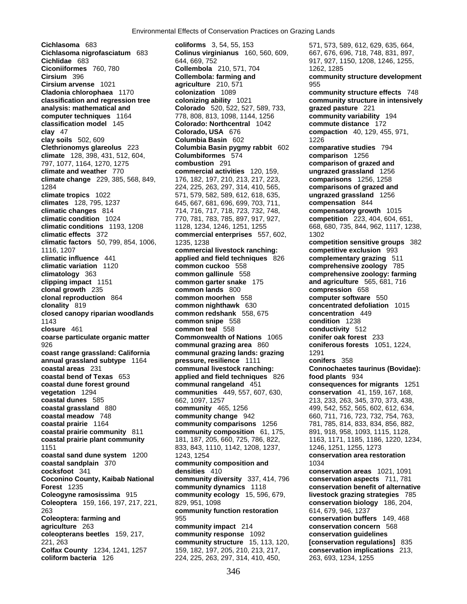**Cichlasoma** 683 **coliforms** 3, 54, 55, 153 571, 573, 589, 612, 629, 635, 664, **Cichlasoma nigrofasciatum** 683 **Colinus virginianus** 160, 560, 609, 667, 676, 696, 718, 748, 831, 897, **Cichlidae** 683 644, 669, 752 644, 669, 752 644, 669, 752 644, 669, 752 654, 869, 752 654, 869, 752 654, 869, 752 **Ciconiiformes** 760, 780 **Collembola** 210, 571, 704 1262, 1285 **Cirsium** 396 **Collembola: farming and community structure development Cirsium arvense** 1021 **agriculture** 210, 571 955 **Cladonia chlorophaea** 1170 **colonization** 1089 **community structure effects** 748 **classification and regression tree colonizing ability** 1021 **community structure in intensively analysis: mathematical and Colorado** 520, 522, 527, 589, 733, **grazed pasture** 221 **computer techniques** 1164 778, 808, 813, 1098, 1144, 1256 **community variability** 194<br> **clorado: Northcentral** 1042 **commute distance** 172 **clay** 47 **Colorado, USA** 676 **compaction** 40, 129, 455, 971, **clay soils** 502, 609 **Columbia Basin** 602 1226 **Clethrionomys glareolus** 223 **Columbia Basin pygmy rabbit** 602 **comparative studies** 794 **climate** 128, 398, 431, 512, 604, **Columbiformes** 574 **comparison** 1256 797, 1077, 1164, 1270, 1275 **combustion** 291 **comparison of grazed and climate and weather** 770 **commercial activities** 120, 159, **ungrazed grassland** 1256 **climate change** 229, 385, 568, 849, 176, 182, 197, 210, 213, 217, 223, **comparisons** 1256, 1258 1284 224, 225, 263, 297, 314, 410, 565, **comparisons of grazed and climate tropics** 1022 571, 579, 582, 589, 612, 618, 635, **ungrazed grassland** 1256 **climates** 128, 795, 1237 645, 667, 681, 696, 699, 703, 711, **compensation** 844 **climatic changes** 814 714, 716, 717, 718, 723, 732, 748, **compensatory growth** 1015 **climatic condition** 1024 770, 781, 783, 785, 897, 917, 927, **competition** 223, 404, 604, 651, **climatic effects** 372 **commercial enterprises** 557, 602, 1302 **climatic factors** 50, 799, 854, 1006, 1235, 1238 **competition sensitive groups** 382 1116, 1207 **commercial livestock ranching: competitive exclusion** 993 **climatic variation** 1120 **common cuckoo** 558 **comprehensive zoology** 785<br> **common gallinule** 558 **comprehensive zoology: farm**<br> **comprehensive zoology: farm clipping impact** 1151 **common garter snake** 175 **and agriculture** 565, 681, 716 **clonal growth** 235 **common lands** 800 **compression** 658 **clonal reproduction** 864 **common moorhen** 558 **computer software** 550 **clonality** 819 **common nighthawk** 630 **concentrated defoliation** 1015 **closed canopy riparian woodlands common redshank** 558, 675 **concentration** 449 1143 **common snipe** 558 **condition** 1238 **closure** 461 **common teal** 558 **conductivity** 512 **coarse particulate organic matter Commonwealth of Nations** 1065 **conifer oak forest** 233 926 **communal grazing area** 860 **coniferous forests** 1051, 1224, **coast range grassland: California communal grazing lands: grazing** 1291 **annual grassland subtype** 1164 **pressure, resilience** 1111 **conifers** 358 **coastal areas** 231 **communal livestock ranching: Connochaetes taurinus (Bovidae): coastal bend of Texas** 653 **applied and field techniques** 826 **food plants** 934 **coastal dune forest ground communal rangeland** 451 **consequences for migrants** 1251 **vegetation** 1294 **communities** 449, 557, 607, 630, **conservation** 41, 159, 167, 168, **coastal dunes** 585 662, 1097, 1257 213, 233, 263, 345, 370, 373, 438, **coastal grassland** 880 **community** 465, 1256 499, 542, 552, 565, 602, 612, 634, **coastal meadow** 748 **community change** 942 660, 711, 716, 723, 732, 754, 763, **coastal prairie** 1164 **community comparisons** 1256 781, 785, 814, 833, 834, 856, 882, **coastal prairie community** 811 **community composition** 61, 175, 891, 918, 958, 1093, 1115, 1128, **coastal prairie plant community** 181, 187, 205, 660, 725, 786, 822, 1163, 1171, 1185, 1186, 1220, 1234, 1151 833, 843, 1110, 1142, 1208, 1237, 1246, 1251, 1255, 1273 **coastal sand dune system** 1200 1243, 1254 **1254 conservation area restoration coastal sandplain** 370 **community composition and** 1034 **cocksfoot** 341 **densities** 410 **conservation areas** 1021, 1091 **Coconino County, Kaibab National community diversity** 337, 414, 796 **conservation aspects** 711, 781 **Forest** 1235 **community dynamics** 1118 **conservation benefit of alternative Coleogyne ramosissima** 915 **community ecology** 15, 596, 679, **livestock grazing strategies** 785 **Coleoptera** 159, 166, 197, 217, 221, 829, 951, 1098 **conservation biology** 186, 204, 263 **community function restoration** 614, 679, 946, 1237 **Coleoptera: farming and** 955 **conservation buffers** 149, 468 **agriculture** 263 **community impact** 214 **conservation concern** 568 **coleopterans beetles** 159, 217, **community response** 1092 **conservation guidelines**  221, 263 **community structure** 15, 113, 120, **[conservation regulations]** 835 **Colfax County** 1234, 1241, 1257 159, 182, 197, 205, 210, 213, 217, **conservation implications** 213,

**Colorado: Northcentral** 1042 **commute distance** 172 **climatic conditions** 1193, 1208 1128, 1234, 1246, 1251, 1255 668, 680, 735, 844, 962, 1117, 1238, **climatic influence** 441 **applied and field techniques** 826 **complementary grazing** 511 **climatology** 363 **common gallinule** 558 **comprehensive zoology: farming coliform bacteria** 126 224, 225, 263, 297, 314, 410, 450, 263, 693, 1234, 1255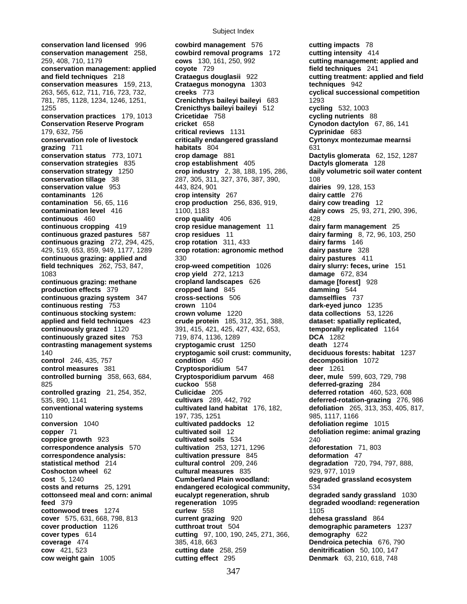**conservation land licensed** 996 **cowbird management** 576 **cutting impacts** 78 **conservation management** 258, **cowbird removal programs** 172 **cutting intensity** 414 259, 408, 710, 1179 **cows** 130, 161, 250, 992 **cutting management: applied and conservation management: applied coyote** 729 **field techniques** 241 **and field techniques** 218 **Crataegus douglasii** 922 **cutting treatment: applied and field conservation measures** 159, 213, **Crataegus monogyna** 1303 **techniques** 942 263, 565, 612, 711, 716, 723, 732, **creeks** 773 **cyclical successional competition** 781, 785, 1128, 1234, 1246, 1251, **Crenichthys baileyi baileyi** 683 1293 1255 **Crenicthys baileyi baileyi** 512 **cycling** 532, 1003 **conservation practices** 179, 1013 **Cricetidae** 758 **cycling nutrients** 88 **Conservation Reserve Program cricket** 658 **Cynodon dactylon** 67, 86, 141 179, 632, 756 **critical reviews** 1131 **Cyprinidae** 683 **conservation role of livestock critically endangered grassland Cyrtonyx montezumae mearnsi grazing** 711 **habitats** 804 631 **conservation status** 773, 1071 **crop damage** 881 **Dactylis glomerata** 62, 152, 1287 **conservation strategies** 835 **crop establishment** 405 **Dactyls glomerata** 128 **conservation strategy** 1250 **crop industry** 2, 38, 188, 195, 286, **conservation tillage** 38 287, 305, 311, 327, 376, 387, 390, 108 **conservation value** 953 443, 824, 901 **dairies** 99, 128, 153 **contaminants** 126 **crop intensity** 267 **dairy cattle** 276 **contamination** 56, 65, 116 **crop production** 256, 836, 919, **dairy cow treading** 12 **contamination level** 416 1100, 1183 **dairy cows** 25, 93, 271, 290, 396, **continuous** 460 **crop quality** 406 **428 continuous cropping** 419 **crop residue management** 11 **dairy farm management** 25 **continuous grazed pastures** 587 **crop residues** 11 **dairy farming** 8, 72, 96, 103, 250 **continuous grazing** 272, 294, 425, **crop rotation** 311, 433 **dairy farms** 146 **continuous grazing** 272, 294, 425, **crop rotation** 311, 433 **dairy farms** 146<br>429, 519, 653, 859, 949, 1177, 1289 **crop rotation: agronomic method** dairy pasture 328 429, 519, 653, 859, 949, 1177, 1289 **crop rotation: agronomic method dairy pasture** 328 **continuous grazing: applied and**  $\begin{array}{r} 330 \\ 411 \end{array}$  **and the set of the set of the set of the set of the set of the set of the set of the set of the set of the set of the set of the set of the set of the set of the set field techniques** 262, 753, 847, **crop-weed competition** 1026 **dairy slurry: feces, urine** 151 1083 **crop yield** 272, 1213 **damage** 672, 834 **continuous grazing: methane cropland landscapes** 626 **damage [forest]** 928 **production effects** 379 **cropped land** 845 **damming** 544 **continuous grazing system** 347 **cross-sections** 506 **damselflies** 737 **continuous resting** 753 **crown** 1104 **dark-eyed junco** 1235 **continuous stocking system: crown volume** 1220 **data collections** 53, 1226 **applied and field techniques** 423 **crude protein** 185, 312, 351, 388, **dataset: spatially replicated, continuously grazed** 1120 391, 415, 421, 425, 427, 432, 653, **temporally replicated** 1164 **continuously grazed sites** 753 719, 874, 1136, 1289 **DCA** 1282 **contrasting management systems cryptogamic crust** 1250 **death** 1274 140 **cryptogamic soil crust: community, deciduous forests: habitat** 1237 **control** 246, 435, 757 **condition** 450 **decomposition** 1072 **control measures** 381 **Cryptosporidium** 547 **deer** 1261 **controlled burning** 358, 663, 684, **Cryptosporidium parvum** 468 **deer, mule** 599, 603, 729, 798 825 **cuckoo** 558 **deferred-grazing** 284 **controlled grazing** 21, 254, 352, **Culicidae** 205 **deferred rotation** 460, 523, 608 535, 890, 1141 **cultivars** 289, 442, 792 **deferred-rotation-grazing** 276, 986 **conventional watering systems cultivated land habitat** 176, 182, **defoliation** 265, 313, 353, 405, 817, 110 197, 735, 1251 985, 1117, 1166 **conversion** 1040 **cultivated paddocks** 12 **defoliation regime** 1015 **copper** 71 **cultivated soil** 12 **defoliation regime: animal grazing**<br> **coppice growth** 923 **cultivated soils** 534 240 **coppice growth** 923 **cultivated soils** 534 240 **correspondence analysis** 570 **cultivation** 253, 1271, 1296 **deforestation** 71, 803 **correspondence analysis: cultivation pressure** 845 **deformation** 47 **statistical method** 214 **cultural control** 209, 246 **degradation** 720, 794, 797, 888, **Coshocton wheel** 62 **cultural measures** 835 929, 977, 1019 **cost** 5, 1240 **Cumberland Plain woodland: degraded grassland ecosystem costs and returns** 25, 1291 **endangered ecological community,** 534 **cottonseed meal and corn: animal eucalypt regeneration, shrub degraded sandy grassland** 1030 **feed** 379 **regeneration** 1095 **degraded woodland: regeneration cottonwood trees** 1274 **curlew** 558 1105 **cover** 575, 631, 668, 798, 813 **current grazing** 920 **dehesa grassland** 864 **cover production** 1126 **cutthroat trout** 504 **demographic parameters** 1237 **cover types** 614 **cutting** 97, 100, 190, 245, 271, 366, **demography** 622<br> **coverage** 474 385, 418, 663 **Dendroica petechi coverage** 474 385, 418, 663 **Dendroica petechia** 676, 790 **cow** 421, 523 **cutting date** 258, 259 **denitrification** 50, 100, 147 **cow weight gain** 1005 **cutting effect** 295 **Denmark** 63, 210, 618, 748

**cultivation pressure** 845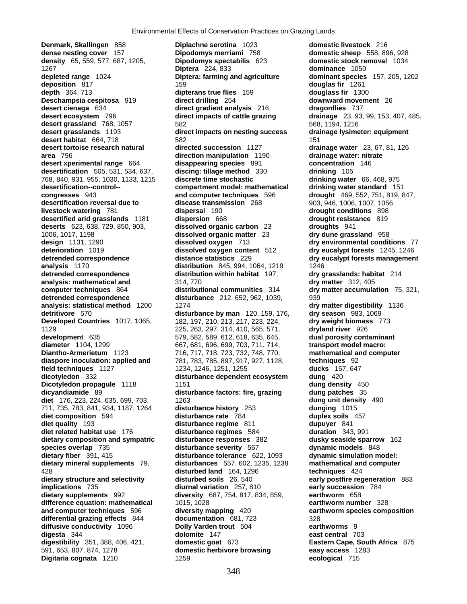**desert xperimental range** 664 **disappearing species** 891 **desertification** 505, 531, 534, 637, **discing: tillage method** 330 **dicotyledon** 332 **disturbance dependent ecosystem** dietary composition and sympatric **Digitaria cognata** 1210 1259 **ecological** 715

**Denmark, Skallingen** 858 **Diplachne serotina** 1023 **domestic livestock** 216 **dense nesting cover** 157 **Dipodomys merriami** 758 **domestic sheep** 558, 896, 928 **density** 65, 559, 577, 687, 1205, **Dipodomys spectabilis** 623 **domestic stock removal** 1034 1267 **Diptera** 224, 833 **dominance** 1050 **depleted range** 1024 **Diptera: farming and agriculture dominant species** 157, 205, 1202 **deposition** 817 159 **douglas fir** 1261 **depth** 364, 713 **dipterans true flies** 159 **douglass fir** 1300 **Deschampsia cespitosa** 919 **direct drilling** 254 **downward movement** 26 **desert cienaga** 634 **direct gradient analysis** 216 **dragonflies** 737 **desert ecosystem** 796 **direct impacts of cattle grazing drainage** 23, 93, 99, 153, 407, 485, **desert grassland** 768, 1057 582 568, 1194, 1216 **desert grasslands** 1193 **direct impacts on nesting success drainage lysimeter: equipment desert habitat** 664, 718 151 582 151 582 **desert tortoise research natural directed succession** 1127 **drainage water** 23, 67, 81, 126 **area** 796 **direction manipulation** 1190 **drainage water: nitrate desertification** 505, 531, 534, 637, **discing: tillage method** 330 **drinking** 105 768, 840, 931, 955, 1030, 1133, 1215 **discrete time stochastic drinking water** 66, 468, 975 **desertification--control-- compartment model: mathematical drinking water standard** 151 **congresses** 943 **and computer techniques** 596 **drought** 469, 552, 751, 819, 847, **desertification reversal due to disease transmission** 268 903, 946, 1006, 1007, 1056<br>**livestock watering 781 dispersal 190 dispersal 190 drought conditions** 898 **livestock watering** 781 **dispersal** 190 **drought conditions** 898 **desertified arid grasslands** 1181 **dispersion** 668 **drought resistance** 819 **deserts** 623, 638, 729, 850, 903, **dissolved organic carbon** 23 **droughts** 941 1006, 1017, 1198 **dissolved organic matter** 23 **dry dune grassland** 958 **design** 1131, 1290 **dissolved oxygen** 713 **dry environmental conditions** 77<br> **deterioration** 1019 **dissolved oxygen content** 512 **dry eucalypt forests** 1245, 1246 **dissolved oxygen content** 512 **dry eucalypt forests** 1245, 1246 **detrended correspondence distance statistics** 229 **dry eucalypt forests management analysis** 1170 **distribution** 845, 994, 1064, 1219 1246 **detrended correspondence distribution within habitat** 197, **dry grasslands: habitat** 214 **analysis: mathematical and** 314, 770 **dry matter** 312, 405 **computer techniques** 864 **distributional communities** 314 **dry matter accumulation** 75, 321, **detrended correspondence disturbance** 212, 652, 962, 1039, 939 **analysis: statistical method** 1200 1274 **dry matter digestibility** 1136 **detritivore** 570 **disturbance by man** 120, 159, 176, **dry season** 983, 1069 **Developed Countries** 1017, 1065, 182, 197, 210, 213, 217, 223, 224, **dry weight biomass** 773 1129 225, 263, 297, 314, 410, 565, 571, **dryland river** 926 **development** 635 579, 582, 589, 612, 618, 635, 645, **dual porosity contaminant diameter** 1104, 1299 667, 681, 696, 699, 703, 711, 714, **transport model macro: Diantho-Armerietum** 1123 716, 717, 718, 723, 732, 748, 770, **mathematical and computer diaspore inoculation: applied and** 781, 783, 785, 897, 917, 927, 1128, **techniques** 92 **field techniques** 1127 **1234, 1246, 1251, 1255 <b>ducks** 157, 647 **dicotyledon** 332 **disturbance dependent ecosystem dung** 420 **Dicotyledon propagule** 1118 1151 1151 **dung density** 450 **dicyandiamide** 89 **disturbance factors: fire, grazing dung patches** 35 **diet** 176, 223, 224, 635, 699, 703, 1263 **dung unit density** 490 711, 735, 783, 841, 934, 1187, 1264 **disturbance history** 253 **dunging** 1015 **diet composition** 594 **disturbance rate** 784 **duplex soils** 457 **diet quality** 193 **disturbance regime** 811 **dupuyer** 841 **diet related habitat use** 176 **disturbance regimes** 584 **duration** 343, 991 **species overlap** 735 **disturbance severity** 567 **dynamic models** 848 **dietary fiber** 391, 415 **disturbance tolerance** 622, 1093 **dynamic simulation model: dietary mineral supplements** 79, **disturbances** 557, 602, 1235, 1238 **mathematical and computer**  428 **disturbed land** 164, 1296 **techniques** 424 **dietary structure and selectivity disturbed soils** 26, 540 **early postfire regeneration** 883 **implications** 735 **diurnal variation** 257, 810 **early succession** 784 **dietary supplements** 992 **diversity** 687, 754, 817, 834, 859, **earthworm** 658 **difference equation: mathematical** 1015, 1028 **earthworm number** 328 **and computer techniques** 596 **diversity mapping** 420 **earthworm species composition differential grazing effects** 844 **documentation** 681, 723 328 **diffusive conductivity** 1096 **Dolly Varden trout** 504 **earthworms** 9<br>dolomite 147 **east central** 70 **digesta** 344 **dolomite** 147 **east central** 703 **digestibility** 351, 388, 406, 421, **domestic goat** 673 **Eastern Cape, South Africa** 875 591, 653, 807, 874, 1278 **domestic herbivore browsing easy access** 1283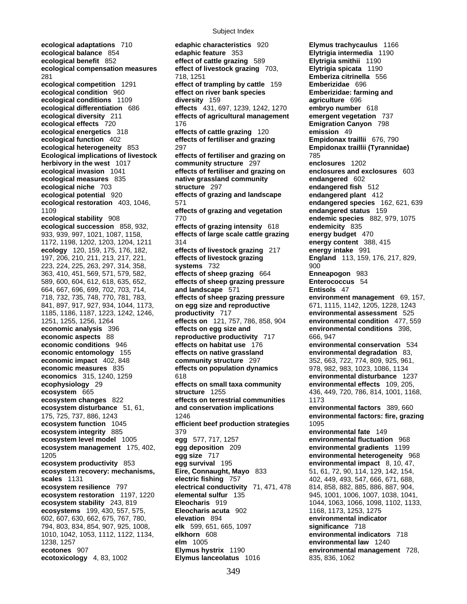**ecological adaptations** 710 **edaphic characteristics** 920 **Elymus trachycaulus** 1166 **ecological balance** 854 **edaphic feature** 353 **Elytrigia intermedia** 1190 **ecological benefit** 852 **effect of cattle grazing** 589 **ecological compensation measures effect of livestock grazing** 703, **Elytrigia spicata** 1190 281 718, 1251 **Emberiza citrinella** 556 **ecological competition** 1291 **effect of trampling by cattle** 159 **Emberizidae** 696 **ecological condition** 960 **effect on river bank species Emberizidae: farming and ecological conditions** 1109 **diversity** 159 **agriculture** 696 **ecological differentiation** 686 **effects** 431, 697, 1239, 1242, 1270 **embryo number** 618 **ecological diversity** 211 **effects of agricultural management emergent vegetation** 737 **ecological effects** 720 176 **Emigration Canyon** 798 **ecological energetics** 318 **effects of cattle grazing** 120 **emission** 49 **ecological function** 402 **effects of fertiliser and grazing Empidonax traillii** 676, 790 **ecological heterogeneity** 853 297 **Empidonax traillii (Tyrannidae) Ecological implications of livestock effects of fertiliser and grazing on** 785 **herbivory in the west** 1017 **community structure** 297 **enclosures** 1202 **ecological invasion** 1041 **effects of fertiliser and grazing on enclosures and exclosures** 603 **ecological measures** 835 **native grassland community endangered** 602 **ecological niche** 703 **structure** 297 **endangered fish** 512 **ecological potential** 920 **effects of grazing and landscape endangered plant** 412 **ecological restoration** 403, 1046, 571 **endangered species** 162, 621, 639 1109 **effects of grazing and vegetation endangered status** 159 **ecological stability** 908 770 **endemic species** 882, 979, 1075 **ecological succession** 858, 932, **effects of grazing intensity** 618 **endemicity** 835 933, 939, 997, 1021, 1087, 1158, **effects of large scale cattle grazing energy budget** 470 1172, 1198, 1202, 1203, 1204, 1211 314 **energy content** 388, 415 **ecology** 120, 159, 175, 176, 182, **effects of livestock grazing** 217 **energy intake** 991 197, 206, 210, 211, 213, 217, 221, **effects of livestock grazing England** 113, 159, 176, 217, 829, 223, 224, 225, 263, 297, 314, 358, **systems** 732 900 363, 410, 451, 569, 571, 579, 582, **effects of sheep grazing** 664 **Enneapogon** 983 589, 600, 604, 612, 618, 635, 652, **effects of sheep grazing pressure Enterococcus** 54 664, 667, 696, 699, 702, 703, 714, **and landscape** 571 **Entisols** 47 718, 732, 735, 748, 770, 781, 783, **effects of sheep grazing pressure environment management** 69, 157, 841, 897, 917, 927, 934, 1044, 1173, **on egg size and reproductive** 671, 1115, 1142, 1205, 1228, 1243 1185, 1186, 1187, 1223, 1242, 1246, **productivity** 717 **environmental assessment** 525 1251, 1255, 1256, 1264 **effects on** 121, 757, 786, 858, 904 **environmental condition** 477, 559 **economic analysis** 396 **effects on egg size and environmental conditions** 398, **economic aspects** 88 **reproductive productivity** 717 666, 947 **economic conditions** 946 **effects on habitat use** 176 **environmental conservation** 534 **economic entomology** 155 **effects on native grassland environmental degradation** 83,<br> **economic impact** 402, 848 **community structure** 297 352, 663, 722, 774, 809, 925, 961, **economic measures** 835 **effects on population dynamics** 978, 982, 983, 1023, 1086, 1134 **economics** 315, 1240, 1259 618 **environmental disturbance** 1237 **ecophysiology** 29 **effects on small taxa community environmental effects** 109, 205, **ecosystem** 665 **structure** 1255 436, 449, 720, 786, 814, 1001, 1168, **ecosystem changes** 822 **effects on terrestrial communities** 1173 **ecosystem disturbance** 51, 61, **and conservation implications environmental factors** 389, 660 175, 725, 737, 886, 1243 1246 **environmental factors: fire, grazing ecosystem function** 1045 **efficient beef production strategies** 1095 **ecosystem integrity** 885 **and 19 379 environmental fate** 149 **environmental fate** 149<br>**ecosystem level model 1005 egg 577, 717, 1257 environmental fluctuation** 968 **ecosystem level model** 1005 **egg** 577, 717, 1257 **ecosystem management** 175, 402, **egg deposition** 209 **environmental gradients** 1199 1205 **egg size** 717 **environmental heterogeneity** 968 **ecosystem productivity** 853 **egg survival** 195 **environmental impact** 8, 10, 47, **ecosystem recovery: mechanisms, Eire, Connaught, Mayo** 833 51, 61, 72, 90, 114, 129, 142, 154, **scales** 1131 **electric fishing** 757 402, 449, 493, 547, 666, 671, 688, **ecosystem resilience** 797 **electrical conductivity** 71, 471, 478 814, 858, 882, 885, 886, 887, 904, **ecosystem restoration** 1197, 1220 **elemental sulfur** 135 945, 1001, 1006, 1007, 1038, 1041, **ecosystem stability** 243, 819 **Eleocharis** 919 1044, 1063, 1066, 1098, 1102, 1133, **ecosystems** 199, 430, 557, 575, **Eleocharis acuta** 902 1168, 1173, 1253, 1275 602, 607, 630, 662, 675, 767, 780, **elevation** 894 **environmental indicator**  794, 803, 834, 854, 907, 925, 1008, **elk** 599, 651, 665, 1097 **significance** 718 1010, 1042, 1053, 1112, 1122, 1134, **elkhorn** 608 **environmental indicators** 718 1238, 1257 **elm** 1005 **environmental law** 1240 **ecotones** 907 **Elymus hystrix** 1190 **environmental management** 728, **ecotoxicology** 4, 83, 1002 **Elymus lanceolatus** 1016 835, 836, 1062

**economic impact** 402, 848 **community structure** 297 352, 663, 722, 774, 809, 925, 961,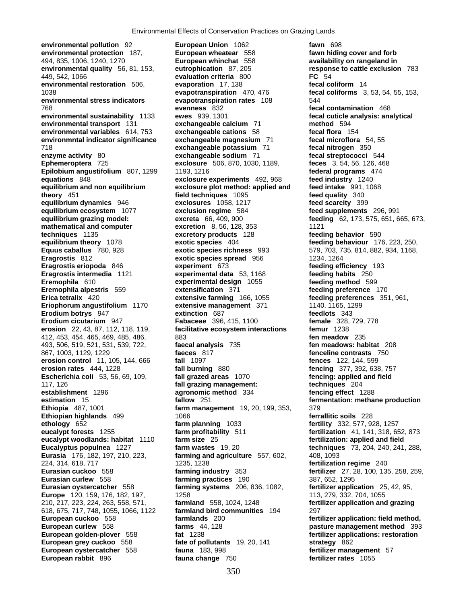**environmental protection** 187, **European wheatear** 558 **fawn hiding cover and forb 494, 835, 1006, 1240, 1270 European whinchat** 558 **and an angeland in** 494, 835, 1006, 1240, 1270 **European whinchat** 558 **availability on rangeland in environmental quality** 56, 81, 153, **eutrophication** 87, 205 **response to cattle exclusion** 783 449, 542, 1066 **evaluation criteria** 800 **FC** 54 **environmental restoration** 506, **evaporation** 17, 138 **fecal coliform** 14 1038 **evapotranspiration** 470, 476 **fecal coliforms** 3, 53, 54, 55, 153, **environmental stress indicators evapotranspiration rates** 108 544 768 **evenness** 832 **fecal contamination** 468 **environmental sustainability** 1133 **ewes** 939, 1301 **fecal cuticle analysis: analytical environmental transport** 131 **exchangeable calcium** 71 **method** 594 **environmental variables** 614, 753 **exchangeable cations** 58 **fecal flora** 154 **environmntal indicator significance beachangeable magnesium** 71 718 **exchangeable potassium** 71 **fecal nitrogen** 350 **enzyme activity** 80 **exchangeable sodium** 71 **fecal streptococci** 544 **Epilobium angustifolium** 807, 1299 1193, 1216 **federal programs** 4<br> **equations** 848 **feed industry** 1240 **equations** 848 **exclosure experiments** 492, 968 **equilibrium and non equilibrium exclosure plot method: applied and feed intake** 991, 1068 **theory** 451 **field techniques** 1095 **feed quality** 340 **equilibrium dynamics** 946 **exclosures** 1058, 1217 **feed scarcity** 399 **equilibrium ecosystem** 1077 **exclusion regime** 584 **feed supplements** 296, 991 **equilibrium grazing model: excreta** 66, 409, 900 **feeding** 62, 173, 575, 651, 665, 673, **mathematical and computer excretion** 8, 56, 128, 353 1121<br> **excretory products** 128 feedi **techniques** 1135 **excretory products** 128 **feeding behavior** 590 **Equus caballus** 780, 928 **exotic species richness** 993 579, 703, 735, 814, 882, 934, 1168, **Eragrostis** 812 **exotic species spread** 956 1234, 1264 **Eragrostis eriopoda** 846 **experiment** 673 **feeding efficiency** 193 **Eragrostis intermedia** 1121 **experimental data** 53, 1168 **feeding habits** 250 **Eremophila** 610 **experimental design** 1055 **feeding method** 599 **Eremophila alpestris** 559 **extensification** 371 **feeding preference** 170 **Erica tetralix** 420 **extensive farming** 166, 1055 **feeding preferences** 351, 961, **Eriophorum angustifolium** 1170 **extensive management** 371 1140, 1165, 1299 **Erodium botrys** 947 **extinction** 687 **feedlots** 343 **Erodium cicutarium** 947 **Fabaceae** 396, 415, 1100 **female** 328, 729, 778 **erosion** 22, 43, 87, 112, 118, 119, **facilitative ecosystem interactions** 412, 453, 454, 465, 469, 485, 486, 883 **fen meadow** 235 493, 506, 519, 521, 531, 539, 722, **faecal analysis** 735 **fen meadows: habitat** 208 867, 1003, 1129, 1229 **faeces** 817 **fenceline contrasts** 750 **erosion control** 11, 105, 144, 666 **fall** 1097 **fences** 122, 144, 599 **erosion rates** 444, 1228 **fall burning** 880 **fencing** 377, 392, 638, 757 **Escherichia coli** 53, 56, 69, 109, **fall grazed areas** 1070 **fencing: applied and field** 117, 126 **fall grazing management: techniques** 204 **establishment** 1296 **agronomic method** 334 **fencing effect** 1288 **estimation** 15 **fallow** 251 **fermentation: methane production Ethiopia** 487, 1001 **farm management** 19, 20, 199, 353, 379 **Ethiopian highlands** 499 1066 **ferrallitic soils** 228 **ethology** 652 **farm planning** 1033 **fertility** 332, 577, 928, 1257 **eucalypt forests** 1255 **farm profitability** 511 **fertilization** 41, 141, 318, 652, 873 **eucalypt woodlands: habitat** 1110 **farm size** 25<br>**Eucalyptus populnea** 1227 **farm wastes** 19, 20 **Eucalyptus populnea** 1227 **farm wastes** 19, 20 **techniques** 73, 204, 240, 241, 288, **Eurasia** 176, 182, 197, 210, 223, **farming and agriculture** 557, 602, 408, 1093 224, 314, 618, 717 1235, 1238 **fertilization regime** 240 **Eurasian cuckoo** 558 **farming industry** 353 **fertilizer** 27, 28, 100, 135, 258, 259, **Eurasian curlew** 558 **farming practices** 190 387, 652, 1295 **Eurasian oystercatcher** 558 **farming systems** 206, 836, 1082, **fertilizer application** 25, 42, 95, **Europe** 120, 159, 176, 182, 197, 1258 1258 113, 279, 332, 704, 1055 210, 217, 223, 224, 263, 558, 571, **farmland** 558, 1024, 1248 **fertilizer application and grazing** 618, 675, 717, 748, 1055, 1066, 1122 **farmland bird communities** 194 297 **European cuckoo** 558 **farmlands** 200 **fertilizer application: field method,**  European golden-plover 558 **fat** 1238 **face 19, 20, 141** fertilizer applications: restoration<br> **European grey cuckoo** 558 fate of pollutants 19, 20, 141 strategy 862 **European grey cuckoo** 558 **fate of pollutants** 19, 20, 141 **European oystercatcher** 558 **fauna** 183, 998 **fertilizer management** 57 **European rabbit** 896 **fauna change** 750 **fertilizer rates** 1055

**environmental pollution** 92 **European Union** 1062 **fawn** 698 **exclosure** 506, 870, 1030, 1189, **feces** 3, 54, 56, 126, 468<br>1193, 1216 **federal programs** 474 **exotic species** 404 **feeding behaviour** 176, 223, 250, **Farms** 44, 128 *pasture management method* 393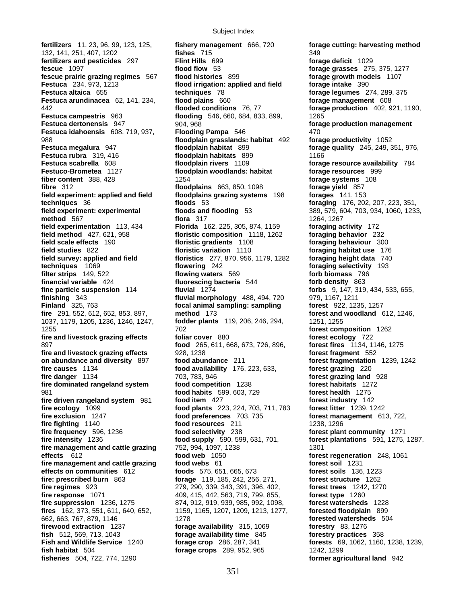**fertilizers** 11, 23, 96, 99, 123, 125, **fishery management** 666, 720 **forage cutting: harvesting method** 132, 141, 251, 407, 1202 **fishes** 715 349 **fertilizers and pesticides** 297 **Flint Hills** 699 **forage deficit** 1029 **fescue** 1097 **flood flow** 53 **forage grasses** 275, 375, 1277 **fescue prairie grazing regimes** 567 **flood histories** 899 **forage growth models** 1107 **Festuca** 234, 973, 1213 **flood irrigation: applied and field** forage intake 390 **Festuca altaica** 655 **techniques** 78 **forage legumes** 274, 289, 375 **Festuca arundinacea** 62, 141, 234, **flood plains** 660 **forage management** 608 442 **flooded conditions** 76, 77 **forage production** 402, 921, 1190, **Festuca campestris** 963 **flooding** 546, 660, 684, 833, 899, 1265 **Festuca dertonensis** 947 904, 968 *noise and the setuca dertonensis* 947 **Festuca idahoensis** 608, 719, 937, **Flooding Pampa** 546 470 988 **floodplain grasslands: habitat** 492 **forage productivity** 1052 **Festuca megalura** 947 **floodplain habitat** 899 **forage quality** 245, 249, 351, 976, **Festuca rubra** 319, 416 **floodplain habitats** 899 1166 **Festuca scabrella** 608 **floodplain rivers** 1109 **forage resource availability** 784 **Festuco-Brometea** 1127 **floodplain woodlands: habitat forage resources** 999 **fiber content** 388, 428 1254 **forage systems** 108 **fibre** 312 **floodplains** 663, 850, 1098 **forage yield** 857 **field experiment: applied and field floodplains grazing systems** 198 **forages** 141, 153 **techniques** 36 **floods** 53 **foraging** 176, 202, 207, 223, 351, **field experiment: experimental floods and flooding** 53 389, 579, 604, 703, 934, 1060, 1233, **method** 567 **flora** 317 1264, 1267 **field experimentation** 113, 434 **Florida** 162, 225, 305, 874, 1159 **foraging activity** 172<br>**field method** 427, 621, 958 **floristic composition** 1118, 1262 **foraging behavior** 232 **field scale effects** 190 **floristic gradients** 1108 **foraging behaviour** 300 **field studies** 822 **floristic variation** 1110 **foraging habitat use** 176 **field survey: applied and field floristics** 277, 870, 956, 1179, 1282 **foraging height data** 740<br>**flowering** 242 **foraging selectivity** 193 **filter strips** 149, 522 **flowing waters** 569 **forb biomass** 796 **financial variable** 424 **fluorescing bacteria** 544 **forb density** 863 **fine particle suspension** 114 **fluvial** 1274 **forbs** 9, 147, 319, 434, 533, 655, **finishing** 343 **fluvial morphology** 488, 494, 720 979, 1167, 1211 **Finland** 325, 763 **focal animal sampling: sampling forest** 922, 1235, 1257 **fire** 291, 552, 612, 652, 853, 897, **method** 173 **forest and woodland** 612, 1246, 1037, 1179, 1205, 1236, 1246, 1247, **fodder plants** 119, 206, 246, 294, 1251, 1255 1255 702 **forest composition** 1262 **fire and livestock grazing effects foliar cover** 880 **forest ecology** 722 **food** 265, 611, 668, 673, 726, 896, **fire and livestock grazing effects** 928, 1238 **forest fragment** 552 **on abundance and diversity** 897 **food abundance** 211 **forest fragmentation** 1239, 1242 **fire causes** 1134 **food availability** 176, 223, 633, **forest grazing** 220 **fire dominated rangeland system food competition** 1238 **forest habitats** 1272 981 **food habits** 599, 603, 729 **forest health** 1275 **fire driven rangeland system** 981 **food item** 427 **forest industry** 142 **fire ecology** 1099 **food plants** 223, 224, 703, 711, 783 **forest litter** 1239, 1242 **fire exclusion** 1247 **food preferences** 703, 735 **forest management** 613, 722, **fire fighting** 1140 **food resources** 211 **food resources** 211 **forest plan**<br>**fire frequency** 596, 1236 **food selectivity** 238 **forest plan fire intensity** 1236 **food supply** 590, 599, 631, 701, **forest plantations** 591, 1275, 1287, **fire management and cattle grazing 752, 994, 1097, 1238 1301 1301 effects** 612 **food web** 1050 **forest regeneration** 248, 1061 **fire management and cattle grazing food webs** 61 **forest soil** 1231 **effects on communities** 612 **foods** 575, 651, 665, 673 **forest soils** 136, 1223 **fire: prescribed burn** 863 **forage** 119, 185, 242, 256, 271, **forest structure** 1262 **fire regimes** 923 279, 290, 339, 343, 391, 396, 402, **forest trees** 1242, 1270 **fire response** 1071 409, 415, 442, 563, 719, 799, 855, **forest type** 1260 **fire suppression** 1236, 1275 874, 912, 919, 939, 985, 992, 1098, **forest watersheds** 1228 **fires** 162, 373, 551, 611, 640, 652, 1159, 1165, 1207, 1209, 1213, 1277, **forested floodplain** 899 662, 663, 767, 879, 1146 1278 **forested watersheds** 504 **firewood extraction** 1237 **forage availability** 315, 1069 **forestry** 83, 1276<br>**fish** 512, 569, 713, 1043 **forage availability time** 845 **forestry practices fish** 512, 569, 713, 1043 **forage availability time** 845 **forestry practices** 358 **fish habitat** 504 **forage crops** 289, 952, 965 1242, 1299 **fisheries** 504, 722, 774, 1290 **former agricultural land** 942

**floristic composition** 1118, 1262 **fire danger** 1134 703, 783, 946 **forest grazing land** 928 **food selectivity** 238 **forest plant community** 1271<br>**food supply** 590, 599, 631, 701, **forest plantations** 591, 1275,

**foraging selectivity** 193 **forests** 69, 1062, 1160, 1238, 1239,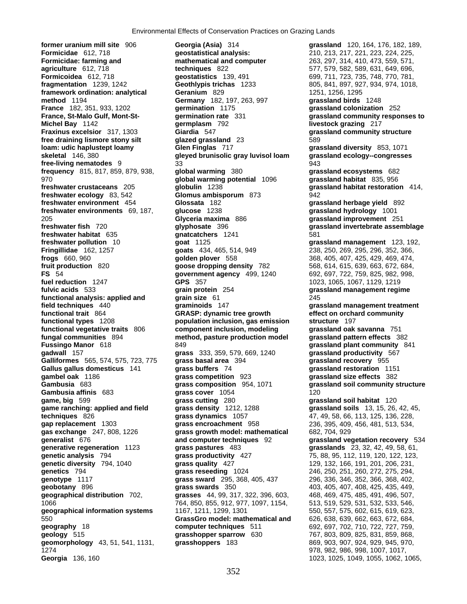**skeletal** 146, 380 **gleyed brunisolic gray luvisol loam functional types** 1208 **population inclusion, gas emission** 1066 764, 850, 855, 912, 977, 1097, 1154, 513, 519, 529, 531, 532, 533, 546, **geomorphology** 43, 51, 541, 1131, **grasshoppers** 183 1274 978, 982, 986, 998, 1007, 1017, **Georgia** 136, 160 1023, 1025, 1049, 1055, 1062, 1065, 1065, 1065, 1066, 1056, 1056, 1066, 1066, 1065, 1066,

**former uranium mill site** 906 **Georgia (Asia)** 314 **grassland** 120, 164, 176, 182, 189, **Formicidae** 612, 718 **geostatistical analysis:** 210, 213, 217, 221, 223, 224, 225, **Formicidae: farming and mathematical and computer** 263, 297, 314, 410, 473, 559, 571, **agriculture** 612, 718 **techniques** 822 577, 579, 582, 589, 631, 649, 696, **Formicoidea** 612, 718 **geostatistics** 139, 491 699, 711, 723, 735, 748, 770, 781, **fragmentation** 1239, 1242 **Geothlypis trichas** 1233 805, 841, 897, 927, 934, 974, 1018, **framework ordination: analytical Geranium** 829 1251, 1251, 1256, 1295 **method** 1194 **Germany** 182, 197, 263, 997 **grassland birds** 1248 **France** 182, 351, 933, 1202 **germination** 1175 **grassland colonization** 252 **France, St-Malo Gulf, Mont-St- germination rate** 331 **grassland community responses to Michel Bay** 1142 **germplasm** 792 **livestock grazing** 217 **Fraxinus excelsior** 317, 1303 **Giardia** 547 **grassland community structure free draining lismore stony silt glazed grassland** 23 589 **loam: udic haplustept loamy Glen Finglas** 717 **grassland diversity** 853, 1071 **free-living nematodes** 9 33 943 **frequency** 815, 817, 859, 879, 938, **global warming** 380 **grassland ecosystems** 682 970 **global warming potential** 1096 **grassland habitat** 835, 956 **freshwater crustaceans** 205 **globulin** 1238 **grassland habitat restoration** 414, **freshwater ecology** 83, 542 **Glomus ambisporum** 873 942 **freshwater environment** 454 **Glossata** 182 **grassland herbage yield** 892 **freshwater environments** 69, 187, **glucose** 1238 **grassland hydrology** 1001 205 **Glyceria maxima** 886 **grassland improvement** 251 **freshwater fish** 720 **glyphosate** 396 **grassland invertebrate assemblage freshwater habitat** 635 **gnatcatchers** 1241 581 **freshwater pollution** 10 **goat** 1125 **grassland management** 123, 192, **Fringillidae** 162, 1257 **goats** 434, 465, 514, 949 238, 250, 269, 295, 296, 352, 366, **frogs** 660, 960 **golden plover** 558 368, 405, 407, 425, 429, 469, 474, **fruit production** 820 **goose dropping density** 782 568, 614, 615, 639, 663, 672, 684, **FS** 54 **government agency** 499, 1240 692, 697, 722, 759, 825, 982, 998, **fuel reduction** 1247 **GPS** 357 **1023, 1065, 1067, 1129, 1219 fulvic acids** 533 **grain protein** 254 **grassland management regime functional analysis: applied and grain size** 61 245 **field techniques** 440 **graminoids** 147 **grassland management treatment functional trait** 864 **GRASP: dynamic tree growth effect on orchard community functional vegetative traits** 806 **component inclusion, modeling grassland oak savanna** 751 **fungal communities** 894 **method, pasture production model grassland pattern effects** 382 **Fussingo Manor** 618 **649** 849 **grassland plant community** 841 **gadwall** 157 **grass** 333, 359, 579, 669, 1240 **grassland productivity** 567 **Galliformes** 565, 574, 575, 723, 775 **grass basal area** 394 **grassland recovery** 955 **Gallus gallus domesticus** 141 **grass buffers** 74 **grassland restoration** 1151 **Gambusia** 683 **grass composition** 954, 1071 **grassland soil community structure Gambusia affinis** 683 **grass cover** 1054 **120 game, big** 599 **grass cutting** 280 **grassland soil habitat** 120 **game ranching: applied and field grass density** 1212, 1288 **grassland soils** 13, 15, 26, 42, 45, **techniques** 826 **grass dynamics** 1057 47, 49, 58, 66, 113, 125, 136, 228, **gap replacement** 1303 **grass encroachment** 958 236, 395, 409, 456, 481, 513, 534, **gap replacement** 1303 **grass encroachment** 958 236, 395, 409, 456, 481, 513, 534, **gas exchange** 247, 808, 1226 **grass growth model: mathematical** 682, 704, 929 **generative regeneration** 1123 **grass pastures** 483 **grasslands** 23, 32, 42, 49, 58, 61, **grass productivity** 427 75, 88, 95, 112, 119, 120, 122, 123, **genetic diversity** 794, 1040 **grass quality** 427 **129, 132, 166, 191, 201, 206, 231, <br><b>grass reseeding** 1024 246, 250, 251, 260, 272, 275, 294, **grass reseeding** 1024 246, 250, 251, 260, 272, 275, 294, 288, 289, 275, 294, 280, 272, 275, 294, 202, **genotype** 1117 **grass sward** 295, 368, 405, 437 296, 336, 346, 352, 366, 368, 402, **geobotany** 896 **grass swards** 350 403, 405, 407, 408, 425, 435, 449, **geographical distribution** 702, **grasses** 44, 99, 317, 322, 396, 603, 468, 469, 475, 485, 491, 496, 507, **geographical information systems** 1167, 1211, 1299, 1301 550, 557, 575, 602, 615, 619, 623, 550 **GrassGro model: mathematical and** 626, 638, 639, 662, 663, 672, 684, **geography** 18 **computer techniques** 511 692, 697, 702, 710, 722, 727, 759, **geology** 515 **grasshopper sparrow** 630 767, 803, 809, 825, 831, 859, 868,

**grassland size effects** 382 grassland vegetation recovery 534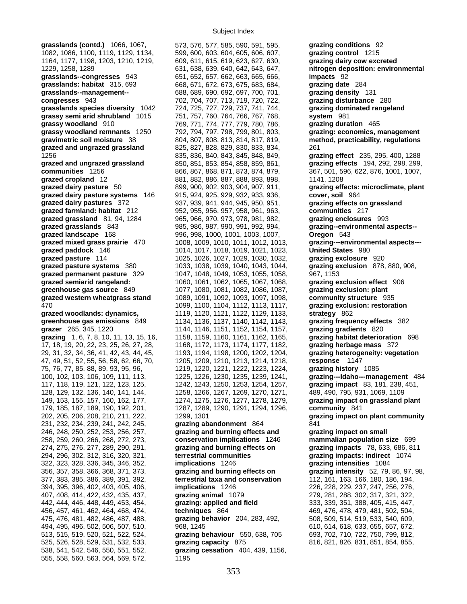**grasslands (contd.)** 1066, 1067, 573, 576, 577, 585, 590, 591, 595, **grazing conditions** 92 1082, 1086, 1100, 1119, 1129, 1134, 599, 600, 603, 604, 605, 606, 607, **grazing control** 1215 1164, 1177, 1198, 1203, 1210, 1219, 609, 611, 615, 619, 623, 627, 630, **grazing dairy cow excreted**  1229, 1258, 1289 631, 638, 639, 640, 642, 643, 647, **nitrogen deposition: environmental grasslands--congresses** 943 651, 652, 657, 662, 663, 665, 666, **impacts** 92 **grasslands: habitat** 315, 693 668, 671, 672, 673, 675, 683, 684, **grazing date** 284 **grasslands: habitat** 315, 693 668, 671, 672, 673, 675, 683, 684, **grasslands--management--** 688, 689, 690, 692, 697, 700, 701, **grazing density** 131 **congresses** 943 702, 704, 707, 713, 719, 720, 722, **grazing disturbance** 280 **grasslands species diversity** 1042 724, 725, 727, 729, 737, 741, 744, **grazing dominated rangeland grassy semi arid shrubland** 1015 751, 757, 760, 764, 766, 767, 768, **system** 981 **grassy woodland** 910 769, 771, 774, 777, 779, 780, 786, **grazing duration** 465 **grassy woodland remnants** 1250 792, 794, 797, 798, 799, 801, 803, **grazing: economics, management gravimetric soil moisture** 38 804, 807, 808, 813, 814, 817, 819, **method, practicability, regulations grazed and ungrazed grassland** 825, 827, 828, 829, 830, 833, 834, 261 1256 835, 836, 840, 843, 845, 848, 849, **grazing effect** 235, 295, 400, 1288 **grazed and ungrazed grassland** 850, 851, 853, 854, 858, 859, 861, **grazing effects** 194, 292, 298, 299, **communities** 1256 866, 867, 868, 871, 873, 874, 879, 367, 501, 596, 622, 876, 1001, 1007, **grazed cropland** 12 881, 882, 886, 887, 888, 893, 898, 1141, 1208 **grazed dairy pasture** 50 899, 900, 902, 903, 904, 907, 911, **grazing effects: microclimate, plant grazed dairy pasture systems** 146 915, 924, 925, 929, 932, 933, 936, **cover, soil** 964 **grazed dairy pastures** 372 937, 939, 941, 944, 945, 950, 951, **grazing effects on grassland grazed farmland: habitat** 212 952, 955, 956, 957, 958, 961, 963, **communities** 217 **grazed grassland** 81, 94, 1284 965, 966, 970, 973, 978, 981, 982, **grazing enclosures** 993 **grazed grasslands** 843 985, 986, 987, 990, 991, 992, 994, **grazing--environmental aspects- grazed landscape** 168 996, 998, 1000, 1001, 1003, 1007, **Oregon** 543 **grazed mixed grass prairie** 470 1008, 1009, 1010, 1011, 1012, 1013, **grazing---environmental aspects-- grazed paddock** 146 1014, 1017, 1018, 1019, 1021, 1023, **United States** 980 **grazed pasture** 114 1025, 1026, 1027, 1029, 1030, 1032, **grazing exclosure** 920 **grazed pasture systems** 380 1033, 1038, 1039, 1040, 1043, 1044, **grazing exclusion** 878, 880, 908, **grazed permanent pasture** 329 1047, 1048, 1049, 1053, 1055, 1058, 967, 1153 **grazed semiarid rangeland:** 1060, 1061, 1062, 1065, 1067, 1068, **grazing exclusion effect** 906 **greenhouse gas source** 849 1077, 1080, 1081, 1082, 1086, 1087, **grazing exclusion: plant grazed western wheatgrass stand** 1089, 1091, 1092, 1093, 1097, 1098, **community structure** 935 470 1099, 1100, 1104, 1112, 1113, 1117, **grazing exclusion: restoration grazed woodlands: dynamics,** 1119, 1120, 1121, 1122, 1129, 1133, **strategy** 862 **greenhouse gas emissions** 849 1134, 1136, 1137, 1140, 1142, 1143, **grazing frequency effects** 382 **grazer** 265, 345, 1220 1144, 1146, 1151, 1152, 1154, 1157, **grazing gradients** 820 **grazing** 1, 6, 7, 8, 10, 11, 13, 15, 16, 1158, 1159, 1160, 1161, 1162, 1165, **grazing habitat deterioration** 698 17, 18, 19, 20, 22, 23, 25, 26, 27, 28, 1168, 1172, 1173, 1174, 1177, 1182, **grazing herbage mass** 372 29, 31, 32, 34, 36, 41, 42, 43, 44, 45, 1193, 1194, 1198, 1200, 1202, 1204, **grazing heterogeneity: vegetation**  47, 49, 51, 52, 55, 56, 58, 62, 66, 70, 1205, 1209, 1210, 1213, 1214, 1218, **response** 1147 75, 76, 77, 85, 88, 89, 93, 95, 96, 1219, 1220, 1221, 1222, 1223, 1224, **grazing history** 1085 117, 118, 119, 121, 122, 123, 125, 1242, 1243, 1250, 1253, 1254, 1257, **grazing impact** 83, 181, 238, 451, 128, 129, 132, 136, 140, 141, 144, 1258, 1266, 1267, 1269, 1270, 1271, 489, 490, 795, 931, 1069, 1109 149, 153, 155, 157, 160, 162, 177, 1274, 1275, 1276, 1277, 1278, 1279, **grazing impact on grassland plant**  179, 185, 187, 189, 190, 192, 201, 1287, 1289, 1290, 1291, 1294, 1296, **community** 841 231, 232, 234, 239, 241, 242, 245, **grazing abandonment** 864 841 246, 248, 250, 252, 253, 256, 257, **grazing and burning effects and grazing impact on small**  258, 259, 260, 266, 268, 272, 273, **conservation implications** 1246 **mammalian population size** 699 274, 275, 276, 277, 289, 290, 291, **grazing and burning effects on grazing impacts** 78, 633, 686, 811 294, 296, 302, 312, 316, 320, 321, **terrestrial communities** 322, 323, 328, 336, 345, 346, 352, **implications** 1246 **grazing intensities** 1084 356, 357, 358, 366, 368, 371, 373, **grazing and burning effects on grazing intensity** 52, 79, 86, 97, 98, 377, 383, 385, 386, 389, 391, 392, **terrestrial taxa and conservation** 112, 161, 163, 166, 180, 186, 194, 394, 395, 396, 402, 403, 405, 406, **implications** 1246 226, 228, 229, 237, 247, 256, 276, 407, 408, 414, 422, 432, 435, 437, **grazing animal** 1079 279, 281, 288, 302, 317, 321, 322, 442, 444, 446, 448, 449, 453, 454, **grazing: applied and field** 333, 339, 351, 388, 405, 415, 447, 456, 457, 461, 462, 464, 468, 474, **techniques** 864 469, 476, 478, 479, 481, 502, 504, 475, 476, 481, 482, 486, 487, 488, **grazing behavior** 204, 283, 492, 508, 509, 514, 519, 533, 540, 609, 494, 495, 496, 502, 506, 507, 510, 968, 1245 610, 614, 618, 633, 655, 657, 672, 513, 515, 519, 520, 521, 522, 524, **grazing behaviour** 550, 638, 705 693, 702, 710, 722, 750, 799, 812, 525, 526, 528, 529, 531, 532, 533, **grazing capacity** 875 816, 821, 826, 831, 851, 854, 855,

538, 541, 542, 546, 550, 551, 552, **grazing cessation** 404, 439, 1156, 555, 558, 560, 563, 564, 569, 572, 1195

100, 102, 103, 106, 109, 111, 113, 1225, 1226, 1230, 1235, 1239, 1241, **grazing---Idaho---management** 484 202, 205, 206, 208, 210, 211, 222, 1299, 1301 **grazing impact on plant community**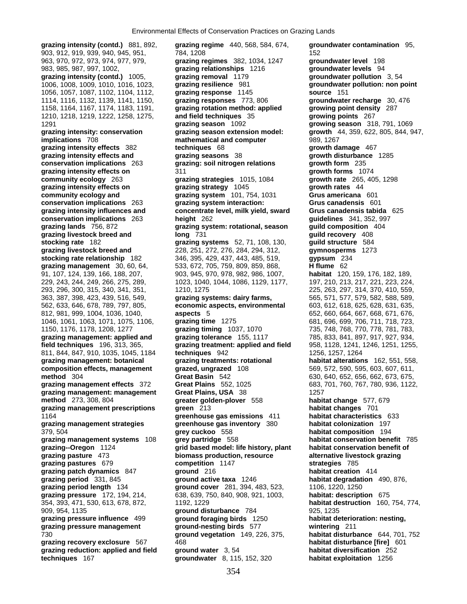**grazing intensity (contd.)** 881, 892, **grazing regime** 440, 568, 584, 674, **groundwater contamination** 95, 903, 912, 919, 939, 940, 945, 951, 784, 1208 152 963, 970, 972, 973, 974, 977, 979, **grazing regimes** 382, 1034, 1247 **groundwater level** 198 983, 985, 987, 997, 1002, **grazing relationships** 1216 **groundwater levels** 94 **grazing intensity (contd.)** 1005, **grazing removal** 1179 **groundwater pollution** 3, 54 1006, 1008, 1009, 1010, 1016, 1023, **grazing resilience** 981 **groundwater pollution: non point**  1056, 1057, 1087, 1102, 1104, 1112, **grazing response** 1145 **source** 151 1114, 1116, 1132, 1139, 1141, 1150, **grazing responses** 773, 806 **groundwater recharge** 30, 476 1158, 1164, 1167, 1174, 1183, 1191, **grazing rotation method: applied growing point density** 287 1210, 1218, 1219, 1222, 1258, 1275, **and field techniques** 35 **growing points** 267 1291 **grazing season** 1092 **growing season** 318, 791, 1069 **grazing intensity: conservation grazing season extension model: growth** 44, 359, 622, 805, 844, 947, **implications** 708 **mathematical and computer** 989, 1267 **grazing intensity effects** 382 **techniques** 68 **growth damage** 467 **grazing intensity effects and grazing seasons** 38 **growth disturbance** 1285 **conservation implications** 263 **grazing: soil nitrogen relations growth form** 235 **grazing intensity effects on** 311 **growth forms** 1074 **community ecology** 263 **grazing strategies** 1015, 1084 **growth rate** 265, 405, 1298 **grazing intensity effects on grazing strategy** 1045 **growth rates** 44 **community ecology and grazing system** 101, 754, 1031 **Grus americana** 601 **conservation implications** 263 **grazing system interaction: Grus canadensis** 601 **grazing intensity influences and concentrate level, milk yield, sward Grus canadensis tabida** 625 **conservation implications** 263 **height** 262 **guidelines** 341, 352, 997 **grazing lands** 756, 872 **grazing system: rotational, season guild composition** 404 **grazing livestock breed and long** 731 **guild recovery** 408 **stocking rate** 182 **grazing systems** 52, 71, 108, 130, **guild structure** 584 **grazing livestock breed and** 228, 251, 272, 276, 284, 294, 312, **gymnosperms** 1273 **stocking rate relationship** 182 346, 395, 429, 437, 443, 485, 519, **gypsum** 234 **grazing management** 30, 60, 64, 533, 672, 705, 759, 809, 859, 868, **H flume** 62 91, 107, 124, 139, 166, 188, 207, 903, 945, 970, 978, 982, 986, 1007, **habitat** 120, 159, 176, 182, 189, 229, 243, 244, 249, 266, 275, 289, 1023, 1040, 1044, 1086, 1129, 1177, 197, 210, 213, 217, 221, 223, 224, 293, 296, 300, 315, 340, 341, 351, 1210, 1275 225, 263, 297, 314, 370, 410, 559, 363, 387, 398, 423, 439, 516, 549, **grazing systems: dairy farms,** 565, 571, 577, 579, 582, 588, 589, 562, 633, 646, 678, 789, 797, 805, **economic aspects, environmental** 603, 612, 618, 625, 628, 631, 635, 812, 981, 999, 1004, 1036, 1040, **aspects** 5 652, 660, 664, 667, 668, 671, 676, 1046, 1061, 1063, 1071, 1075, 1106, **grazing time** 1275 681, 696, 699, 706, 711, 718, 723, 1150, 1176, 1178, 1208, 1277 **grazing timing** 1037, 1070 735, 748, 768, 770, 778, 781, 783, **grazing management: applied and grazing tolerance** 155, 1117 785, 833, 841, 897, 917, 927, 934, **field techniques** 196, 313, 365, **grazing treatment: applied and field** 958, 1128, 1241, 1246, 1251, 1255, 811, 844, 847, 910, 1035, 1045, 1184 **techniques** 942 1256, 1257, 1264 **grazing management: botanical grazing treatments: rotational habitat alterations** 162, 551, 558, **composition effects, management grazed, ungrazed** 108 569, 572, 590, 595, 603, 607, 611, **method** 304 **Great Basin** 542 630, 640, 652, 656, 662, 673, 675, **grazing management effects** 372 **Great Plains** 552, 1025 683, 701, 760, 767, 780, 936, 1122, **grazing management: management Great Plains, USA** 38 1257 **method** 273, 308, 804 **greater golden-plover** 558 **habitat change** 577, 679 **grazing management prescriptions green** 213 **habitat changes** 701 1164 **greenhouse gas emissions** 411 **habitat characteristics** 633 **grazing management strategies greenhouse gas inventory** 380 **habitat colonization** 197 379, 504 **grey cuckoo** 558 **habitat composition** 194 **grazing management systems** 108 **grey partridge** 558 **habitat conservation benefit** 785 **grazing--Oregon** 1124 **grid based model: life history, plant habitat conservation benefit of grazing pasture** 473 **biomass production, resource alternative livestock grazing grazing pastures** 679 **competition** 1147 **strategies** 785 **grazing patch dynamics** 847 **ground** 216 **habitat creation** 414 **grazing period** 331, 845 **ground active taxa** 1246 **habitat degradation** 490, 876, **grazing period length** 134 **ground cover** 281, 394, 483, 523, 1106, 1220, 1250 **grazing pressure** 172, 194, 214, 638, 639, 750, 840, 908, 921, 1003, **habitat: description** 675 354, 393, 471, 530, 613, 678, 872, 1192, 1229 **habitat destruction** 160, 754, 774, 909, 954, 1135 **ground disturbance** 784 925, 1235 **grazing pressure influence** 499 **ground foraging birds** 1250 **habitat deterioration: nesting, grazing pressure management ground-nesting birds** 577 **wintering** 211 730 **ground vegetation** 149, 226, 375, **habitat disturbance** 644, 701, 752 **grazing recovery exclosure** 567 468 **habitat disturbance [fire]** 601 **grazing reduction: applied and field ground water** 3, 54 **habitat diversification** 252

**techniques** 167 **groundwater** 8, 115, 152, 320 **habitat exploitation** 1256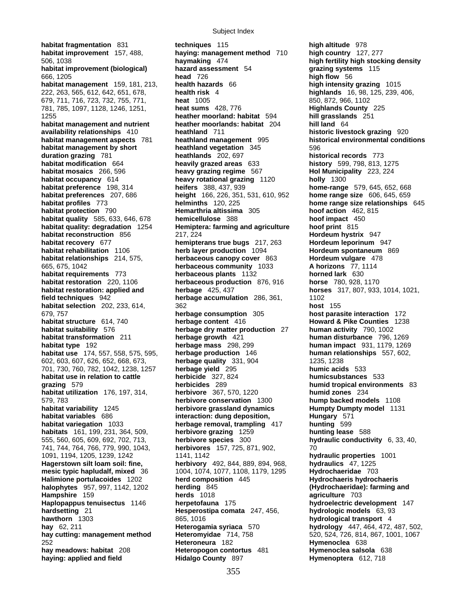**habitat fragmentation** 831 **techniques** 115 **high altitude** 978 **habitat management and nutrient heather moorlands: habitat** 204 **availability relationships** 410 **heathland** 711 **habitat use** 174, 557, 558, 575, 595, **herbage production** 146 **haying: applied and field Hidalgo County** 897 **Hymenoptera** 612, 718

**habitat improvement** 157, 488, **haying: management method** 710 **high country** 127, 277 506, 1038 **haymaking** 474 **high fertility high stocking density habitat improvement (biological) hazard assessment** 54 **grazing systems** 115 666, 1205 **head** 726 **high flow** 56 **habitat management** 159, 181, 213, **health hazards** 66 **high intensity grazing** 1015 222, 263, 565, 612, 642, 651, 678, **health risk** 4 **highlands** 16, 98, 125, 239, 406, 679, 711, 716, 723, 732, 755, 771, **heat** 1005 850, 872, 966, 1102 781, 785, 1097, 1128, 1246, 1251, **heat sums** 428, 776 **Highlands County** 225 1255 **heather moorland: habitat** 594 **hill grasslands** 251 **availability relationships** 410 **heathland** 711 **historic livestock grazing** 920 **habitat management aspects** 781 **heathland management** 995 **historical environmental conditions habitat management by short heathland vegetation** 345 596 **duration grazing** 781 **heathlands** 202, 697 **historical records** 773 **habitat modification** 664 **heavily grazed areas** 633 **history** 599, 798, 813, 1275 **habitat mosaics** 266, 596 **heavy grazing regime** 567 **Hol Municipality** 223, 224 **habitat occupancy** 614 **heavy rotational grazing** 1120 **holly** 1300 **habitat preference** 198, 314 **heifers** 388, 437, 939 **home-range** 579, 645, 652, 668 **habitat preferences** 207, 686 **height** 166, 226, 351, 531, 610, 952 **home range size** 606, 645, 659 **habitat profiles** 773 **helminths** 120, 225 **home range size relationships** 645 **habitat protection** 790 **Hemarthria altissima** 305 **hoof action** 462, 815 **habitat quality** 585, 633, 646, 678 **hemicellulose** 388 **hoof impact** 450 **habitat quality: degradation** 1254 **Hemiptera: farming and agriculture hoof print** 815 **habitat reconstruction** 856 217, 224 **Hordeum hystrix** 947 **habitat recovery** 677 **hemipterans true bugs** 217, 263 **Hordeum leporinum** 947<br>**habitat rehabilitation** 1106 **herb layer production** 1094 **Hordeum spontaneum** 8 **herb layer production** 1094 **herb layer production** 1094 **habitat relationships** 214, 575, **herbaceous canopy cover** 863 **Hordeum vulgare** 478 665, 675, 1042 **herbaceous community** 1033 **A horizons** 77, 1114 **habitat requirements** 773 **herbaceous plants** 1132 **horned lark** 630 **habitat restoration** 220, 1106 **herbaceous production** 876, 916 **horse** 780, 928, 1170 **habitat restoration: applied and herbage** 425, 437 **horses** 317, 807, 933, 1014, 1021, **field techniques** 942 **herbage accumulation** 286, 361, 1102 **habitat selection** 202, 233, 614, 362 **host** 155 679, 757 **herbage consumption** 305 **host parasite interaction** 172 **habitat structure** 614, 740 **herbage content** 416 **Howard & Pike Counties** 1238 **habitat suitability** 576 **herbage dry matter production** 27 **human activity** 790, 1002 **habitat transformation** 211 **herbage growth** 421 **human disturbance** 796, 1269 **habitat type** 192 **herbage mass** 298, 299 **human impact** 931, 1179, 1269 602, 603, 607, 626, 652, 668, 673, **herbage quality** 331, 904 1235, 1238 701, 730, 760, 782, 1042, 1238, 1257 **herbage yield** 295 **humic acids** 533 **habitat use in relation to cattle herbicide** 327, 824 **humicsubstances** 533 **grazing** 579 **herbicides** 289 **humid tropical environments** 83 **habitat utilization** 176, 197, 314, **herbivore** 367, 570, 1220 **humid zones** 234 579, 783 **herbivore conservation** 1300 **hump backed models** 1108 **habitat variability** 1245 **herbivore grassland dynamics Humpty Dumpty model** 1131 **habitat variables** 686 **interaction: dung deposition, Figures** Hungary 571 **habitat variegation** 1033 **herbage removal, trampling** 417 **hunting** 599 **habitats** 161, 199, 231, 364, 509, **herbivore grazing** 1259 **hunting lease** 588 555, 560, 605, 609, 692, 702, 713, **herbivore species** 300 **hydraulic conductivity** 6, 33, 40, 741, 744, 764, 766, 779, 990, 1043, **herbivores** 157, 725, 871, 902, 70 1091, 1194, 1205, 1239, 1242 1141, 1142 **hydraulic properties** 1001 **Hagerstown silt loam soil: fine, herbivory** 492, 844, 889, 894, 968, **hydraulics** 47, 1225 **mesic typic hapludalf, mixed** 36 1004, 1074, 1077, 1108, 1179, 1295 **Hydrochaeridae** 703 **Halimione portulacoides** 1202 **herd composition** 445 **Hydrochaeris hydrochaeris halophytes** 957, 997, 1142, 1202 **herding** 845 **(Hydrochaeridae): farming and Hampshire** 159 **herds** 1018 **agriculture** 703 **Haplopappus tenuisectus** 1146 **herpetofauna** 175 **hydroelectric development** 147 **hardsetting** 21 **Hesperostipa comata** 247, 456, **hydrologic models** 63, 93 **hawthorn** 1303 865, 1016 **hydrological transport** 4 **hay** 62, 211 **Heterogamia syriaca** 570 **hydrology** 447, 464, 472, 487, 502, **hay cutting: management method Heteromyidae** 714, 758 520, 524, 726, 814, 867, 1001, 1067 252 **Heteroneura** 182 **Hymenoclea** 638 **Heteropogon contortus** 481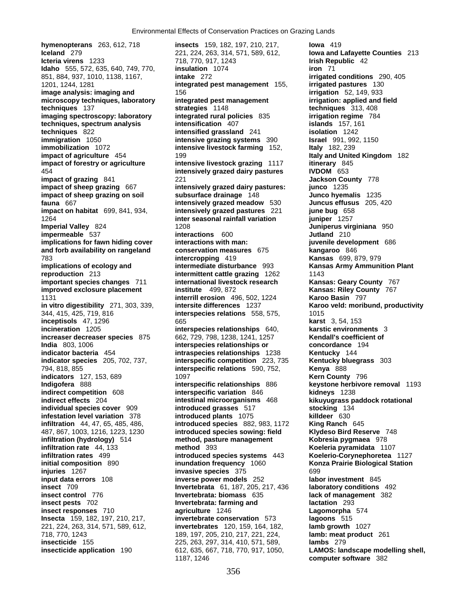**hymenopterans** 263, 612, 718 **insects** 159, 182, 197, 210, 217, **Iowa** 419 **Iceland** 279 221, 224, 263, 314, 571, 589, 612, **Iowa and Lafayette Counties** 213 **Icteria virens** 1233 718, 770, 917, 1243 **Irish Republic** 42 **Idaho** 555, 572, 635, 640, 749, 770, **insulation** 1074 **iron** 71 851, 884, 937, 1010, 1138, 1167, **intake** 272 **irrigated conditions** 290, 405 1201, 1244, 1281 **integrated pest management** 155, **irrigated pastures** 130 **image analysis: imaging and** 156 **irrigation** 52, 149, 933 microscopy techniques, laboratory integrated pest management **irrigation:** applied and field **techniques** 137 **strategies** 1148 **techniques** 313, 408 **imaging spectroscopy: laboratory** integrated rural policies 835 **irrigation regime** 784 **irrigation regime** 784 **irrigation islands** 157, 161 **techniques, spectrum analysis intensification** 407 **techniques** 822 **intensified grassland** 241 **isolation** 1242<br> **intensive grazing systems** 390 **intensive draging systems** 390 **israel** 991, 992, 1150 **immobilization** 1072 **intensive livestock farming** 152, **Italy** 182, 239 **impact of agriculture** 454 **199 Italy and United Kingdom** 182 **impact of forestry or agriculture intensive livestock grazing** 1117 **itinerary** 845 **intensively grazed dairy pastures impact of grazing** 841 221 **Jackson County** 778 **impact of sheep grazing** 667 **intensively grazed dairy pastures: junco** 1235 **impact of sheep grazing on soil subsurface drainage** 148 **Junco hyemalis** 1235 **fauna** 667 **intensively grazed meadow** 530 **Juncus effusus** 205, 420 **impact on habitat** 699, 841, 934, **intensively grazed pastures** 221 **june bug** 658 1264 **inter seasonal rainfall variation juniper** 1257 **impermeable** 537 **interactions 600 Jutland** 210<br> **implications for fawn hiding cover interactions with man: juvenile development** 686 implications for fawn hiding cover interactions with man: **and forb availability on rangeland conservation measures** 675 **kangaroo** 846 783 **intercropping** 419 **Kansas** 699, 879, 979 **implications of ecology and intermediate disturbance** 993 **Kansas Army Ammunition Plant reproduction** 213 **intermittent cattle grazing** 1262 1143 **important species changes** 711 **international livestock research Kansas: Geary County** 767 **improved exclosure placement institute** 499, 872 **Kansas: Riley County** 767 1131 **interrill erosion** 496, 502, 1224 **Karoo Basin** 797 344, 415, 425, 719, 816 **interspecies relations** 558, 575, 1015 **inceptisols** 47, 1296 665 **karst** 3, 54, 153 **incineration** 1205 **interspecies relationships** 640, **karstic environments** 3 **increaser decreaser species** 875 662, 729, 798, 1238, 1241, 1257 **Kendall's coefficient of India** 803, 1006 **interspecies relationships or concordance** 194 **indicator bacteria** 454 **intraspecies relationships** 1238 **Kentucky** 144 **indicator species** 205, 702, 737, 794, 818, 855 **interspecific relations** 590, 752, **Kenya** 888 **indicators** 127, 153, 689 1097 **Indigofera** 888 **interspecific relationships** 886 **keystone herbivore removal** 1193 **indirect competition** 608 **interspecific variation** 846 **kidneys** 1238 **indirect effects** 204 **intestinal microorganisms** 468 **kikuyugrass paddock rotational individual species cover** 909 **introduced grasses** 517 **stocking** 134 **infestation level variation** 378 **introduced plants** 1075 **killdeer** 630 **infiltration** 44, 47, 65, 485, 486, **introduced species** 882, 983, 1172 **King Ranch** 645 487, 867, 1003, 1216, 1223, 1230 **introduced species sowing: field Klydeso Bird Reserve** 748 **infiltration (hydrology)** 514 **method, pasture management Kobresia pygmaea** 978 **infiltration rate** 44, 133 **method** 393 **Koeleria pyramidata** 1107 **infiltration rates** 499 **introduced species systems** 443 **Koelerio-Corynephoretea** 1127 **injuries** 1267 **invasive species** 375 699 **input data errors** 108 **inverse power models** 252 **labor investment** 845 **insect** 709 **Invertebrata** 61, 187, 205, 217, 436 **laboratory conditions** 492 **insect control** 776 **Invertebrata: biomass** 635 **lack of management** 382 **insect pests** 702 **Invertebrata: farming and insect responses** 710 **agriculture** 1246 **Lagomorpha** 574 **Insecta** 159, 182, 197, 210, 217, **invertebrate conservation** 573 **lagoons** 515 221, 224, 263, 314, 571, 589, 612, **invertebrates** 120, 159, 164, 182, **lamb growth** 1027 718, 770, 1243 189, 197, 205, 210, 217, 221, 224, **lamb: meat product** 261 **insecticide** 155 225, 263, 297, 314, 410, 571, 589, **lambs** 279

**intensive grazing systems** 390 **IMPERIAL 208**<br> **Imperial 1208**<br> **Interactions** 600 **Juliand** 210 **inundation frequency** 1060 **Konza Prairie Biological Station** 1187, 1246 **computer software** 382

**Karoo veld: moribund, productivity insecticide application** 190 612, 635, 667, 718, 770, 917, 1050, **LAMOS: landscape modelling shell,**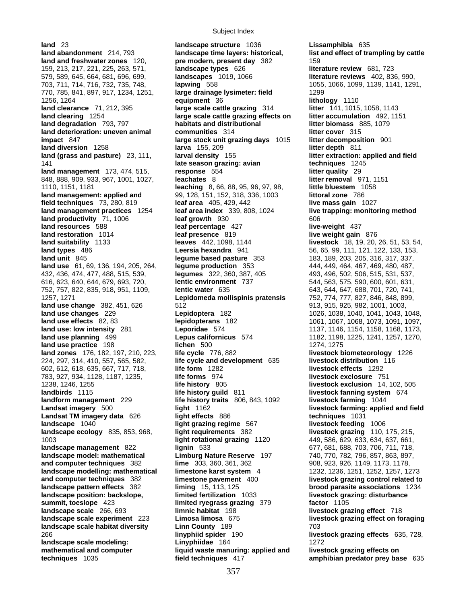**land abandonment** 214, 793 **landscape time layers: historical, list and effect of trampling by cattle land and freshwater zones** 120, **pre modern, present day** 382 159 159, 213, 217, 221, 225, 263, 571, **landscape types** 626 **literature review** 681, 723 579, 589, 645, 664, 681, 696, 699, **landscapes** 1019, 1066 **literature reviews** 402, 836, 990, 703, 711, 714, 716, 732, 735, 748, **lapwing** 558 1055, 1066, 1099, 1139, 1141, 1291, 770, 785, 841, 897, 917, 1234, 1251, **large drainage lysimeter: field** 1299 1256, 1264 **equipment** 36 **lithology** 1110 **land clearance** 71, 212, 395 **large scale cattle grazing** 314 **litter** 141, 1015, 1058, 1143 **land clearing** 1254 **large scale cattle grazing effects on litter accumulation** 492, 1151 **land degradation** 793, 797 **habitats and distributional litter biomass** 885, 1079 **land deterioration: uneven animal communities** 314 **litter cover** 315 **impact** 847 **large stock unit grazing days** 1015 **litter decomposition** 901 **land diversion** 1258 **larva** 155, 209 **litter depth** 811 **land (grass and pasture)** 23, 111, **larval density** 155 **litter extraction: applied and field**  141 **late season grazing: avian techniques** 1245 **land management** 173, 474, 515, **response** 554 **litter quality** 29 848, 888, 909, 933, 967, 1001, 1027, **leachates** 8 **litter removal** 971, 1151 1110, 1151, 1181 **leaching** 8, 66, 88, 95, 96, 97, 98, **little bluestem** 1058 **land management: applied and** 99, 128, 151, 152, 318, 336, 1003 **littoral zone** 786 **field techniques** 73, 280, 819 **leaf area** 405, 429, 442 **live mass gain** 1027 **land management practices** 1254 **leaf area index** 339, 808, 1024 **live trapping: monitoring method land productivity** 71, 1006 **leaf growth** 930 606 **land resources** 588 **leaf percentage** 427 **live-weight** 437 **land restoration** 1014 **leaf presence** 819 **live weight gain** 876 **land suitability** 1133 **leaves** 442, 1098, 1144 **livestock** 18, 19, 20, 26, 51, 53, 54, **land unit** 845 **legume based pasture** 353 183, 189, 203, 205, 316, 317, 337, **land use** 61, 69, 136, 194, 205, 264, **legume production** 353 444, 449, 464, 467, 469, 480, 487, 432, 436, 474, 477, 488, 515, 539, **legumes** 322, 360, 387, 405 493, 496, 502, 506, 515, 531, 537, 616, 623, 640, 644, 679, 693, 720, **lentic environment** 737 544, 563, 575, 590, 600, 601, 631, 752, 757, 822, 835, 918, 951, 1109, **lentic water** 635 643, 644, 647, 688, 701, 720, 741, 1257, 1271 **Lepidomeda mollispinis pratensis** 752, 774, 777, 827, 846, 848, 899, **land use change** 382, 451, 626 512 512 512 512 513, 913, 915, 925, 982, 1001, 1003, **land use changes** 229 **Lepidoptera** 182 1026, 1038, 1040, 1041, 1043, 1048, **land use effects** 82, 83 **lepidopterans** 182 1061, 1067, 1068, 1073, 1091, 1097, **land use: low intensity** 281 **Leporidae** 574 1137, 1146, 1154, 1158, 1168, 1173, **land use planning** 499 **Lepus californicus** 574 1182, 1198, 1225, 1241, 1257, 1270, **land use practice** 198 **lichen** 500 1274, 1275 **land zones** 176, 182, 197, 210, 223, **life cycle** 776, 882 **livestock biometeorology** 1226 224, 297, 314, 410, 557, 565, 582, **life cycle and development** 635 **livestock distribution** 116 602, 612, 618, 635, 667, 717, 718, **life form** 1282 **livestock effects** 1292 783, 927, 934, 1128, 1187, 1235, **life forms** 974 **livestock exclosure** 751 1238, 1246, 1255 **life history** 805 **livestock exclusion** 14, 102, 505 **landbirds** 1115 **life history guild** 811 **livestock fanning system** 674 **landform management** 229 **life history traits** 806, 843, 1092 **livestock farming** 1044 **Landsat imagery** 500 **light** 1162 **livestock farming: applied and field Landsat TM imagery data** 626 **light effects** 886 **techniques** 1031 **landscape** 1040 **light grazing regime** 567 **livestock feeding** 1006 **landscape ecology** 835, 853, 968, **light requirements** 382 **livestock grazing** 110, 175, 215, 1003 **light rotational grazing** 1120 449, 586, 629, 633, 634, 637, 661, **landscape management** 822 **lignin** 533 677, 681, 688, 703, 706, 711, 718, **landscape model: mathematical Limburg Nature Reserve** 197 740, 770, 782, 796, 857, 863, 897, **and computer techniques** 382 **lime** 303, 360, 361, 362 908, 923, 926, 1149, 1173, 1178, **landscape modelling: mathematical limestone karst system** 4 1232, 1236, 1251, 1252, 1257, 1273 **and computer techniques** 382 **limestone pavement** 400 **livestock grazing control related to landscape pattern effects** 382 **liming** 15, 113, 125 **brood parasite associations** 1234 **landscape position: backslope, limited fertilization** 1033 **livestock grazing: disturbance summit, toeslope** 423 **limited ryegrass grazing** 379 **factor** 1105 **landscape scale** 266, 693 **limnic habitat** 198 **livestock grazing effect** 718 **landscape scale experiment** 223 **Limosa limosa** 675 **livestock grazing effect on foraging landscape scale habitat diversity by Linn County 189 6 703 703** 266 **linyphiid spider** 190 **livestock grazing effects** 635, 728, **landscape scale modeling:** Linyphiidae 164 1272 mathematical and computer **indully a liquid waste manuring: applied and builder and respect and respect on** 

**land** 23 **landscape structure** 1036 **Lissamphibia** 635 **Leersia hexandra** 941 56, 65, 99, 111, 121, 122, 133, 153,

**techniques** 1035 **field techniques** 417 **amphibian predator prey base** 635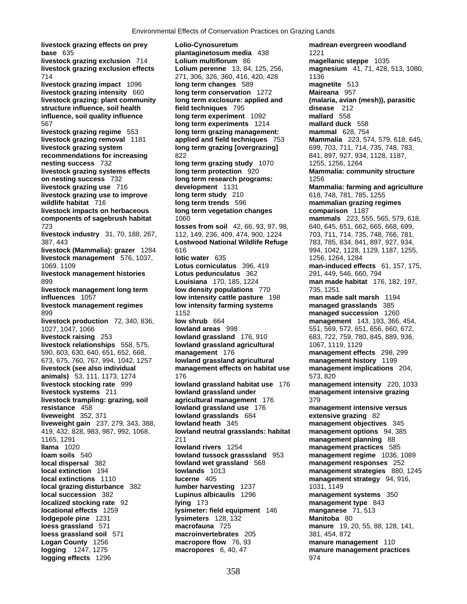**livestock grazing effects on prey Lolio-Cynosuretum madrean evergreen woodland base** 635 *plantaginetosum media* 438 **1221 livestock grazing exclusion** 714 **Lolium multiflorum** 86 **magellanic steppe** 1035 **livestock grazing exclusion effects Lolium perenne** 13, 84, 125, 256, **magnesium** 41, 71, 428, 513, 1080, 714 271, 306, 326, 360, 416, 420, 428 1136 **livestock grazing impact** 1096 **long term changes** 589 **magnetite** 513 **livestock grazing intensity** 660 **long term conservation** 1272 **Maireana** 957 **livestock grazing: plant community long term exclosure: applied and (malaria, avian (mesh)), parasitic structure influence, soil health field techniques** 795 **disease** 212 **influence, soil quality influence long term experiment** 1092 567 **long term experiments** 1214 **mallard duck** 558 **livestock grazing regime** 553 **long term grazing management: mammal** 628, 754 **livestock grazing removal** 1181 **applied and field techniques** 753 **Mammalia** 223, 574, 579, 618, 645, livestock grazing system **long term grazing [overgrazing]** 699, 703, 711, 714, 735, 748, 783, **recommendations for increasing**  $822$  **822 841, 897, 927, 934, 1128, 1187, nesting success** 732 **long term grazing study** 1070 1255, 1256, 1264 **livestock grazing systems effects long term protection** 920 **Mammalia: community structure on nesting success** 732 **long term research programs:** 1256 **livestock grazing use** 716 **development** 1131 **Mammalia: farming and agriculture livestock grazing use to improve long term study** 210 618, 748, 781, 785, 1255 **wildlife habitat** 716 **long term trends** 596 **mammalian grazing regimes livestock impacts on herbaceous long term vegetation changes comparison** 1187 **components of sagebrush habitat** 1060 **mammals** 223, 555, 565, 579, 618, 723 **losses from soil** 42, 66, 93, 97, 98, 640, 645, 651, 662, 665, 668, 699, **livestock industry** 31, 70, 188, 267, 112, 149, 236, 409, 474, 900, 1224 703, 711, 714, 735, 748, 766, 781, 138, 748, 766, 781, **Lostwood National Wildlife Refuge** 783, 785, 834, 841, 897, 927, 934, 387, 443 **Lostwood National Wildlife Refuge livestock (Mammalia): grazer** 1284 616 **616 1284 616 1294 1294, 1042, 1128, 1129, 1187**, 1255, **livestock management** 576, 1037, **lotic water** 635 1266, 1264, 1284 1069, 1109 **Lotus corniculatus** 396, 419 **man-induced effects** 61, 157, 175, **livestock management histories Lotus pedunculatus** 362 291, 449, 546, 660, 794 899 **Louisiana** 170, 185, 1224 **man made habitat** 176, 182, 197, **livestock management long term low density populations** 770 735, 1251 **influences** 1057 **low intensity cattle pasture** 198 **man made salt marsh** 1194 **livestock management regimes low intensity farming systems managed grasslands** 385 899 1152 **managed succession** 1260 **livestock production** 72, 340, 836, **low shrub** 664 **management** 143, 193, 366, 454, 1027, 1047, 1066 **lowland areas** 998 551, 569, 572, 651, 656, 660, 672, **livestock raising** 253 **lowland grassland** 176, 910 683, 722, 759, 780, 845, 889, 936, **livestock relationships** 558, 575, **lowland grassland agricultural** 1067, 1119, 1129 590, 603, 630, 640, 651, 652, 668, **management** 176 **management effects** 298, 299 673, 675, 760, 767, 994, 1042, 1257 **lowland grassland agricultural management history** 1199 **livestock (see also individual management effects on habitat use management implications** 204, **animals)** 53, 111, 1173, 1274 176 176 **livestock stocking rate** 999 **lowland grassland habitat use** 176 **management intensity** 220, 1033 **livestock systems** 211 **lowland grassland under management intensive grazing livestock trampling: grazing, soil agricultural management** 176 379 **resistance** 458 **lowland grassland use** 176 **management intensive versus liveweight** 352, 371 **lowland grasslands** 684 **extensive grazing** 82 **liveweight gain** 237, 279, 343, 388, **lowland heath** 345 **management objectives** 345 1165, 1291 211 **management planning** 88 **llama** 1020 **lowland rivers** 1254 **management practices** 585 **loam soils** 540 **lowland tussock grasssland** 953 **management regime** 1036, 1089 **local dispersal** 382 **lowland wet grassland** 568 **management responses** 252 **local extinction** 194 **lowlands** 1013 **management strategies** 880, 1245 **local extinctions** 1110 **lucerne** 405 **management strategy** 94, 916, **local grazing disturbance** 382 **lumber harvesting** 1237 1031, 1149 **local succession** 382 **Lupinus albicaulis** 1296 **management systems** 350 **localized stocking rate** 92 **lying** 173 **management type** 843 **locational effects** 1259 **lysimeter: field equipment** 146 **manganese** 71, 513 **lodgepole pine** 1231 **lysimeters** 128, 132 **Manitoba** 80 **loess grassland** 571 **macrofauna** 725 **manure** 19, 20, 55, 88, 128, 141, **loess grassland soil** 571 **macroinvertebrates** 205 381, 454, 872 **Logan County** 1256 **macropore flow** 76, 93 **manure management** 110 **logging**  $1247, 1275$  **macropores** 6, 40, 47 **manure management practices logging effects** 1296 **974** 

419, 432, 828, 983, 987, 992, 1068, **lowland neutral grasslands: habitat management options** 94, 385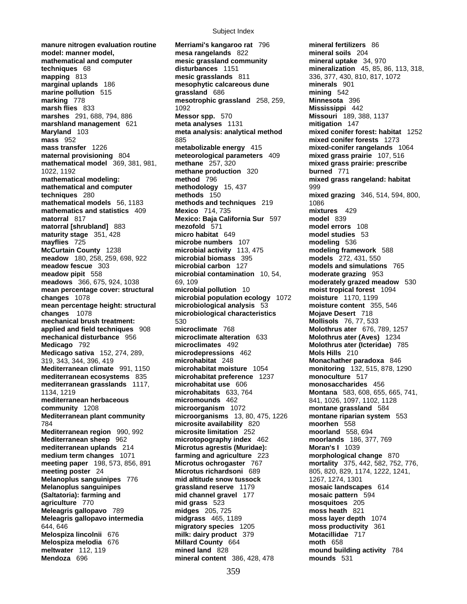**manure nitrogen evaluation routine Merriami's kangaroo rat** 796 **mineral fertilizers** 86 **model: manner model, mesa rangelands** 822 **mineral soils** 204 **mathematical and computer mesic grassland community mineral uptake** 34, 970 **marginal uplands** 186 **mesophytic calcareous dune minerals** 901 **marine pollution** 515 **grassland** 686 **mining** 542 **marking** 778 **mesotrophic grassland** 258, 259, **Minnesota** 396 **marsh flies** 833 1092 **Mississippi** 442 **marshes** 291, 688, 794, 886 **Messor spp.** 570 **Missouri** 189, 388, 1137 **marshland management** 621 **meta analyses** 1131 **mitigation** 147 **Maryland** 103 **meta analysis: analytical method mixed conifer forest: habitat** 1252 **mass transfer** 1226 **metabolizable energy** 415 **mixed-conifer rangelands** 1064 **maternal provisioning** 804 **meteorological parameters** 409 **mixed grass prairie** 107, 516 **mathematical model** 369, 381, 981, **methane** 257, 320 **mixed grass prairie: prescribe**  1022, 1192 **methane production** 320 **burned** 771 **mathematical modeling: method** 796 **mixed grass rangeland: habitat mathematical and computer methodology** 15, 437 999 **techniques** 280 **methods** 150 **mixed grazing** 346, 514, 594, 800, **mathematical models** 56, 1183 **methods and techniques** 219 1086 **mathematics and statistics** 409 **Mexico** 714, 735 **mixtures** 429 **matorral** 817 **model** 817 **model Mexico: Baja California Sur** 597 **matorral [shrubland]** 883 **mezofold** 571 **model errors** 108 **maturity stage** 351, 428 **micro habitat** 649 **mayflies** 725 **mayflies** 725 **microbe numbers** 107 **modeling** 536<br> **McCurtain County** 1238 **microbial activity** 113, 475 **modeling fram meadow** 180, 258, 259, 698, 922 **microbial biomass** 395 **models** 272, 431, 550 **meadow fescue** 303 **microbial carbon** 127 **models and simulations** 765 **meadow pipit** 558 **microbial contamination** 10, 54, **moderate grazing** 953 **meadows** 366, 675, 924, 1038 69, 109 69, 109 69, 109 **moderately grazed meadow** 530 **mean percentage cover: structural microbial pollution** 10 **moist tropical forest** 1094 **changes** 1078 **microbial population ecology** 1072 **moisture** 1170, 1199 **mean percentage height: structural microbiological analysis** 53 **moisture content** 355, 546 **changes** 1078 **microbiological characteristics Mojave Desert** 718 **mechanical brush treatment:** 530 **Mollisols** 76, 77, 533 **applied and field techniques** 908 **microclimate** 768 **Molothrus ater** 676, 789, 1257 **mechanical disturbance** 956 **microclimate alteration** 633 **Molothrus ater (Aves)** 1234 **Medicago** 792 **microclimates** 492 **Molothrus ater (Icteridae)** 785 **Medicago sativa** 152, 274, 289, **microdepressions** 462 **Mols Hills** 210 319, 343, 344, 396, 419 **microhabitat** 248 **Monachather paradoxa** 846 **Mediterranean climate** 991, 1150 **microhabitat moisture** 1054 **monitoring** 132, 515, 878, 1290 **mediterranean ecosystems** 835 **microhabitat preference** 1237 **monoculture** 517 **mediterranean grasslands** 1117, **microhabitat use** 606 **monosaccharides** 456 1134, 1219 **microhabitats** 633, 764 **Montana** 583, 608, 655, 665, 741, **mediterranean herbaceous micromounds** 462 841, 1026, 1097, 1102, 1128 **community** 1208 **microorganism** 1072 **montane grassland** 584 **Mediterranean plant community microorganisms** 13, 80, 475, 1226 **montane riparian system** 553 784 **microsite availability** 820 **moorhen** 558 **Mediterranean region** 990, 992 **microsite limitation** 252 **moorland** 558, 694 **Mediterranean sheep** 962 **microtopography index** 462 **moorlands** 186, 377, 769 **medium term changes** 1071 **farming and agriculture** 223 **morphological change** 870 **meeting paper** 198, 573, 856, 891 **Microtus ochrogaster** 767 **mortality** 375, 442, 582, 752, 776, **Melanoplus sanguinipes** 776 **mid altitude snow tussock** 1267, 1274, 1301 **Melanoplus sanguinipes grassland reserve** 1179 **mosaic landscapes** 614 **(Saltatoria): farming and mid channel gravel** 177 **mosaic pattern** 594 **agriculture** 770 **mid grass** 523 **mosquitoes** 205 **Meleagris gallopavo** 789 **midges** 205, 725 **moss heath** 821 **Meleagris gallopavo intermedia midgrass** 465, 1189 **moss layer depth** 1074 644, 646 **migratory species** 1205 **moss productivity** 361 **Melospiza lincolnii** 676 **milk: dairy product** 379 **Motacillidae** 717 **Melospiza melodia** 676 **Millard County** 664 **moth** 658 **meltwater** 112, 119 **mined land** 828 **mound building activity** 784

**mesic grasslands** 811 336, 377, 430, 810, 817, 1072 **mass** 952 885 **mixed conifer forests** 1273 **microbial activity** 113, 475 **modeling framework** 588 **Microtus agrestis (Muridae): Moran's I** 1039 **Microtus richardsoni** 689 805, 820, 829, 1174, 1222, 1241, **Mendoza** 696 **mineral content** 386, 428, 478 **mounds** 531

**techniques** 68 **disturbances** 1151 **mineralization** 45, 85, 86, 113, 318,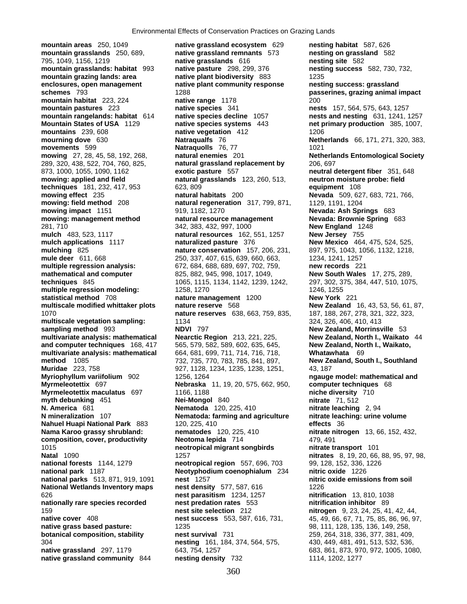**mountain areas** 250, 1049 **native grassland ecosystem** 629 **nesting habitat** 587, 626 **mountain grasslands** 250, 689, **native grassland remnants** 573 **nesting on grassland** 582 795, 1049, 1156, 1219 **native grasslands** 616 **nesting site** 582 **mountain grasslands: habitat** 993 **native pasture** 298, 299, 376 **nesting success** 582, 730, 732, **mountain grazing lands: area example anative plant biodiversity** 883 1235 **enclosures, open management native plant community response nesting success: grassland schemes** 793 1288 **passerines, grazing animal impact mountain habitat** 223, 224 **native range** 1178 200 **mountain pastures** 223 **native species** 341 **nests** 157, 564, 575, 643, 1257 **mountain rangelands: habitat** 614 **native species decline** 1057 **nests and nesting** 631, 1241, 1257 **Mountain States of USA** 1129 **native species systems** 443 **net primary production** 385, 1007, **mountains** 239, 608 **native vegetation** 412 1206 **mourning dove** 630 **Natraqualfs** 76 **Netherlands** 66, 171, 271, 320, 383, **movements** 599 **Natraquolls** 76, 77 1021 **mowing** 27, 28, 45, 58, 192, 268, **natural enemies** 201 **Netherlands Entomological Society** 289, 320, 438, 522, 704, 760, 825, **natural grassland replacement by** 206, 697 873, 1000, 1055, 1090, 1162 **exotic pasture** 557 **neutral detergent fiber** 351, 648 **mowing: applied and field natural grasslands** 123, 260, 513, **neutron moisture probe: field techniques** 181, 232, 417, 953 623, 809 **equipment** 108 **mowing effect** 235 **natural habitats** 200 **Nevada** 509, 627, 683, 721, 766, **mowing: field method** 208 **natural regeneration** 317, 799, 871, 1129, 1191, 1204 **mowing impact** 1151 919, 1182, 1270 **Nevada: Ash Springs** 683 **mowing: management method natural resource management Nevada: Brownie Spring** 683 281, 710 342, 383, 432, 997, 1000 **New England** 1248 **mulch** 483, 523, 1117 **natural resources** 162, 551, 1257 **mulch applications** 1117 **naturalized pasture** 376 **New Mexico** 464, 475, 524, 525, **mulching** 825 **nature conservation** 157, 206, 231, 897, 975, 1043, 1056, 1132, 1218, **mule deer** 611, 668 250, 337, 407, 615, 639, 660, 663, 1234, 1241, 1257 **multiple regression analysis:** 672, 684, 688, 689, 697, 702, 759, **new records** 221 **mathematical and computer** 825, 882, 945, 998, 1017, 1049, **New South Wales** 17, 275, 289, **techniques** 845 1065, 1115, 1134, 1142, 1239, 1242, 297, 302, 375, 384, 447, 510, 1075, **multiple regression modeling:**  $1258, 1270$  1246, 1255 **statistical method** 708 **nature management** 1200 **New York** 221 **multiscale modified whittaker plots nature reserve** 568 **New Zealand** 16, 43, 53, 56, 61, 87, 1070 **nature reserves** 638, 663, 759, 835, 187, 188, 267, 278, 321, 322, 323, **multiscale vegetation sampling:** 1134 324, 326, 406, 410, 413 **sampling method** 993 **NDVI** 797 **New Zealand, Morrinsville** 53 **multivariate analysis: mathematical Nearctic Region** 213, 221, 225, **New Zealand, North I., Waikato** 44 **and computer techniques** 168, 417 565, 579, 582, 589, 602, 635, 645, **New Zealand, North I., Waikato, multivariate analysis: mathematical** 664, 681, 699, 711, 714, 716, 718, **Whatawhata** 69 **method** 1085 732, 735, 770, 783, 785, 841, 897, **New Zealand, South I., Southland Myriophyllum variifolium** 902 1256, 1264 **ngauge model: mathematical and Myrmeleotettix** 697 **Nebraska** 11, 19, 20, 575, 662, 950, **computer techniques** 68 **Myrmeleotettix maculatus** 697 1166, 1188 **niche diversity** 710 **myth debunking** 451 **Nei-Mongol** 840 **nitrate** 71, 512 **N. America** 681 **Nematoda** 120, 225, 410 **nitrate leaching** 2, 94 **N mineralization** 107 **Nematoda: farming and agriculture nitrate leaching: urine volume Nahuel Huapi National Park** 883 120, 225, 410 **effects** 36 **Nama Karoo grassy shrubland: nematodes** 120, 225, 410 **nitrate nitrogen** 13, 66, 152, 432, **composition, cover, productivity Neotoma lepida** 714 479, 491 1015 **neotropical migrant songbirds nitrate transport** 101 **Natal** 1090 **nitrates** 8, 19, 20, 66, 88, 95, 97, 98, **national forests** 1144, 1279 **nitrates** 8, 19, 20, 66, 88, 19, 20, 66, 88, 95, 97, 98, **national forests** 1144, 1279 **neotropical region** 557, 696, 703 99, 128, 152, **national forests** 1144, 1279 **neotropical region** 557, 696, 703 99, 128, 152, 336, 1226 **national park** 1187 **Neotyphodium coenophialum** 234 **nitric oxide** 1226 **national parks** 513, 871, 919, 1091 **nest** 1257 **nitric oxide emissions from soil National Wetlands Inventory maps are density** 577, 587, 616 1226 626 **nest parasitism** 1234, 1257 **nitrification** 13, 810, 1038 **nationally rare species recorded nest predation rates** 553 **nitrification inhibitor** 89 159 **nest site selection** 212 **nitrogen** 9, 23, 24, 25, 41, 42, 44, **native cover** 408 **nest success** 553, 587, 616, 731, 45, 49, 66, 67, 71, 75, 85, 86, 96, 97, **native grass based pasture:** 1235 98, 111, 128, 135, 136, 149, 258, **botanical composition, stability nest survival** 731 259, 264, 318, 336, 377, 381, 409, 304 **nesting** 161, 184, 374, 564, 575, 430, 449, 481, 491, 513, 532, 536, **native grassland** 297, 1179 643, 754, 1257 683, 861, 873, 970, 972, 1005, 1080, **native grassland community** 844 **nesting density** 732 1114, 1202, 1277

**Muridae** 223, 758 927, 1128, 1234, 1235, 1238, 1251, 43, 187 **Neotyphodium coenophialum** 234 **nitric oxide** 1226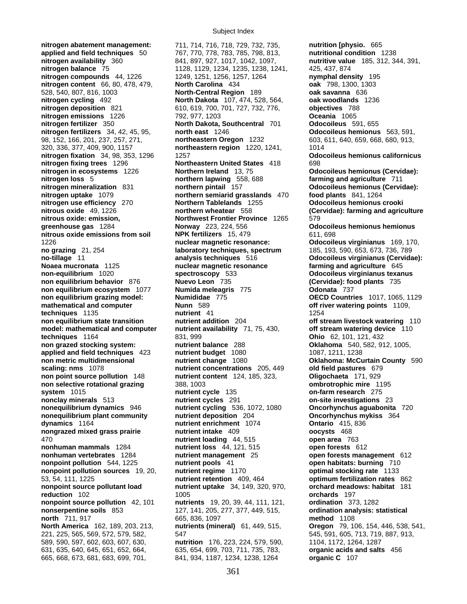**nitrogen abatement management:** 711, 714, 716, 718, 729, 732, 735, **nutrition [physio.** 665 **applied and field techniques** 50 767, 770, 778, 783, 785, 798, 813, **nutritional condition** 1238 **nitrogen availability** 360 841, 897, 927, 1017, 1042, 1097, **nutritive value** 185, 312, 344, 391, **nitrogen balance** 75 1128, 1129, 1234, 1235, 1238, 1241, 425, 437, 874 **nitrogen compounds** 44, 1226 1249, 1251, 1256, 1257, 1264 **nymphal density** 195 **nitrogen content** 66, 80, 478, 479, **North Carolina** 434 **oak** 798, 1300, 1303 528, 540, 807, 816, 1003 **North-Central Region** 189 **oak savanna** 636 **nitrogen cycling** 492 **North Dakota** 107, 474, 528, 564, **oak woodlands** 1236 **nitrogen deposition** 821 610, 619, 700, 701, 727, 732, 776, **objectives** 788 **nitrogen emissions** 1226 792, 977, 1203 **Oceania** 1065 **nitrogen fertilizer** 350 **North Dakota, Southcentral** 701 **Odocoileus** 591, 655 **nitrogen fertilizers** 34, 42, 45, 95, **north east** 1246 **Odocoileus hemionus** 563, 591, 98, 152, 166, 201, 237, 257, 271, **northeastern Oregon** 1232 603, 611, 640, 659, 668, 680, 913, 320, 336, 377, 409, 900, 1157 **northeastern region** 1220, 1241, 1014 **nitrogen fixation** 34, 98, 353, 1296 1257 **Odocoileus hemionus californicus nitrogen fixing trees** 1296 **Northeastern United States** 418 698 **nitrogen in ecosystems** 1226 **Northern Ireland** 13, 75 **Odocoileus hemionus (Cervidae): nitrogen loss** 5 **northern lapwing** 558, 688 **farming and agriculture** 711 **nitrogen mineralization** 831 **northern pintail** 157 **Odocoileus hemionus (Cervidae): nitrogen uptake** 1079 **northern semiarid grasslands** 470 **food plants** 841, 1264 **nitrogen use efficiency** 270 **Northern Tablelands** 1255 **Odocoileus hemionus crooki nitrous oxide** 49, 1226 **northern wheatear** 558 **(Cervidae): farming and agriculture nitrous oxide: emission, Northwest Frontier Province** 1265 579 **greenhouse gas** 1284 **Norway** 223, 224, 556 **Odocoileus hemionus hemionus nitrous oxide emissions from soil NPK fertilizers** 15, 479 611, 698 1226 **nuclear magnetic resonance: Odocoileus virginianus** 169, 170, **no grazing** 21, 254 **laboratory techniques, spectrum** 185, 193, 590, 653, 673, 736, 789 **no-tillage** 11 **analysis techniques** 516 **Odocoileus virginianus (Cervidae): Noaea mucronata** 1125 **nuclear magnetic resonance** farming and agriculture 645 **non-equilibrium** 1020 **spectroscopy** 533 **Odocoileus virginianus texanus non equilibrium behavior** 876 **Nuevo Leon** 735 **(Cervidae): food plants** 735 **non equilibrium ecosystem** 1077 **Numida meleagris** 775 **Odonata** 737 **non equilibrium grazing model: Numididae** 775 **OECD Countries** 1017, 1065, 1129 **mathematical and computer Nunn** 589 **off river watering points** 1109, **techniques** 1135 **nutrient** 41 **1254 non equilibrium state transition nutrient addition** 204 **off stream livestock watering** 110 **model: mathematical and computer nutrient availability** 71, 75, 430, **off stream watering device** 110 **techniques** 1164 831, 999 **Ohio** 62, 101, 121, 432 **non grazed stocking system: nutrient balance** 288 **Oklahoma** 540, 582, 912, 1005, **applied and field techniques** 423 **nutrient budget** 1080 1087, 1211, 1238<br>**non metric multidimensional** nutrient change 1080 **1081 1081 1086 1086 1086 1086 1086 1086 non metric multidimensional nutrient change** 1080 **Oklahoma: McCurtain County** 590 **scaling: nms** 1078 **nutrient concentrations** 205, 449 **old field pastures** 679 **non point source pollution** 148 **nutrient content** 124, 185, 323, **Oligochaeta** 171, 929 **non selective rotational grazing** 388, 1003 **ombrotrophic mire** 1195 **system** 1015 **nutrient cycle** 135 **on-farm research** 275 **nonclay minerals** 513 **nutrient cycles** 291 **on-site investigations** 23 **nonequilibrium dynamics** 946 **nutrient cycling** 536, 1072, 1080 **Oncorhynchus aguabonita** 720 **nonequilibrium plant community nutrient deposition** 204 **Oncorhynchus mykiss** 364 **dynamics** 1164 **nutrient enrichment** 1074 **Ontario** 415, 836 **nongrazed mixed grass prairie nutrient intake** 409 **ontario oncysts** 468 **nongrazed mixed grass prairie nutrient intake** 409 **oocysts** 468 470 **nutrient loading** 44, 515 **open area** 763 **nonhuman mammals** 1284 **nutrient loss** 44, 121, 515 **open forests** 612 **nonhuman vertebrates** 1284 **nutrient management** 25 **open forests management** 612 **nonpoint pollution** 544, 1225 **nutrient pools** 41 **open habitats: burning** 710 **nonpoint pollution sources** 19, 20, **nutrient regime** 1170 **optimal stocking rate** 1133 53, 54, 111, 1225 **nutrient retention** 409, 464 **optimum fertilization rates** 862 **nonpoint source pollutant load nutrient uptake** 34, 149, 320, 970, **orchard meadows: habitat** 181 **reduction** 102 1005 **orchards** 197 **nonpoint source pollution** 42, 101 **nutrients** 19, 20, 39, 44, 111, 121, **ordination** 373, 1282 **nonserpentine soils** 853 127, 141, 205, 277, 377, 449, 515, **ordination analysis: statistical north** 711, 917 665, 836, 1097 **method** 1108 221, 225, 565, 569, 572, 579, 582, 547 545, 591, 605, 713, 719, 887, 913, 589, 590, 597, 602, 603, 607, 630, **nutrition** 176, 223, 224, 579, 590, 1104, 1172, 1264, 1287 631, 635, 640, 645, 651, 652, 664, 635, 654, 699, 703, 711, 735, 783, **organic acids and salts** 456 665, 668, 673, 681, 683, 699, 701, 841, 934, 1187, 1234, 1238, 1264 **organic C** 107

**nutrients (mineral)** 61, 449, 515, **Oregon** 79, 106, 154, 446, 538, 541,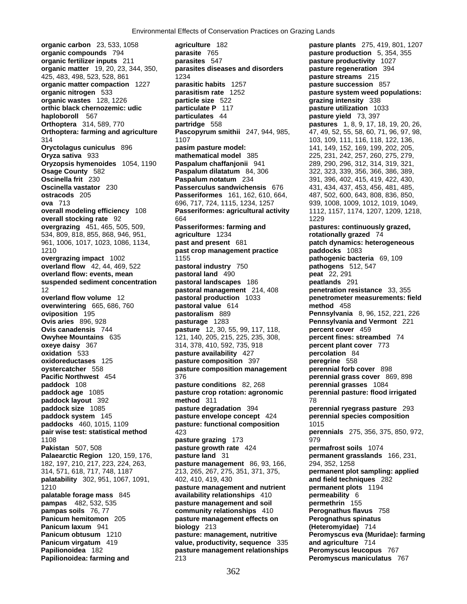**organic carbon** 23, 533, 1058 **agriculture** 182 **pasture plants** 275, 419, 801, 1207 **palatability** 302, 951, 1067, 1091, 402, 410, 419, 430

**organic compounds** 794 **parasite** 765 **pasture production** 5, 354, 355 **organic fertilizer inputs** 211 **parasites** 547 **pasture productivity** 1027 **organic matter** 19, 20, 23, 344, 350, **parasites diseases and disorders pasture regeneration** 394 425, 483, 498, 523, 528, 861 1234 **pasture streams** 215 **organic matter compaction** 1227 **parasitic habits** 1257 **pasture succession** 857 **organic nitrogen** 533 **parasitism rate** 1252 **pasture system weed populations: organic wastes** 128, 1226 **particle size** 522 **grazing intensity** 338 **orthic black chernozemic: udic particulate P** 117 **pasture utilization** 1033<br> **particulates** 44 **pasture pasture vield** 73, 397 **haploboroll** 567 **particulates** 44 **particulates** 44 **pasture yield** 73, 397<br> **Orthoptera** 314, 589, 770 **partridge** 558 **pastures** 1, 8, 9, 17, 1 **partridge** 558 **pastures** 1, 8, 9, 17, 18, 19, 20, 26, **Orthoptera: farming and agriculture Pascopyrum smithii** 247, 944, 985, 47, 49, 52, 55, 58, 60, 71, 96, 97, 98, 314 1107 103, 109, 111, 116, 118, 122, 136, **Oryctolagus cuniculus** 896 **pasim pasture model:** 141, 149, 152, 169, 199, 202, 205, **Oryza sativa** 933 **mathematical model** 385 225, 231, 242, 257, 260, 275, 279, **Oryzopsis hymenoides** 1054, 1190 **Paspalum chaffanjonii** 941 289, 290, 296, 312, 314, 319, 321, **Osage County** 582 **Paspalum dilatatum** 84, 306 322, 323, 339, 356, 366, 386, 389, **Paspalum notatum** 234 391, 396, 402, 415, 419, 422, 430, **Oscinella vastator** 230 **Passerculus sandwichensis** 676 431, 434, 437, 453, 456, 481, 485, **ostracods** 205 **Passeriformes** 161, 162, 610, 664, 487, 502, 600, 643, 808, 836, 850, **ova** 713 696, 717, 724, 1115, 1234, 1257 939, 1008, 1009, 1012, 1019, 1049, **overall modeling efficiency** 108 **Passeriformes: agricultural activity** 1112, 1157, 1174, 1207, 1209, 1218, **overall stocking rate** 92 664 **1229 1229 overgrazing** 451, 465, 505, 509, **Passeriformes: farming and pastures: continuously grazed,**  534, 809, 818, 855, 868, 946, 951, **agriculture** 1234 **rotationally grazed** 74 961, 1006, 1017, 1023, 1086, 1134, **past and present** 681 **patch dynamics: heterogeneous**  1210 **past crop management practice paddocks** 1083 **overgrazing impact** 1002 1155 **pathogenic bacteria** 69, 109 **overland flow** 42, 44, 469, 522 **pastoral industry** 750 **pathogens** 512, 547 **overland flow: events, mean pastoral land** 490 **peat** 22, 291 **suspended sediment concentration pastoral landscapes** 186 **peatlands** 291 12 **pastoral management** 214, 408 **penetration resistance** 33, 355 **overland flow volume** 12 **pastoral production** 1033 **penetrometer measurements: field overwintering** 665, 686, 760 **pastoral value** 614 **method** 458 **oviposition** 195 **pastoralism** 889 **Pennsylvania** 8, 96, 152, 221, 226 **Ovis aries** 896, 928 **pasturage** 1283 **Pennsylvania and Vermont** 221 **Ovis canadensis** 744 **pasture** 12, 30, 55, 99, 117, 118, **percent cover** 459 **Owyhee Mountains** 635 121, 140, 205, 215, 225, 235, 308, **percent fines: streambed** 74 **oxeye daisy** 367 314, 378, 410, 592, 735, 918 **percent plant cover** 773 **oxidation** 533 **pasture availability** 427 **percolation** 84 **oxidoreductases** 125 **pasture composition** 397 **peregrine** 558 **oystercatcher** 558 **pasture composition management perennial forb cover** 898 **Pacific Northwest** 454 376 **perennial grass cover** 869, 898 **paddock** 108 **pasture conditions** 82, 268 **perennial grasses** 1084 **paddock age** 1085 **pasture crop rotation: agronomic perennial pasture: flood irrigated paddock layout** 392 **method** 311 78 **paddock size** 1085 **pasture degradation** 394 **perennial ryegrass pasture** 293 **paddock system** 145 **pasture envelope concept** 424 **perennial species composition paddocks** 460, 1015, 1109 **pasture: functional composition** 1015<br>**pair wise test: statistical method** 423 **pair wise test: statistical method** 423 **perennials** 275, 356, 375, 850, 972, **pasture grazing** 173 979 **Pakistan** 507, 508 **pasture growth rate** 424 **permafrost soils** 1074 **Palaearctic Region** 120, 159, 176, **pasture land** 31 **permanent grasslands** 166, 231, 182, 197, 210, 217, 223, 224, 263, **pasture management** 86, 93, 166, 294, 352, 1258 314, 571, 618, 717, 748, 1187 213, 265, 267, 275, 351, 371, 375, **permanent plot sampling: applied**  1210 **pasture management and nutrient permanent plots** 1194 **palatable forage mass** 845 **availability relationships** 410 **permeability** 6 **pampas** 482, 532, 535 **pasture management and soil permethrin** 155 **pampas soils** 76, 77 **community relationships** 410 **Perognathus flavus** 758 **Panicum hemitomon** 205 **pasture management effects on Perognathus spinatus**<br>**Panicum laxum** 941 **biology** 213 **(Heteromyidae)** 714 **Paniculary** 213 **(Heteromyidae)** 714 **Panicum obtusum** 1210 **pasture: management, nutritive Peromyscus eva (Muridae): farming Panicum virgatum** 419 **value, productivity, sequence** 335 **and agriculture** 714 **Papilionoidea** 182 **pasture management relationships Peromyscus leucopus** 767 **Papilionoidea: farming and** 213 **Peromyscus maniculatus** 767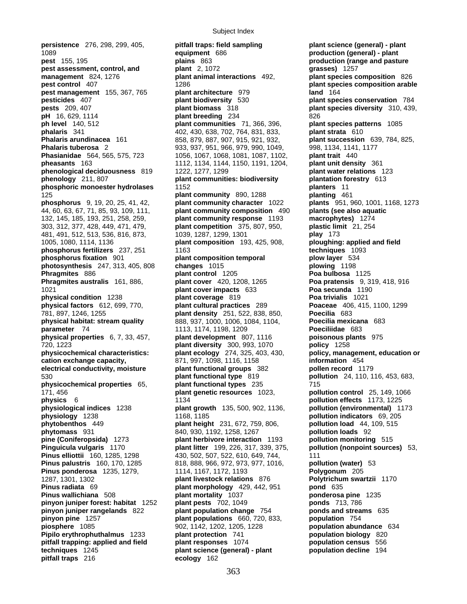1089 **equipment** 686 **production (general) - plant pest** 155, 195 **plains** 863 **production (range and pasture pest assessment, control, and plant** 2, 1072 **grasses)** 1257 **management** 824, 1276 **plant animal interactions** 492, **plant species composition** 826 **pest control** 407 *pest control* 407 *plant species composition arable plant species composition arable* **pest management** 155, 367, 765 **plant architecture** 979 **land** 164 **pesticides** 407 **plant biodiversity** 530 **plant species conservation** 784 **pests** 209, 407 **plant biomass** 318 **plant species diversity** 310, 439, **pH** 16, 629, 1114 **plant breeding** 234 826 **ph level** 140, 512 **plant communities** 71, 366, 396, **plant species patterns** 1085 **Phalaris arundinacea** 161 858, 879, 887, 907, 915, 921, 932, **plant succession** 639, 784, 825, **Phalaris tuberosa** 2 933, 937, 951, 966, 979, 990, 1049, 998, 1134, 1141, 1177 **Phasianidae** 564, 565, 575, 723 1056, 1067, 1068, 1081, 1087, 1102, **plant trait** 440 **pheasants** 163 1112, 1134, 1144, 1150, 1191, 1204, **plant unit density** 361 **phenological deciduousness** 819 1222, 1277, 1299 **plant water relations** 123 **phenology** 211, 807 **plant communities: biodiversity plantation forestry** 613 **phosphoric monoester hydrolases** 1152 **planters** 11 125 **plant community** 890, 1288 **planting** 461 **phosphorus** 9, 19, 20, 25, 41, 42, **plant community character** 1022 **plants** 951, 960, 1001, 1168, 1273 44, 60, 63, 67, 71, 85, 93, 109, 111, **plant community composition** 490 **plants (see also aquatic**  132, 145, 185, 193, 251, 258, 259, **plant community response** 1193 **macrophytes)** 1274 303, 312, 377, 428, 449, 471, 479, **plant competition** 375, 807, 950, **plastic limit** 21, 254 481, 491, 512, 513, 536, 816, 873, 1039, 1287, 1299, 1301 **play** 173 1005, 1080, 1114, 1136 **plant composition** 193, 425, 908, **ploughing: applied and field phosphorus fertilizers** 237, 251 1163 **phosphorus fixation** 901 **plant composition temporal plow layer** 534<br>**photosynthesis** 247, 313, 405, 808 **changes** 1015 **plowing** 1198 **photosynthesis** 247, 313, 405, 808 **changes** 1015 **Phragmites** 886 **plant control** 1205 **Poa bulbosa** 1125 **1021 plant cover impacts** 633 **physical condition** 1238 **plant coverage** 819 **Poa trivialis** 1021 **physical factors** 612, 699, 770, **plant cultural practices** 289 **Poaceae** 406, 415, 1100, 1299 781, 897, 1246, 1255 **plant density** 251, 522, 838, 850, **Poecilia** 683 **physical habitat: stream quality** 888, 937, 1000, 1006, 1084, 1104, **Poecilia mexicana** 683 **parameter** 74 1113, 1174, 1198, 1209 **Poeciliidae** 683 **physical properties** 6, 7, 33, 457, **plant development** 807, 1116 **poisonous plants** 975 720, 1223 **plant diversity** 300, 993, 1070 **policy** 1258 **physicochemical characteristics: plant ecology** 274, 325, 403, 430, **policy, management, education or cation exchange capacity,** 871, 997, 1098, 1116, 1158 **information** 454 **electrical conductivity, moisture plant functional groups** 382 **pollen record** 1179 530 **plant functional type** 819 **pollution** 24, 110, 116, 453, 683, **physicochemical properties** 65, **plant functional types** 235 715 171, 456 **plant genetic resources** 1023, **pollution control** 25, 149, 1066 **physics** 6 1134 **pollution effects** 1173, 1225 **physiological indices** 1238 **plant growth** 135, 500, 902, 1136, **pollution (environmental)** 1173 **physiology** 1238 1168, 1185 **pollution indicators** 69, 205 **phytobenthos** 449 **plant height** 231, 672, 759, 806, **pollution load** 44, 109, 515 **phytomass** 931 840, 930, 1192, 1258, 1267 **pollution loads** 92 **pine (Coniferopsida)** 1273 **plant herbivore interaction** 1193 **pollution monitoring** 515 **Pinus elliottii** 160, 1285, 1298 430, 502, 507, 522, 610, 649, 744, 111 **Pinus palustris** 160, 170, 1285 818, 888, 966, 972, 973, 977, 1016, **pollution (water)** 53 **Pinus ponderosa** 1235, 1279, 1114, 1167, 1172, 1193 **Polygonum** 205 1287, 1301, 1302 **plant livestock relations** 876 **Polytrichum swartzii** 1170 **Pinus radiata** 69 **plant morphology** 429, 442, 951 **pond** 635 **Pinus wallichiana** 508 **plant mortality** 1037 **ponderosa pine** 1235 **pinyon juniper forest: habitat** 1252 **plant pests** 702, 1049 **ponds** 713, 786 **pinyon juniper forest: habitat** 1252 **plant pests** 702, 1049 **ponds** 713, 786 **pinyon juniper rangelands** 822 **plant population change** 754 **ponds and streams** 635 **pinyon pine** 1257 **plant populations** 660, 720, 833, **population** 754 **piosphere** 1085 902, 1142, 1202, 1205, 1228 **population abundance** 634 **Pipilo erythrophuthalmus** 1233 **plant protection** 741 **population biology** 820 **pitfall trapping: applied and field plant responses** 1074 **population census** 556 **techniques** 1245 **plant science (general) - plant population decline** 194 **pitfall traps** 216 **ecology** 162

**persistence** 276, 298, 299, 405, **pitfall traps: field sampling plant science (general) - plant phalaris** 341 402, 430, 638, 702, 764, 831, 833, **plant strata** 610 **Phant cover** 420, 1208, 1265 **Poa pratensis** 9, 319, 418, 916<br> **Poa secunda** 1190 **plant litter** 199, 226, 317, 339, 375, **pollution (nonpoint sources)** 53,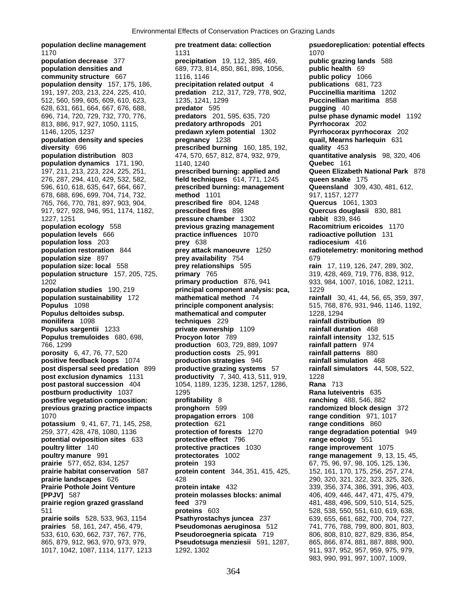**population decline management pre treatment data: collection psuedoreplication: potential effects community structure** 667 1116, 1146 **population density** 157, 175, 186, **precipitation related output** 4<br>191, 197, 203, 213, 224, 225, 410, **predation** 212, 317, 729, 778, 902, **population density and species diversity** 696 **poultry litter** 140 **protective practices** 1030

1170 1131 1070 **population decrease** 377 **precipitation** 19, 112, 385, 469, **public grazing lands** 588 **population densities and** 689, 773, 814, 850, 861, 898, 1056, **public health** 69<br> **community structure** 667 1116, 1146 **public policy 1066**<br> **population density** 157, 175, 186, **precipitation related output** 4 **publicatio** 191, 197, 203, 213, 224, 225, 410, **predation** 212, 317, 729, 778, 902, **Puccinellia maritima** 1202 512, 560, 599, 605, 609, 610, 623, 1235, 1241, 1299 **Puccinellian maritima** 858 628, 631, 661, 664, 667, 676, 688, **predator** 595 **pugging** 40 813, 886, 917, 927, 1050, 1115, **predatory arthropods** 201 **Pyrrhocorax** 202 1146, 1205, 1237 **predawn xylem potential** 1302 **Pyrrhocorax pyrrhocorax** 202 **diversity** 696 **prescribed burning** 160, 185, 192, **quality** 453 **population distribution** 803 474, 570, 657, 812, 874, 932, 979, **quantitative analysis** 98, 320, 406 **population dynamics** 171, 190, 1140, 1240 **Quebec** 161 197, 211, 213, 223, 224, 225, 251, **prescribed burning: applied and Queen Elizabeth National Park** 878 276, 287, 294, 410, 429, 532, 582, **field techniques** 614, 771, 1245 **queen snake** 175 596, 610, 618, 635, 647, 664, 667, **prescribed burning: management Queensland** 309, 430, 481, 612, 678, 688, 696, 699, 704, 714, 732, **method** 1101 917, 1157, 1277 765, 766, 770, 781, 897, 903, 904, **prescribed fire** 804, 1248 **Quercus** 1061, 1303 917, 927, 928, 946, 951, 1174, 1182, **prescribed fires** 898 **Quercus douglasii** 830, 881 1227, 1251 **pressure chamber** 1302 **rabbit** 839, 846 **previous grazing management practice influences** 1070 **population levels** 666 **practice influences** 1070 **radioactive pollution** 131 **population loss** 203 **prey** 638 **radiocesium** 416 **population restoration** 844 **prey attack manoeuvre** 1250 **radiotelemetry: monitoring method prey availability** 754 679 **population size: local** 558 **prey relationships** 595 **rain** 17, 119, 126, 247, 289, 302, **population structure** 157, 205, 725, **primary** 765 319, 428, 469, 719, 776, 838, 912, 1202 **primary production** 876, 941 933, 984, 1007, 1016, 1082, 1211, **population studies** 190, 219 **principal component analysis: pca,** 1229 **population sustainability** 172 **mathematical method** 74 **rainfall** 30, 41, 44, 56, 65, 359, 397, **Populus** 1098 **principle component analysis:** 515, 768, 876, 931, 946, 1146, 1192, **Populus deltoides subsp. mathematical and computer** 1228, 1294 **monilifera** 1098 **techniques** 229 **rainfall distribution** 89 **Populus sargentii** 1233 **private ownership** 1109 **rainfall duration** 468 **Populus tremuloides** 680, 698, **Procyon lotor** 789 **rainfall intensity** 132, 515 766, 1299 **production** 603, 729, 889, 1097 **rainfall pattern** 974 **porosity** 6, 47, 76, 77, 520 **production costs** 25, 991 **rainfall patterns** 880 **positive feedback loops** 1074 **production strategies** 946 **rainfall simulation** 468 **post dispersal seed predation** 899 **productive grazing systems** 57 **rainfall simulators** 44, 508, 522, **productivity** 7, 340, 413, 511, 919, 1228 **post pastoral succession** 404 1054, 1189, 1235, 1238, 1257, 1286, **Rana** 713 **postburn productivity** 1037 1295 1295 **Rana luteiventris** 635 **postfire vegetation composition: profitability** 8 **ranching** 488, 546, 882 **previous grazing practice impacts pronghorn** 599 **randomized block design** 372 1070 **propagation errors** 108 **range condition** 971, 1017 **potassium** 9, 41, 67, 71, 145, 258, **protection** 621 **range conditions** 860<br>259, 377, 428, 478, 1080, 1136 **protection of forests** 1270 **range degradation pote** 259, 377, 428, 478, 1080, 1136 **protection of forests** 1270 **range degradation potential** 949 **potential oviposition sites** 633 **protective effect** 796 **range ecology** 551 **protective practices** 1030 **range improvement** 1075 **poultry manure** 991 **protectorates** 1002 **range management** 9, 13, 15, 45, **prairie** 577, 652, 834, 1257 **protein** 193 67, 75, 96, 97, 98, 105, 125, 136, **prairie habitat conservation** 587 **protein content** 344, 351, 415, 425, 152, 161, 170, 175, 256, 257, 274, **prairie landscapes** 626 428 290, 320, 321, 322, 323, 325, 326, **Prairie Pothole Joint Venture protein intake** 432 339, 356, 374, 386, 391, 396, 403, **[PPJV]** 587 **protein molasses blocks: animal** 406, 409, 446, 447, 471, 475, 479, **prairie region grazed grassland <b>feed** 379 481, 488, 496, 509, 510, 514, 525, 511 **proteins** 603 528, 538, 550, 551, 610, 619, 638, **prairie soils** 528, 533, 963, 1154 **Psathyrostachys juncea** 237 639, 655, 661, 682, 700, 704, 727, **prairies** 58, 161, 247, 456, 479, **Pseudomonas aeruginosa** 512 741, 776, 788, 799, 800, 801, 803, 533, 610, 630, 662, 737, 767, 776, **Pseudoroegneria spicata** 719 806, 808, 810, 827, 829, 836, 854, 865, 879, 912, 963, 970, 973, 979, **Pseudotsuga menziesii** 591, 1287, 865, 866, 874, 881, 887, 888, 900,

696, 714, 720, 729, 732, 770, 776, **predators** 201, 595, 635, 720 **pulse phase dynamic model** 1192 1017, 1042, 1087, 1114, 1177, 1213 1292, 1302 911, 937, 952, 957, 959, 975, 979, 983, 990, 991, 997, 1007, 1009,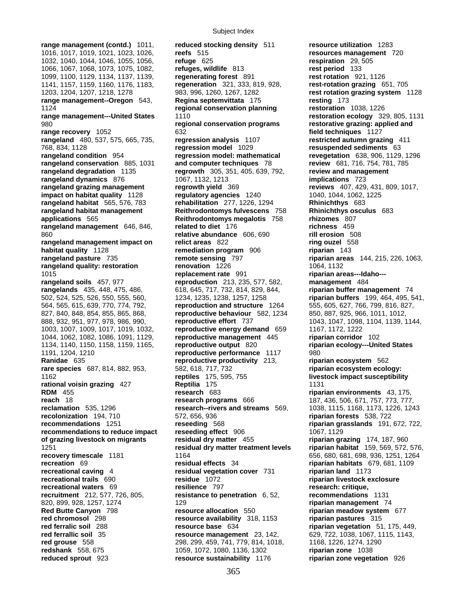**range management (contd.)** 1011, **reduced stocking density** 511 **resource utilization** 1283 1016, 1017, 1019, 1021, 1023, 1026, **reefs** 515 **resources management** 720 1032, 1040, 1044, 1046, 1055, 1056, **refuge** 625 **respiration** 29, 505 1066, 1067, 1068, 1073, 1075, 1082, **refuges, wildlife** 813 **rest period** 133 1099, 1100, 1129, 1134, 1137, 1139, **regenerating forest** 891 **rest rotation** 921, 1126 1141, 1157, 1159, 1160, 1176, 1183, **regeneration** 321, 333, 819, 928, **rest-rotation grazing** 651, 705 1203, 1204, 1207, 1218, 1278 983, 996, 1260, 1267, 1282 **rest rotation grazing system** 1128 **range management--Oregon** 543, **Regina septemvittata** 175 1124 **regional conservation planning restoration** 1038, 1226 **range management---United States** 1110 **restoration ecology** 329, 805, 1131 980 **regional conservation programs restorative grazing: applied and range recovery** 1052 632 **field techniques** 1127 **rangeland** 480, 537, 575, 665, 735, **regression analysis** 1107 **restricted autumn grazing** 411 768, 834, 1128 **regression model** 1029 **resuspended sediments** 63 **rangeland condition** 954 **regression model: mathematical revegetation** 638, 906, 1129, 1296 **rangeland conservation** 885, 1031 **and computer techniques** 78 **review** 681, 716, 754, 781, 785 **rangeland degradation** 1135 **regrowth** 305, 351, 405, 639, 792, **review and management rangeland dynamics** 876 1067, 1132, 1213 **implications** 723 **rangeland grazing management regrowth yield** 369 **reviews** 407, 429, 431, 809, 1017, **impact on habitat quality** 1128 **regulatory agencies** 1240 1040, 1044, 1062, 1225 **rangeland habitat** 565, 576, 783 **rehabilitation** 277, 1226, 1294 **Rhinichthys** 683 **rangeland habitat management** Reithrodontomys fulvescens 758 Rhinichthys osculus 683 applications 565 Reithrodontomys megalotis 758 rhizomes 807 **applications** 565 **Reithrodontomys megalotis** 758 **rangeland management** 646, 846, **related to diet** 176 **richness** 459 860 **relative abundance** 606, 690 **rill erosion** 508 **rangeland management impact on relict areas** 822 **ring ouzel** 558 **habitat quality** 1128 **remediation program** 906 **riparian** 143 **rangeland quality: restoration renovation** 1226 1064, 1132 1015 **replacement rate** 991 **riparian areas---Idaho-- rangeland soils** 457, 977 **reproduction** 213, 235, 577, 582, **management** 484 **rangelands** 435, 448, 475, 486, 618, 645, 717, 732, 814, 829, 844, **riparian buffer management** 74 502, 524, 525, 526, 550, 555, 560, 1234, 1235, 1238, 1257, 1258 **riparian buffers** 199, 464, 495, 541, 564, 565, 615, 639, 770, 774, 792, **reproduction and structure** 1264 555, 605, 627, 766, 799, 816, 827, 827, 840, 848, 854, 855, 865, 868, **reproductive behaviour** 582, 1234 850, 887, 925, 966, 1011, 1012, 888, 932, 951, 977, 978, 986, 990, **reproductive effort** 737 1043, 1047, 1098, 1104, 1139, 1144, 1003, 1007, 1009, 1017, 1019, 1032, **reproductive energy demand** 659 1167, 1172, 1222 1044, 1062, 1082, 1086, 1091, 1129, **reproductive management** 445 **riparian corridor** 102 1134, 1140, 1150, 1158, 1159, 1165, **reproductive output** 820 **riparian ecology---United States** 1191, 1204, 1210 **reproductive performance** 1117 980 **Ranidae** 635 **reproductive productivity** 213, **riparian ecosystem** 562 **rare species** 687, 814, 882, 953, 582, 618, 717, 732 **riparian ecosystem ecology:** 1162 **reptiles** 175, 595, 755 **livestock impact susceptibility rational voisin grazing** 427 **Reptilia** 175 **1131 RDM** 455 **research** 683 **riparian environments** 43, 175, **reach** 18 **research programs** 666 187, 436, 506, 671, 757, 773, 777, 777, 778, 777, 778, 777, 778, 777, 778, 777, **reclamation** 535, 1296 **research--rivers and streams** 569, 1038, 1115, 1168, 1173, 1226, 1243 **recolonization** 194, 710 572, 656, 936 **riparian forests** 538, 722 **recommendations** 1251 **reseeding** 568 **riparian grasslands** 191, 672, 722, **recommendations to reduce impact reseeding effect** 906 1067, 1129 **of grazing livestock on migrants residual dry matter** 455 **riparian grazing** 174, 187, 960 1251 **residual dry matter treatment levels riparian habitat** 159, 569, 572, 576, **recovery timescale** 1181 1164 1164 1164 1164 656, 680, 681, 698, 936, 1251, 1264 **recreation** 69 **residual effects** 34 **riparian habitats** 679, 681, 1109 **recreational caving** 4 **residual vegetation cover** 731 **riparian land** 1173 **recreational trails** 690 **residue** 1072 **riparian livestock exclosure recreational waters** 69 **resilience** 797 **research: critique, recruitment** 212, 577, 726, 805, **resistance to penetration** 6, 52, **recommendations** 1131 820, 899, 928, 1257, 1274 129 **riparian management** 74 **Red Butte Canyon** 798 **resource allocation** 550 **riparian meadow system** 677 **red chromosol** 298 **resource availability** 318, 1153 **riparian pastures** 315 **red ferralic soil** 288 **resource base** 634 **riparian vegetation** 51, 175, 449, **red ferrallic soil** 35 **resource management** 23, 142, 629, 722, 1038, 1067, 1115, 1143, **red grouse** 558 **1274, 1290** 1368, 1274, 1290 **red grouse** 558 298, 299, 459, 741, 779, 814, 1018, **redshank** 558, 675 1059, 1072, 1080, 1136, 1302 **riparian zone** 1038

**rangeland pasture** 735 **remote sensing** 797 **riparian areas** 144, 215, 226, 1063, **reduced sprout** 923 **resource sustainability** 1176 **riparian zone vegetation** 926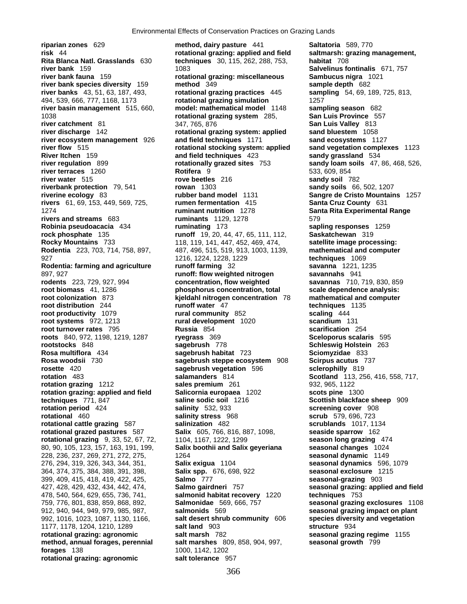927 1216, 1224, 1228, 1229 **techniques** 1069 399, 409, 415, 418, 419, 422, 425, **Salmo** 777 **seasonal-grazing** 903 **forages** 138 1000, 1142, 1202 rotational grazing: agronomic salt tolerance 957

**riparian zones** 629 **method, dairy pasture** 441 **Saltatoria** 589, 770 **risk** 44 **rotational grazing: applied and field saltmarsh: grazing management, Rita Blanca Natl. Grasslands** 630 **techniques** 30, 115, 262, 288, 753, **habitat** 708 **river bank** 159 1083 **Salvelinus fontinalis** 671, 757 **river bank fauna** 159 **rotational grazing: miscellaneous Sambucus nigra** 1021 **river bank species diversity** 159 **method** 349 **sample depth** 682 **river banks** 43, 51, 63, 187, 493, **rotational grazing practices** 445 **sampling** 54, 69, 189, 725, 813, 494, 539, 666, 777, 1168, 1173 **rotational grazing simulation** 1257 **river basin management** 515, 660, **model: mathematical model** 1148 **sampling season** 682 1038 **rotational grazing system** 285, **San Luis Province** 557 **river catchment** 81 **125 347, 765, 876 San Luis Valley 813**<br>**river discharge** 142 **Figure 2016 Catch and Sand Sand Bluestem** 1058 **rotational grazing system: applied sand bluestem** 1058 **river ecosystem management** 926 **and field techniques** 1171 **sand ecosystems** 1127 **river flow** 515 **rotational stocking system: applied sand vegetation complexes** 1123 **River Itchen** 159 **and field techniques** 423 **sandy grassland** 534 **river regulation** 899 **rotationally grazed sites** 753 **sandy loam soils** 47, 86, 468, 526, **river terraces** 1260 **Rotifera** 9 533, 609, 854 **river water** 515 **rove beetles** 216 **sandy soil** 782 **riverbank protection** 79, 541 **rowan** 1303 **sandy soils** 66, 502, 1207 **riverine ecology** 83 **rubber band model** 1131 **Sangre de Cristo Mountains** 1257 **rivers** 61, 69, 153, 449, 569, 725, **rumen fermentation** 415 **Santa Cruz County** 631 1274 **ruminant nutrition** 1278 **Santa Rita Experimental Range rivers and streams** 683 **ruminants** 1129, 1278 579 **Robinia pseudoacacia** 434 **ruminating** 173 **sapling responses** 1259 **rock phosphate** 135 **rock phosphate** 135 **rock phosphate** 135 **runoff** 19, 20, 44, 47, 65, 111, 112, **Saskatchewan** 319 **Rocky Mountains** 733 118, 119, 141, 447, 452, 469, 474, **satellite image processing: Rodentia** 223, 703, 714, 758, 897, 487, 496, 515, 519, 913, 1003, 1139, **mathematical and computer Rodentia: farming and agriculture runoff farming** 32 **savanna** 1221, 1235 897, 927 **runoff: flow weighted nitrogen savannahs** 941 **rodents** 223, 729, 927, 994 **concentration, flow weighted savannas** 710, 719, 830, 859 **root biomass** 41, 1286 **phosphorus concentration, total scale dependence analysis: root colonization** 873 **kjeldahl nitrogen concentration** 78 **mathematical and computer root distribution** 244 **runoff water** 47 **techniques** 1135 **root productivity** 1079 **rural community** 852 **scaling** 444 **root systems** 972, 1213 **rural development** 1020 **scandium** 131 **root turnover rates** 795 **Russia** 854 **scarification** 254 **roots** 840, 972, 1198, 1219, 1287 **ryegrass** 369 **Sceloporus scalaris** 595 **rootstocks** 848 **sagebrush** 778 **Schleswig Holstein** 263 **Rosa multiflora** 434 **sagebrush habitat** 723 **Sciomyzidae** 833 **Rosa woodsii** 730 **sagebrush steppe ecosystem** 908 **Scirpus acutus** 737 **rosette** 420 **sagebrush vegetation** 596 **sclerophilly** 819<br> **rotation** 483 **salamanders** 814 **Scotland** 113, 25 **rotation** 483 **salamanders** 814 **Scotland** 113, 256, 416, 558, 717, **rotation grazing** 1212 **sales premium** 261 932, 965, 1122 **rotation grazing: applied and field Salicornia europaea** 1202 **scots pine** 1300 **techniques** 771, 847 **saline sodic soil** 1216 **Scottish blackface sheep** 909 **rotation period** 424 **salinity** 532, 933 **screening cover** 908 **rotational** 460 **salinity stress** 968 **scrub** 579, 696, 723 **rotational cattle grazing** 587 **salinization** 482 **scrublands** 1017, 1134 **rotational grazed pastures** 587 **Salix** 605, 766, 816, 887, 1098, **seaside sparrow** 162 **rotational grazing** 9, 33, 52, 67, 72, 1104, 1167, 1222, 1299 **season long grazing** 474 80, 90, 105, 123, 157, 163, 191, 199, **Salix boothii and Salix geyeriana seasonal changes** 1024 228, 236, 237, 269, 271, 272, 275, 1264 **seasonal dynamic** 1149 276, 294, 319, 326, 343, 344, 351, **Salix exigua** 1104 **seasonal dynamics** 596, 1079 364, 374, 375, 384, 388, 391, 398, **Salix spp.** 676, 698, 922 **seasonal exclosure** 1215 427, 428, 429, 432, 434, 442, 474, **Salmo gairdneri** 757 **seasonal grazing: applied and field**  478, 540, 564, 629, 655, 736, 741, **salmonid habitat recovery** 1220 **techniques** 753 759, 776, 801, 838, 859, 868, 892, **Salmonidae** 569, 666, 757 **seasonal grazing exclosures** 1108 912, 940, 944, 949, 979, 985, 987, **salmonids** 569 **seasonal grazing impact on plant**  992, 1016, 1023, 1087, 1130, 1166, **salt desert shrub community** 606 **species diversity and vegetation**  1177, 1178, 1204, 1210, 1289 **salt land** 903 **structure** 934 **rotational grazing: agronomic salt marsh** 782 **seasonal grazing regime** 1155 **method, annual forages, perennial salt marshes** 809, 858, 904, 997, **seasonal growth** 799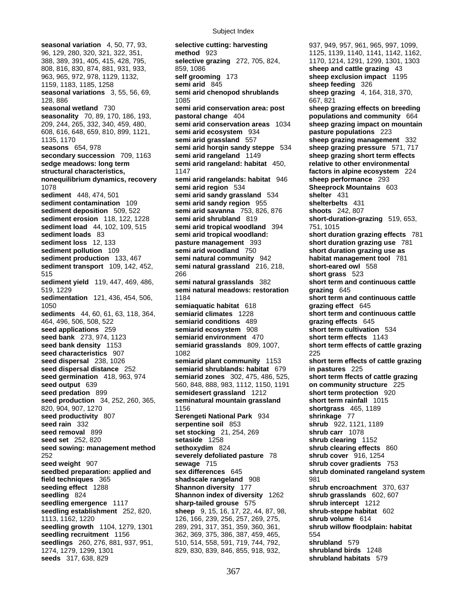96, 129, 280, 320, 321, 322, 351, **method** 923 1125, 1139, 1140, 1141, 1142, 1162, 388, 389, 391, 405, 415, 428, 795, **selective grazing** 272, 705, 824, 1170, 1214, 1291, 1299, 1301, 1303 808, 816, 830, 874, 881, 931, 933, 859, 1086 **sheep and cattle grazing** 43 963, 965, 972, 978, 1129, 1132, **self grooming** 173 **sheep exclusion impact** 1195 1159, 1183, 1185, 1258 **semi arid** 845 **sheep feeding** 326 **seasonal variations** 3, 55, 56, 69, **semi arid chenopod shrublands sheep grazing** 4, 164, 318, 370, 128, 886 1085 667, 821 **seasonal wetland** 730 **semi arid conservation area: post sheep grazing effects on breeding seasonality** 70, 89, 170, 186, 193, **pastoral change** 404 **populations and community** 664 209, 244, 265, 332, 340, 459, 480, **semi arid conservation areas** 1034 **sheep grazing impact on mountain**  608, 616, 648, 659, 810, 899, 1121, **semi arid ecosystem** 934 **pasture populations** 223 1135, 1170 **semi arid grassland** 557 **sheep grazing management** 332 **seasons** 654, 978 **semi arid horqin sandy steppe** 534 **sheep grazing pressure** 571, 717 **secondary succession** 709, 1163 **semi arid rangeland** 1149 **sheep grazing short term effects sedge meadows: long term semi arid rangeland: habitat** 450, **relative to other environmental structural characteristics,** 1147 **factors in alpine ecosystem** 224 **nonequilibrium dynamics, recovery semi arid rangelands: habitat** 946 **sheep performance** 293 1078 **semi arid region** 534 **Sheeprock Mountains** 603 **sediment** 448, 474, 501 **semi arid sandy grassland** 534 **shelter** 431 **sediment contamination** 109 **semi arid sandy region** 955 **shelterbelts** 431 **sediment deposition** 509, 522 **semi arid savanna** 753, 826, 876 **shoots** 242, 807 **sediment erosion** 118, 122, 1228 **semi arid shrubland** 819 **short-duration-grazing** 519, 653, **sediment load** 44, 102, 109, 515 **semi arid tropical woodland** 394 751, 1015 **sediment loads** 83 **semi arid tropical woodland:** short duration grazing effects 781<br>**sediment loss** 12.133 **basture management** 393 **short duration grazing use** 781 **sediment pollution** 109 **semi arid woodland** 750 **short duration grazing use as sediment production** 133, 467 **semi natural community** 942 **habitat management tool** 781 **sediment transport** 109, 142, 452, **semi natural grassland** 216, 218, **short-eared owl** 558 515 266 **short grass** 523 **sediment yield** 119, 447, 469, 486, **semi natural grasslands** 382 **short term and continuous cattle**  519, 1229 **semi natural meadows: restoration grazing** 645 **sedimentation** 121, 436, 454, 506, 1184 **short term and continuous cattle short term and continuous cattle** 1050 **semiaquatic habitat** 618 **grazing effect** 645 **sediments** 44, 60, 61, 63, 118, 364, **semiarid climates** 1228 **short term and continuous cattle**  464, 496, 506, 508, 522 **semiarid conditions** 489 **grazing effects** 645 **seed applications** 259 **semiarid ecosystem** 908 **short term cultivation** 534 **seed bank** 273, 974, 1123 **semiarid environment** 470 **short term effects** 1143 **seed bank density** 1153 **semiarid grasslands** 809, 1007, **short term effects of cattle grazing seed characteristics** 907 1082 1082<br>**1082 225 seed dispersal** 238, 1026 **1082 Semiarid plant community** 1153 **108 seed dispersal distance** 252 **semiarid shrublands: habitat** 679 **in pastures** 225 **seed germination** 418, 963, 974 **semiarid zones** 302, 475, 486, 525, **short term ffects of cattle grazing seed output** 639 560, 848, 888, 983, 1112, 1150, 1191 **on community structure** 225 **seed predation** 899 **semidesert grassland** 1212 **short term protection** 920 **seed production** 34, 252, 260, 365, **seminatural mountain grassland short term rainfall** 1015 820, 904, 907, 1270 1156 **shortgrass** 465, 1189 **seed productivity** 807 **Serengeti National Park** 934 **shrinkage** 77 **seed rain** 332 **serpentine soil** 853 **shrub** 922, 1121, 1189 **seed removal** 899 **set stocking** 21, 254, 269 **shrub carr** 1078 **seed set** 252, 820 **setaside** 1258 **shrub clearing** 1152 **seed sowing: management method sethoxydim** 824 **shrub clearing effects** 860 252 **severely defoliated pasture** 78 **shrub cover** 916, 1254 **seed weight** 907 **sewage** 715 **shrub cover gradients** 753 **seedbed preparation: applied and sex differences** 645 **shrub dominated rangeland system field techniques** 365 **shadscale rangeland** 908 981 **seeding effect** 1288 **Shannon diversity** 177 **shrub encroachment** 370, 637 **seedling** 824 **Shannon index of diversity** 1262 **shrub grasslands** 602, 607 **seedling emergence** 1117 **sharp-tailed grouse** 575 **shrub intercept** 1212 **seedling establishment** 252, 820, **sheep** 9, 15, 16, 17, 22, 44, 87, 98, **shrub-steppe habitat** 602 1113, 1162, 1220 126, 166, 239, 256, 257, 269, 275, **shrub volume** 614 **seedling growth** 1104, 1279, 1301 289, 291, 317, 351, 359, 360, 361, **shrub willow floodplain: habitat seedling recruitment** 1156 362, 369, 375, 386, 387, 459, 465, 554 **seedlings** 260, 276, 881, 937, 951, 510, 514, 558, 591, 719, 744, 792, **shrubland** 579 1274, 1279, 1299, 1301 829, 830, 839, 846, 855, 918, 932, **shrubland birds** 1248 **seeds** 317, 638, 829 **shrubland habitats** 579

**seasonal variation** 4, 50, 77, 93, **selective cutting: harvesting** 937, 949, 957, 961, 965, 997, 1099, **pasture management** 393 **short duration grazing use** 781

short term effects of cattle grazing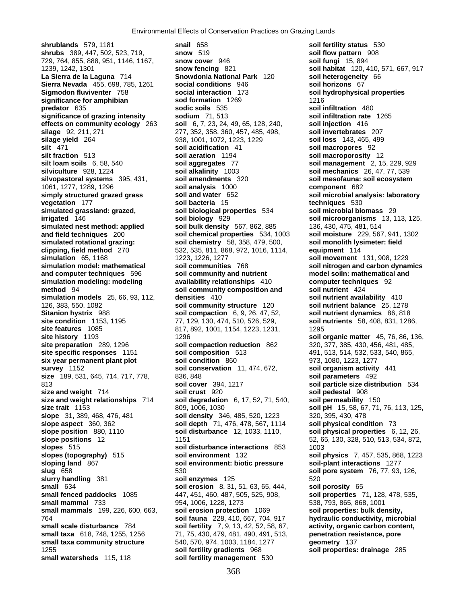**shrublands** 579, 1181 **snail** 658 **soil fertility status** 530 **shrubs** 389, 447, 502, 523, 719, **snow** 519 **soil flow pattern** 908 729, 764, 855, 888, 951, 1146, 1167, **snow cover** 946 **soil fungi** 15, 894 1239, 1242, 1301 **snow fencing** 821 **soil habitat** 120, 410, 571, 667, 917 **La Sierra de la Laguna** 714 **Snowdonia National Park** 120 **Sierra Nevada** 455, 698, 785, 1261 **social conditions** 946 **soil horizons** 67 **Sigmodon fluviventer** 758 **social interaction** 173 **soil hydrophysical properties significance for amphibian sod formation** 1269 1216 **predator** 635 **sodic soils** 535 **soil infiltration** 480 **significance of grazing intensity sodium** 71, 513 **soil infiltration rate** 1265 **effects on community ecology** 263 **soil** 6, 7, 23, 24, 49, 65, 128, 240, **soil injection** 416 **silage** 92, 211, 271 277, 352, 358, 360, 457, 485, 498, **soil invertebrates** 207 **silage yield** 264 938, 1001, 1072, 1223, 1229 **soil loss** 143, 465, 499 **silt** 471 **soil acidification** 41 **soil macropores** 92 **silt fraction** 513 **soil aeration** 1194 **soil macroporosity** 12 **silt loam soils** 6, 58, 540 **soil aggregates** 77 **soil management** 2, 15, 229, 929 **silviculture** 928, 1224 **soil alkalinity** 1003 **soil mechanics** 26, 47, 77, 539 **silvopastoral systems** 395, 431, **soil amendments** 320 **soil mesofauna: soil ecosystem**  1061, 1277, 1289, 1296 **soil analysis** 1000 **component** 682 **simply structured grazed grass soil and water** 652 **soil microbial analysis: laboratory vegetation** 177 **soil bacteria** 15 **techniques** 530 **simulated grassland: grazed, soil biological properties** 534 **soil microbial biomass** 29 **irrigated** 146 **soil biology** 929 **soil microorganisms** 13, 113, 125, **simulated nest method: applied** soil bulk density 567, 862, 885 136, 430, 475, 481, 514<br> **soil chemical properties** 534, 1003 soil moisture 229, 567, 941, 1302 **and field techniques** 200 **soil chemical properties** 534, 1003 **simulated rotational grazing: soil chemistry** 58, 358, 479, 500, **clipping, field method** 270 532, 535, 811, 868, 972, 1016, 1114, **equipment** 114 **simulation** 65, 1168 1223, 1226, 1277 **soil movement** 131, 908, 1229 **simulation model: mathematical soil communities** 768 **soil nitrogen and carbon dynamics and computer techniques** 596 **soil community and nutrient model soiln: mathematical and simulation modeling: modeling availability relationships** 410 **computer techniques** 92 **method** 94 **soil community composition and soil nutrient** 424 **simulation models** 25, 66, 93, 112, **densities** 410 **soil nutrient availability** 410 126, 383, 550, 1082 **soil community structure** 120 **soil nutrient balance** 25, 1278 **Sitanion hystrix** 988 **soil compaction** 6, 9, 26, 47, 52, **soil nutrient dynamics** 86, 818 **site condition** 1153, 1195 77, 129, 130, 474, 510, 526, 529, **soil nutrients** 58, 408, 831, 1286, **site features** 1085 817, 892, 1001, 1154, 1223, 1231, 1295 **site history** 1193 1296 **soil organic matter** 45, 76, 86, 136, 136, **solie organic matter** 45, 76, 86, 136, **site preparation** 289, 1296 **soil compaction reduction** 862 320, 377, 385, 430, 456, 481, 485, **site specific responses** 1151 **soil composition** 513 491, 513, 514, 532, 533, 540, 865, <br> **six year permanent plant plot** soil condition 860 973, 1080, 1223, 1277 **six year permanent plant plot soil condition** 860 973, 1080, 1223, 1277 **survey** 1152 **soil conservation** 11, 474, 672, **soil organism activity** 441 **size** 189, 531, 645, 714, 717, 778, 836, 848 **soil parameters** 492 813 **soil cover** 394, 1217 **soil particle size distribution** 534 **size and weight** 714 **soil crust** 920 **soil pedestal** 908 **size and weight relationships** 714 **soil degradation** 6, 17, 52, 71, 540, **soil permeability** 150 **size trait** 1153 809, 1006, 1030 **soil pH** 15, 58, 67, 71, 76, 113, 125, **slope** 31, 389, 468, 476, 481 **soil density** 346, 485, 520, 1223 320, 395, 430, 478 **slope aspect** 360, 362 **soil depth** 71, 476, 478, 567, 1114 **soil physical condition** 73 **slope position** 880, 1110 **soil disturbance** 12, 1033, 1110, **soil physical properties** 6, 12, 26, **slope positions** 12 1151 52, 65, 130, 328, 510, 513, 534, 872, **slopes** 515 **soil disturbance interactions** 853 1003 **slopes (topography)** 515 **soil environment** 132 **soil physics** 7, 457, 535, 868, 1223 **sloping land** 867 **soil environment: biotic pressure soil-plant interactions** 1277 **slug** 658 530 **soil pore system** 76, 77, 93, 126, **slurry handling** 381 **soil enzymes** 125 **520 small** 634 **soil erosion** 8, 31, 51, 63, 65, 444, **soil porosity** 65 **small mammal** 733 954, 1006, 1228, 1273 538, 793, 865, 868, 1001 **small mammals** 199, 226, 600, 663, **soil erosion protection** 1069 **soil properties: bulk density,**  764 **soil fauna** 228, 410, 667, 704, 917 **hydraulic conductivity, microbial small scale disturbance** 784 **soil fertility** 7, 9, 13, 42, 52, 58, 67, **small taxa** 618, 748, 1255, 1256 71, 75, 430, 479, 481, 490, 491, 513, **penetration resistance, pore small taxa community structure** 540, 570, 974, 1003, 1184, 1277 **geometry** 137 1255 **soil fertility gradients** 968 **soil properties: drainage** 285 **small watersheds** 115, 118 **soil fertility management** 530

soil chemistry 58, 358, 479, 500, soil monolith lysimeter: field **soil compaction reduction** 862 320, 377, 385, 430, 456, 481, 485, **slope positions** 12 1151 52, 65, 130, 328, 510, 513, 534, 872, **small fenced paddocks** 1085 447, 451, 460, 487, 505, 525, 908, **soil properties** 71, 128, 478, 535,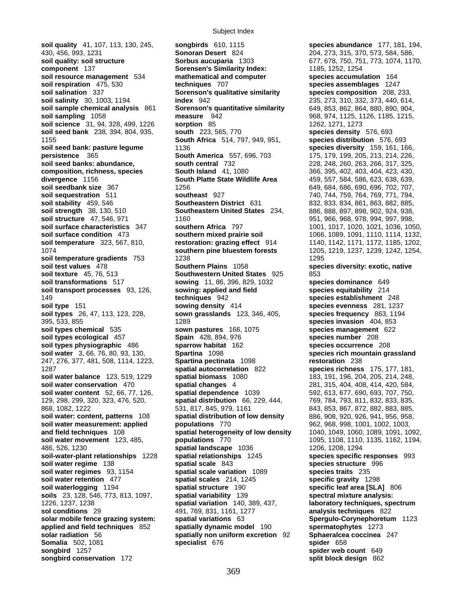**soil quality** 41, 107, 113, 130, 245, **songbirds** 610, 1115 **species abundance** 177, 181, 194, 430, 456, 993, 1231 **Sonoran Desert** 824 204, 273, 315, 370, 573, 584, 586, **soil quality: soil structure 61 Sorbus aucuparia** 1303 677, 678, 750, 751, 773, 1074, 1170, **component** 137 **Sorensen's Similarity Index:** 1185, 1252, 1254 **soil resource management** 534 **mathematical and computer species accumulation** 164 **soil respiration** 475, 530 **techniques** 707 **species assemblages** 1247 **soil salination** 337 **Sorenson's qualitative similarity species composition** 208, 233, **soil salinity** 30, 1003, 1194 **index** 942 235, 273, 310, 332, 373, 440, 614, **soil sample chemical analysis** 861 **Sorenson's quantitative similarity** 649, 853, 862, 864, 880, 890, 904, **soil sampling** 1058 **measure** 942 968, 974, 1125, 1126, 1185, 1215, **soil science** 31, 94, 328, 499, 1226 **sorption** 85 1262, 1271, 1273 **soil science** 31, 94, 328, 499, 1226 **sorption** 85 1262, 1271, 1273 **soil seed bank** 238, 394, 804, 935, **south** 223, 565, 770 **species density** 576, 693 1155 **South Africa** 514, 797, 949, 951, **species distribution** 576, 693 **soil seed bank: pasture legume** 1136 **species diversity** 159, 161, 166, **persistence** 365 **South America** 557, 696, 703 175, 179, 199, 205, 213, 214, 226, **soil seed banks: abundance, south central** 732 228, 248, 260, 263, 266, 317, 325, **composition, richness, species South Island** 41, 1080 366, 395, 402, 403, 404, 423, 430, 404, 423, 430, **divergence** 1156 **South Platte State Wildlife Area** 459, 557, 584, 586, 623, 638, 639, **soil seedbank size** 367 1256 649, 684, 686, 690, 696, 702, 707, **soil sequestration** 511 **southeast** 927 740, 744, 759, 764, 769, 771, 794, **soil stability** 459, 546 **Southeastern District** 631 832, 833, 834, 861, 863, 882, 885, **soil strength** 38, 130, 510 **Southeastern United States** 234, 886, 888, 897, 898, 902, 924, 938, **soil structure** 47, 546, 971 1160 951, 966, 968, 978, 994, 997, 998, **soil surface characteristics** 347 **southern Africa** 797 1001, 1017, 1020, 1021, 1036, 1050, **soil surface condition** 473 **southern mixed prairie soil** 1066, 1089, 1091, 1110, 1114, 1132, **soil temperature** 323, 567, 810, **restoration: grazing effect** 914 1140, 1142, 1171, 1172, 1185, 1202, 1074 **southern pine bluestem forests** 1205, 1219, 1237, 1239, 1242, 1254, **soil temperature gradients 753** 1238<br> **Southern Plains** 1058 1295<br> **Southern Plains** 1058 **soil texture** 45, 76, 513 **Southwestern United States** 925 853 **soil transformations** 517 **sowing** 11, 86, 396, 829, 1032 **species dominance** 649 **soil transport processes** 93, 126, **sowing: applied and field species equitability** 214 149 **techniques** 942 **species establishment** 248 **soil type** 151 **sowing density** 414 **species evenness** 281, 1237 **soil types** 26, 47, 113, 123, 228, **sown grasslands** 123, 346, 405, **species frequency** 863, 1194 395, 533, 855 1289 **species invasion** 404, 853 **soil types chemical** 535 **sown pastures** 166, 1075 **species management** 622 **soil types ecological** 457 **Spain** 428, 894, 976 **species number** 208 **soil types physiographic** 486 **sparrow habitat** 162 **species occurrence** 208 **soil water** 3, 66, 76, 80, 93, 130, **Spartina** 1098 **species rich mountain grassland**  247, 276, 377, 481, 508, 1114, 1223, **Spartina pectinata** 1098 **restoration** 238 1287 **spatial autocorrelation** 822 **species richness** 175, 177, 181, **soil water balance** 123, 519, 1229 **spatial biomass** 1080 183, 191, 196, 204, 205, 214, 248, **soil water conservation** 470 **spatial changes** 4 281, 315, 404, 408, 414, 420, 584, **soil water content** 52, 66, 77, 126, **spatial dependence** 1039 592, 613, 677, 690, 693, 707, 750, 129, 298, 299, 320, 323, 476, 520, **spatial distribution** 66, 229, 444, 769, 784, 793, 811, 832, 833, 835, 868, 1082, 1222 531, 817, 845, 979, 1161 843, 853, 867, 872, 882, 883, 885, **soil water: content, patterns** 108 **spatial distribution of low density** 886, 908, 920, 926, 941, 956, 958, **soil water measurement: applied populations** 770 962, 968, 998, 1001, 1002, 1003, **and field techniques** 108 **spatial heterogeneity of low density** 1040, 1049, 1060, 1089, 1091, 1092, **soil water movement** 123, 485, **populations** 770 1095, 1108, 1110, 1135, 1162, 1194, 1996, 526. 1230 **spatial landscape** 1036 1206, 1208, 1294 486, 526, 1230<br> **spatial landscape** 1036 1226, 1206, 1208, 1294<br> **species specific responses** 993 **soil-water-plant relationships** 1228 **spatial relationships** 1245 **species specific responses**<br>**species structure** 996 **spatial scale** 843 **species structure** 996 **soil water regime** 138 **spatial scale** 843 **soil water regimes** 93, 1154 **spatial scale variation** 1089 **species traits** 235 **soil water retention** 477 **spatial scales** 214, 1245 **specific gravity** 1298 **soil waterlogging** 1194 **spatial structure** 190 **specific leaf area [SLA]** 806 **soils** 23, 128, 546, 773, 813, 1097, **spatial variability** 139 **spectral mixture analysis:**  1226, 1237, 1238 **spatial variation** 140, 389, 437, **laboratory techniques, spectrum sol conditions** 29 491, 769, 831, 1161, 1277 **analysis techniques** 822 **solar mobile fence grazing system: spatial variations** 63 **Spergulo-Corynephoretum** 1123 **applied and field techniques** 852 **spatially dynamic model** 190 **spermatophytes** 1273 **solar radiation** 56 **spatially non uniform excretion** 92 **Sphaeralcea coccinea** 247 **Somalia** 502, 1081 **specialist** 676 **spider** 658 **songbird** 1257 **spider web count** 649

**component** 137 **Sorensen's Similarity Index:** 1185, 1252, 1254 **Southern Plains** 1058 **species diversity: exotic, native** 

**songbird conservation** 172 **split block design** 862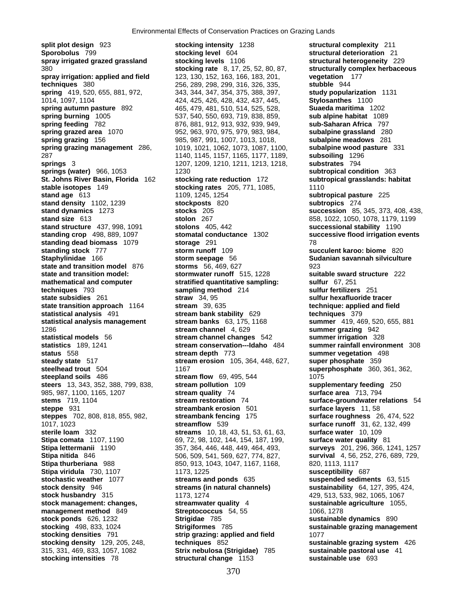**split plot design** 923 **stocking intensity** 1238 **structural complexity** 211 **Sporobolus** 799 **stocking level** 604 **structural deterioration** 21 **spray irrigated grazed grassland <b>stocking levels** 1106 380 **stocking rate** 8, 17, 25, 52, 80, 87, **structurally complex herbaceous spray irrigation: applied and field** 123, 130, 152, 163, 166, 183, 201, **vegetation** 177 **techniques** 380 256, 289, 298, 299, 316, 326, 335, **stubble** 944 **spring** 419, 520, 655, 881, 972, 343, 344, 347, 354, 375, 388, 397, **study popularization** 1131 1014, 1097, 1104 424, 425, 426, 428, 432, 437, 445, **Stylosanthes** 1100 **spring autumn pasture** 892 465, 479, 481, 510, 514, 525, 528, **Suaeda maritima** 1202 **spring burning** 1005 537, 540, 550, 693, 719, 838, 859, **sub alpine habitat** 1089 **spring grazed area** 1070 952, 963, 970, 975, 979, 983, 984, **subalpine grassland** 280 **spring grazing** 156 985, 987, 991, 1007, 1013, 1018, **subalpine meadows** 281 **spring grazing management** 286, 1019, 1021, 1062, 1073, 1087, 1100, **subalpine wood pasture** 331 287 1140, 1145, 1157, 1165, 1177, 1189, **subsoiling** 1296 **springs** 3 1207, 1209, 1210, 1211, 1213, 1218, **substrates** 794 **springs (water)** 966, 1053 1230 1230 **subtropical condition** 363 **St. Johns River Basin, Florida** 162 **stocking rate reduction** 172 **subtropical grasslands: habitat stable isotopes** 149 **stocking rates** 205, 771, 1085, 1110 **stand age** 613 1109, 1245, 1254 **subtropical pasture** 225 **stand density** 1102, 1239 **stockposts** 820 **subtropics** 274 **stand dynamics** 1273 **stocks** 205 **succession** 85, 345, 373, 408, 438, **stand size** 613 **stolon** 267 858, 1022, 1050, 1078, 1179, 1199 **stand structure** 437, 998, 1091 **stolons** 405, 442 **successional stability** 1190 **standing crop** 498, 889, 1097 **stomatal conductance** 1302 **successive flood irrigation events standing dead biomass** 1079 **storage** 291 78 **standing stock** 777 **storm runoff** 109 **succulent karoo: biome** 820 **Staphylinidae** 166 **storm seepage** 56 **Sudanian savannah silviculture state and transition model** 876 **storms** 56, 469, 627 923 **state and transition model: stormwater runoff** 515, 1228 **suitable sward structure** 222 **mathematical and computer and stratified quantitative sampling:** sulfur 67, 251<br>**techniques** 793 sampling method 214 sulfur fertilizer **state subsidies** 261 **straw** 34, 95 **sulfur hexafluoride tracer state transition approach** 1164 **stream** 39, 635 **technique: applied and field statistical analysis** 491 **stream bank stability** 629 **techniques** 379 **statistical analysis management stream banks** 63, 175, 1168 **summer** 419, 469, 520, 655, 881 1286 **stream channel** 4, 629 **summer grazing** 942 **statistical models** 56 **stream channel changes** 542 **summer irrigation** 328 **statistics** 189, 1241 **stream conservation---Idaho** 484 **summer rainfall environment** 308 **steady state** 517 **stream erosion** 105, 364, 448, 627, **steelhead trout** 504 1167 **superphosphate** 360, 361, 362, **steepland soils** 486 **stream flow** 69, 495, 544 1075 **steers** 13, 343, 352, 388, 799, 838, **stream pollution** 109 **supplementary feeding** 250 985, 987, 1100, 1165, 1207 **stream quality** 74 **surface area** 713, 794 **stems** 719, 1104 **stream restoration** 74 **surface-groundwater relations** 54 **steppe** 931 **streambank erosion** 501 **surface layers** 11, 58 **steppes** 702, 808, 818, 855, 982, **streambank fencing** 175 **surface roughness** 26, 474, 522 1017, 1023 **streamflow** 539 **surface runoff** 31, 62, 132, 499 **sterile loam** 332 **streams** 10, 18, 43, 51, 53, 61, 63, **surface water** 10, 109 **Stipa comata** 1107, 1190 69, 72, 98, 102, 144, 154, 187, 199, **Stipa lettermanii** 1190 357, 364, 446, 448, 449, 464, 493, **surveys** 201, 296, 366, 1241, 1257 **Stipa nitida** 846 506, 509, 541, 569, 627, 774, 827, **survival** 4, 56, 252, 276, 689, 729, **Stipa thurberiana** 988 850, 913, 1043, 1047, 1167, 1168, 820, 1113, 1117<br>**Stipa viridula** 730, 1107 1173, 1225 **Stipa viridula** 730, 1107 1173, 1225<br>**stochastic weather** 1077 **streams and ponds** 635 **stochastic weather** 1077 **streams and ponds** 635 **suspended sediments** 63, 515 **stock density** 946 **streams (in natural channels) sustainability** 64, 127, 395, 424, **stock management: changes, streamwater quality** 4 **sustainable agriculture** 1055, **management method** 849 **Streptococcus** 54, 55 1066, 1278 **stock ponds** 626, 1232 **Strigidae** 785 **sustainable dynamics** 890 **stocking** 498, 833, 1024 **Strigiformes** 785 **sustainable grazing management stocking densities** 791 **strip grazing: applied and field** 1077 **stocking density** 129, 205, 248, **techniques** 852 **sustainable grazing system** 426 **stocking intensities** 78 **structural change** 1153 **sustainable use** 693

**spring feeding** 782 876, 881, 912, 913, 932, 939, 949, **sub-Saharan Africa** 797 **the sampling method** 214 **sulfur fertilizers** 251 **stream depth** 773 **summer vegetation** 498<br>**stream erosion** 105, 364, 448, 627, **super phosphate** 359 **stock husbandry** 315 1173, 1274 429, 513, 533, 982, 1065, 1067 315, 331, 469, 833, 1057, 1082 **Strix nebulosa (Strigidae)** 785 **sustainable pastoral use** 41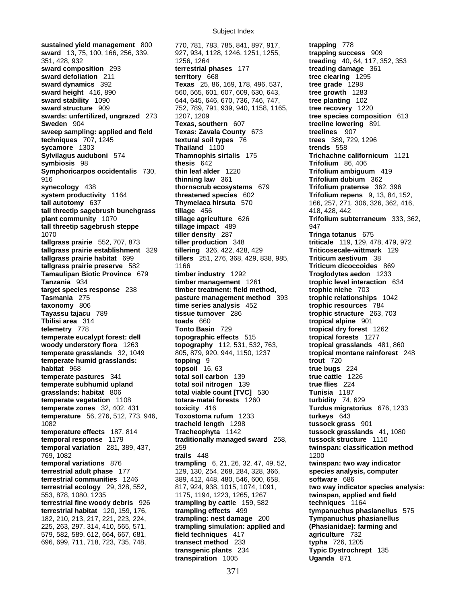**sustained yield management** 800 770, 781, 783, 785, 841, 897, 917, **trapping** 778 **sward** 13, 75, 100, 166, 256, 339, 927, 934, 1128, 1246, 1251, 1255, **trapping success** 909 351, 428, 932 1256, 1264 **treading** 40, 64, 117, 352, 353 **sward composition** 293 **terrestrial phases** 177 **treading damage** 361 **sward defoliation** 211 **territory** 668 **tree clearing** 1295<br> **sward dynamics** 392 **the State 1298 Texas** 25, 86, 169, 178, 496, 537, **tree grade** 1298 **sward dynamics** 392 **Texas** 25, 86, 169, 178, 496, 537, **sward height** 416, 890 560, 565, 601, 607, 609, 630, 643, **tree growth** 1283<br> **sward stability** 1090 644, 645, 646, 670, 736, 746, 747, **tree planting** 102<br> **sward structure** 909 752, 789, 791, 939, 940, 1158, 1165, **tree sward stability** 1090 644, 645, 646, 670, 736, 746, 747, **sward structure** 909 752, 789, 791, 939, 940, 1158, 1165, **swards: unfertilized, ungrazed** 273 1207, 1209 **tree species composition** 613 **Sweden** 904 **Texas, southern** 607 **treeline lowering** 891 **sweep sampling: applied and field Texas: Zavala County** 673 **treelines** 907 **techniques** 707, 1245 **textural soil types** 76 **trees** 389, 729, 1296 **sycamore** 1303 **Thailand** 1100 **trends** 558 **symbiosis** 98 **thesis** 642 **Trifolium** 86, 406 **Symphoricarpos occidentalis** 730, **thin leaf alder** 1220 **Trifolium ambiguum** 419 916 **thinning law** 361 **Trifolium dubium** 362 **synecology** 438 **thornscrub ecosystems** 679 **Trifolium pratense** 362, 396 **system productivity** 1164 **threatened species** 602 **Trifolium repens** 9, 13, 84, 152, **tail autotomy** 637 **Thymelaea hirsuta** 570 166, 257, 271, 306, 326, 362, 416, **tall threetip sagebrush bunchgrass tillage** 456 **6 418, 428, 442 plant community** 1070 **tillage agriculture** 626 **Trifolium subterraneum** 333, 362, **tall threetip sagebrush steppe tillage impact** 489 947 1070 **tiller density** 287 **Tringa totanus** 675 **tallgrass prairie** 552, 707, 873 **tiller production** 348 **triticale** 119, 129, 478, 479, 972 **tallgrass prairie establishment** 329<br>**tallgrass prairie habitat** 699 **tallgrass prairie preserve** 582 1166 **Triticum dicoccoides** 869 **Tamaulipan Biotic Province** 679 **timber industry** 1292 **Troglodytes aedon** 1233 **Tanzania** 934 **timber management** 1261 **trophic level interaction** 634 **target species response** 238 **timber treatment: field method, trophic niche** 703 **taxonomy** 806 **time series analysis** 452 **trophic resources** 784 **Tayassu tajacu** 789 **tissue turnover** 286 **trophic structure** 263, 703 **Tbilisi area** 314 **toads** 660 **tropical alpine** 901 **telemetry** 778 **Tonto Basin** 729 **tropical dry forest** 1262 **temperate eucalypt forest: dell topographic effects** 515 **tropical forests** 1277 **woody understory flora** 1263 **topography** 112, 531, 532, 763, **temperate grasslands** 32, 1049 805, 879, 920, 944, 1150, 1237 **tropical montane rainforest** 248 **temperate humid grasslands: topping** 9 **trout** 720 **habitat** 968 **topsoil** 16, 63 **true bugs** 224 **temperate pastures** 341 **total soil carbon** 139 **true cattle** 1226 **temperate subhumid upland total soil nitrogen** 139 **true flies** 224 **grasslands: habitat** 806 **total viable count [TVC]** 530 **Tunisia** 1187 **temperate vegetation** 1108 **totara-matai forests** 1260 **turbidity** 74, 629 **temperate zones** 32, 402, 431 **toxicity** 416 **Turdus migratorius** 676, 1233 **temperature** 56, 276, 512, 773, 946, **Toxostoma rufum** 1233 **turkeys** 643 1082 **tracheid length** 1298 **tussock grass** 901 **temperature effects** 187, 814 **Tracheophyta** 1142 **tussock grasslands** 41, 1080 **temporal response** 1179 **traditionally managed sward** 258, **tussock structure** 1110 **temporal variation** 281, 389, 437, 259 **twinspan: classification method** 769, 1082 **trails** 448 1200 **temporal variations** 876 **trampling** 6, 21, 26, 32, 47, 49, 52, **twinspan: two way indicator terrestrial adult phase** 177 129, 130, 254, 268, 284, 328, 366, **species analysis, computer terrestrial communities** 1246 389, 412, 448, 480, 546, 600, 658, **software** 686<br>**terrestrial ecology** 29, 328, 552, 817, 924, 938, 1015, 1074, 1091, **two way indic**; **terrestrial ecology** 29, 328, 552, 817, 924, 938, 1015, 1074, 1091, **two way indicator species analysis:**  553, 878, 1080, 1235 1175, 1194, 1223, 1265, 1267 **twinspan, applied and field terrestrial fine woody debris** 926 **trampling by cattle** 159, 582 **techniques** 1164 **terrestrial habitat** 120, 159, 176, **trampling effects** 499 **tympanuchus phasianellus** 575 182, 210, 213, 217, 221, 223, 224, **trampling: nest damage** 200 **Tympanuchus phasianellus**  225, 263, 297, 314, 410, 565, 571, **trampling simulation: applied and (Phasianidae): farming and**  579, 582, 589, 612, 664, 667, 681, **field techniques** 417 **agriculture** 732 696, 699, 711, 718, 723, 735, 748, **transect method** 233 **typha** 726, 1205

**Thamnophis sirtalis** 175 **Trichachne californicum** 1121 **tallgrass prairie habitat** 699 **tillers** 251, 276, 368, 429, 838, 985, **Triticum aestivum** 38 **Pasture management method** 393 **trophic relationships** 1042 **transgenic plants** 234 **Typic Dystrochrept** 135 **transpiration** 1005 **Uganda** 871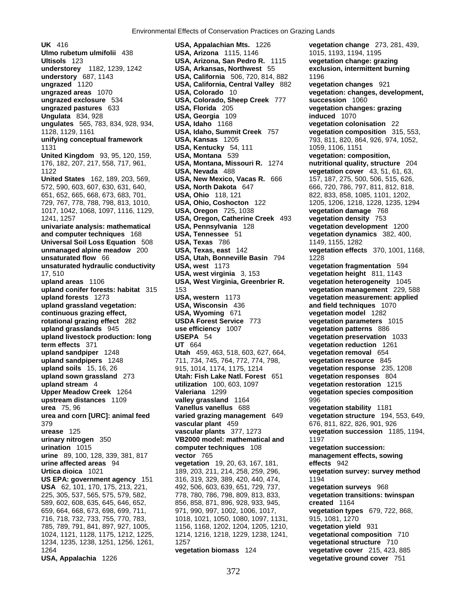**ungrazed exclosure** 534 **USA, Colorado, Sheep Creek** 777 1017, 1042, 1068, 1097, 1116, 1129, **USA, Oregon** 725, 1038 **vegetation damage** 768 1264 **vegetation biomass** 124 **vegetative cover** 215, 423, 885 **USA, Appalachia** 1226 **vegetative ground cover** 751

**UK** 416 **USA, Appalachian Mts.** 1226 **vegetation change** 273, 281, 439, **Ulmo rubetum ulmifolii** 438 **USA, Arizona** 1115, 1146 1015, 1193, 1194, 1195 **Ultisols** 123 **USA, Arizona, San Pedro R.** 1115 **vegetation change: grazing understorey** 1182, 1239, 1242 **USA, Arkansas, Northwest** 55 **exclusion, intermittent burning understory** 687, 1143 **USA, California** 506, 720, 814, 882 1196 **ungrazed** 1120 **USA, California, Central Valley** 882 **vegetation changes** 921 **ungrazed pastures** 633 **USA, Florida** 205 **vegetation changes: grazing Ungulata** 834, 928 **USA, Georgia** 109 **induced** 1070 **ungulates** 565, 783, 834, 928, 934, **USA, Idaho** 1168 **vegetation colonisation** 22 1128, 1129, 1161 **USA, Idaho, Summit Creek** 757 **vegetation composition** 315, 553, 1131 **USA, Kentucky** 54, 111 1059, 1106, 1151 **United Kingdom** 93, 95, 120, 159, **USA, Montana** 539 **vegetation: composition,**  176, 182, 207, 217, 558, 717, 961, **USA, Montana, Missouri R.** 1274 **nutritional quality, structure** 204 1122 **USA, Nevada** 488 **vegetation cover** 43, 51, 61, 63, **United States** 162, 189, 203, 569, **USA, New Mexico, Vacas R.** 666 157, 187, 275, 500, 506, 515, 626, 572, 590, 603, 607, 630, 631, 640, **USA, North Dakota** 647 666, 720, 786, 797, 811, 812, 818, 651, 652, 665, 668, 673, 683, 701, **USA, Ohio** 118, 121 822, 833, 858, 1085, 1101, 1202, 729, 767, 778, 788, 798, 813, 1010, **USA, Ohio, Coshocton** 122 1205, 1206, 1218, 1228, 1235, 1294 1241, 1257 **USA, Oregon, Catherine Creek** 493 **vegetation density** 753 **univariate analysis: mathematical USA, Pennsylvania** 128 **vegetation development** 1200 **and computer techniques** 168 **USA, Tennessee** 51 **vegetation dynamics** 382, 400, **Universal Soil Loss Equation** 508 **USA, Texas** 786 1155, 1282 1149, 1155, 1282 **unsaturated flow** 66 **USA, Utah, Bonneville Basin** 794 1228 **unsaturated hydraulic conductivity USA, west** 1173 **vegetation fragmentation** 594 17, 510 **USA, west virginia** 3, 153 **vegetation height** 811, 1143 **upland areas** 1106 **USA, West Virginia, Greenbrier R. vegetation heterogeneity** 1045 **upland conifer forests: habitat** 315 153 **vegetation management** 229, 588 **upland forests** 1273 **USA, western** 1173 **vegetation measurement: applied upland grassland vegetation: USA, Wisconsin** 436 **and field techniques** 1070 **continuous grazing effect, USA, Wyoming** 671 **vegetation model** 1282 **rotational grazing effect** 282 **USDA Forest Service** 773 **vegetation parameters** 1015 **upland grasslands** 945 **use efficiency** 1007 **vegetation patterns** 886 **upland livestock production: long USEPA** 54 **vegetation preservation** 1033 **term effects** 371 **UT** 664 **vegetation reduction** 1261 **upland sandpiper** 1248 **Utah** 459, 463, 518, 603, 627, 664, **vegetation removal** 654 **upland sandpipers** 1248 711, 734, 745, 764, 772, 774, 798, **vegetation resource** 845 **upland soils** 15, 16, 26 915, 1014, 1174, 1175, 1214 **vegetation response** 235, 1208 **upland sown grassland** 273 **Utah: Fish Lake Natl. Forest** 651 **vegetation responses** 804 **upland stream** 4 **utilization** 100, 603, 1097 **vegetation restoration** 1215 **Upper Meadow Creek** 1264 **Valeriana** 1299 **vegetation species composition upstream distances** 1109 **valley grassland** 1164 996 **urea** 75, 96 **Vanellus vanellus** 688 **vegetation stability** 1181 379 **vascular plant** 459 676, 811, 822, 826, 901, 926 **VB2000 model: mathematical and 1197 urination** 1015 **computer techniques** 108 **vegetation succession: urine** 89, 100, 128, 339, 381, 817 **vector** 765 **management effects, sowing urine affected areas** 94 **vegetation** 19, 20, 63, 167, 181, **effects** 942 **Urtica dioica** 1021 189, 203, 211, 214, 258, 259, 296, **vegetation survey: survey method US EPA: government agency** 151 316, 319, 329, 389, 420, 440, 474, 1194 **USA** 62, 101, 170, 175, 213, 221, 492, 506, 603, 639, 651, 729, 737, **vegetation surveys** 968 225, 305, 537, 565, 575, 579, 582, 778, 780, 786, 798, 809, 813, 833, **vegetation transitions: twinspan**  589, 602, 608, 635, 645, 646, 652, 856, 858, 871, 896, 928, 933, 945, **created** 1164 659, 664, 668, 673, 698, 699, 711, 971, 990, 997, 1002, 1006, 1017, **vegetation types** 679, 722, 868, 716, 718, 732, 733, 755, 770, 783, 1018, 1021, 1050, 1080, 1097, 1131, 915, 1081, 1270 785, 789, 791, 841, 897, 927, 1005, 1156, 1168, 1202, 1204, 1205, 1210, **vegetation yield** 931 1024, 1121, 1128, 1175, 1212, 1225, 1214, 1216, 1218, 1229, 1238, 1241, **vegetational composition** 710 1234, 1235, 1238, 1251, 1256, 1261, 1257 **vegetational structure** 710

**ungrazed areas** 1070 **USA, Colorado** 10 **vegetation: changes, development, unifying conceptual framework USA, Kansas** 1205 793, 811, 820, 864, 926, 974, 1052, **unmanaged alpine meadow** 200 **USA, Texas, east** 142 **vegetation effects** 370, 1001, 1168, **urea and corn [URC]: animal feed varied grazing management** 649 **vegetation structure** 194, 553, 649, **urease** 125 **vascular plants** 377, 1273 **vegetation succession** 1185, 1194,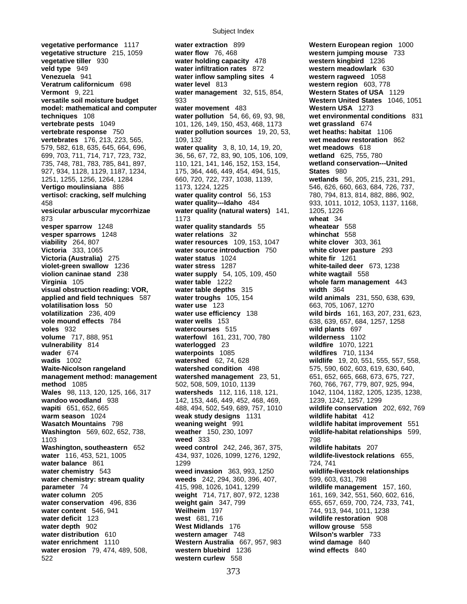**vegetative performance** 1117 **water extraction** 899 **Western European region** 1000 **vegetative structure** 215, 1059 **water flow** 76, 468 **western jumping mouse** 733 **vegetative tiller** 930 **water holding capacity** 478 **western kingbird** 1236 **veld type** 949 **water infiltration rates** 872 **western meadowlark** 630 **Venezuela** 941 **water inflow sampling sites** 4 **western ragweed** 1058 **Veratrum californicum** 698 **water level** 813 **western region** 603, 778 **Vermont** 9, 221 **water management** 32, 515, 854, **Western States of USA** 1129 **versatile soil moisture budget** 933 **Western United States** 1046, 1051 **model: mathematical and computer water movement** 483 **Western USA** 1273 **techniques** 108 **water pollution** 54, 66, 69, 93, 98, **wet environmental conditions** 831 **vertebrate pests** 1049 101, 126, 149, 150, 453, 468, 1173 **wet grassland** 674 **vertebrate response** 750 **water pollution sources** 19, 20, 53, **wet heaths: habitat** 1106 **vertebrates** 176, 213, 223, 565, 109, 132 **wet meadow restoration** 862 579, 582, 618, 635, 645, 664, 696, **water quality** 3, 8, 10, 14, 19, 20, **wet meadows** 618 699, 703, 711, 714, 717, 723, 732, 36, 56, 67, 72, 83, 90, 105, 106, 109, **wetland** 625, 755, 780 735, 748, 781, 783, 785, 841, 897, 110, 121, 141, 146, 152, 153, 154, **wetland conservation---United**  927, 934, 1128, 1129, 1187, 1234, 175, 364, 446, 449, 454, 494, 515, **States** 980 1251, 1255, 1256, 1264, 1284 660, 720, 722, 737, 1038, 1139, **wetlands** 56, 205, 215, 231, 291, **Vertigo moulinsiana** 886 1173, 1224, 1225 546, 626, 660, 663, 684, 726, 737, **vertisol: cracking, self mulching water quality control** 56, 153 780, 794, 813, 814, 882, 886, 902, 458 **water quality---Idaho** 484 933, 1011, 1012, 1053, 1137, 1168, **vesicular arbuscular mycorrhizae water quality (natural waters)** 141, 1205, 1226 873 1173 **wheat** 34 **vesper sparrow** 1248 **water quality standards** 55 **wheatear** 558 **vesper sparrows** 1248 **water relations** 32 **whinchat** 558 **viability** 264, 807 **water resources** 109, 153, 1047 **white clover** 303, 361 **Victoria** 333, 1065 **water source introduction** 750 **white clover pasture** 293 **Victoria (Australia)** 275 **violet-green swallow** 1236 **water stress** 1287 **white-tailed deer** 673, 1238 **violion caninae stand** 238 **water supply** 54, 105, 109, 450 **white wagtail** 558 **Virginia** 105 **water table** 1222 **whole farm management** 443 **visual obstruction reading: VOR, water table depths** 315 **width** 364 **applied and field techniques** 587 **water troughs** 105, 154 **wild animals** 231, 550, 638, 639, **volatilisation loss** 50 **water use** 123 663, 705, 1067, 1270 **volatilization** 236, 409 **water use efficiency** 138 **wild birds** 161, 163, 207, 231, 623, **vole mound effects** 784 **water wells** 153 638, 639, 657, 684, 1257, 1258 **voles** 932 **watercourses** 515 **wild plants** 697 **volume** 717, 888, 951 **waterfowl** 161, 231, 700, 780 **wilderness** 1102 **vulnerability** 814 **waterlogged** 23 **wildfire** 1070, 1221 **wader** 674 **waterpoints** 1085 **wildfires** 710, 1134 **wadis** 1002 **watershed** 62, 74, 628 **wildlife** 19, 20, 551, 555, 557, 558, **Waite-Nicolson rangeland watershed condition** 498 575, 590, 602, 603, 619, 630, 640, **management method: management vatershed management** 23, 51, 652, 665, 668, 673, 675, 727, 665, 673, 675, 727, **method** 1085 502, 508, 509, 1010, 1139 760, 766, 767, 779, 807, 925, 994, **Wales** 98, 113, 120, 125, 166, 317 **watersheds** 112, 116, 118, 121, 1042, 1104, 1182, 1205, 1235, 1238, **wandoo woodland** 938 142, 153, 446, 449, 452, 468, 469, 1239, 1242, 1257, 1299 **wapiti** 651, 652, 665 488, 494, 502, 549, 689, 757, 1010 **wildlife conservation** 202, 692, 769 **warm season** 1024 **weak study designs** 1131 **wildlife habitat** 412 **Washington** 569, 602, 652, 738, **weather** 150, 230, 1097 **wildlife-habitat relationships** 599, 1103 **weed** 333 798 **Washington, southeastern** 652 **weed control** 242, 246, 367, 375, **wildlife habitats** 207 **water** 116, 453, 521, 1005 434, 937, 1026, 1099, 1276, 1292, **wildlife-livestock relations** 655, **water balance** 861 1299 1299 1299 1294, 741 **water chemistry** 543 **weed invasion** 363, 993, 1250 **wildlife-livestock relationships water chemistry: stream quality weeds** 242, 294, 360, 396, 407, 599, 603, 631, 798 **parameter** 74 415, 998, 1026, 1041, 1299 **wildlife management** 157, 160, **water column** 205 **weight** 714, 717, 807, 972, 1238 161, 169, 342, 551, 560, 602, 616, **water conservation** 496, 836 **weight gain** 347, 799 655, 657, 659, 700, 724, 733, 741, **water content** 546, 941 **Weilheim** 197 **Weilheim** 197 744, 913, 944, 1011, 1238 **water deficit** 123 **water deficit** 123 **west** 681, 716 **wildlife restoration** 908 **water depth** 902 **West Midlands** 176 **willow grouse** 558 **water distribution** 610 **western amager** 748 **Wilson's warbler** 733 **water enrichment** 1110 **Western Australia** 667, 957, 983 **wind damage** 840 **water erosion** 79, 474, 489, 508, **western bluebird** 1236 **wind effects** 840 522 **western curlew** 558

**Wasatch Mountains** 798 **weaning weight** 991 **wildlife habitat improvement** 551